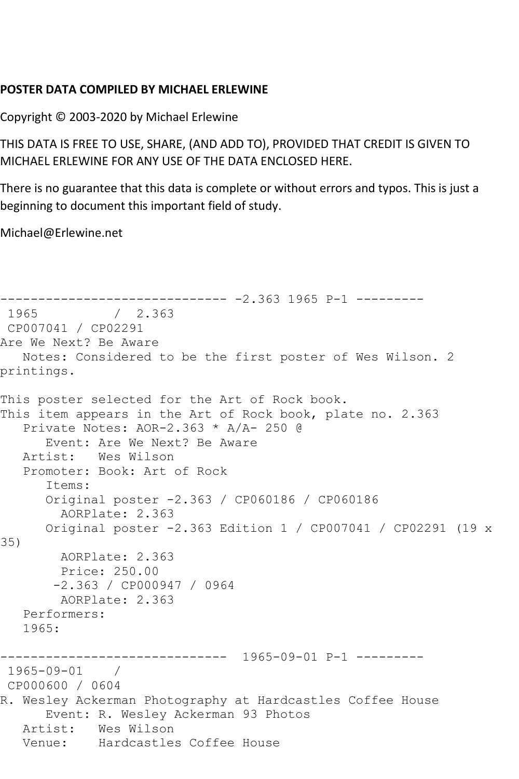## **POSTER DATA COMPILED BY MICHAEL ERLEWINE**

Copyright © 2003-2020 by Michael Erlewine

THIS DATA IS FREE TO USE, SHARE, (AND ADD TO), PROVIDED THAT CREDIT IS GIVEN TO MICHAEL ERLEWINE FOR ANY USE OF THE DATA ENCLOSED HERE.

There is no guarantee that this data is complete or without errors and typos. This is just a beginning to document this important field of study.

Michael@Erlewine.net

```
------------------------------ -2.363 1965 P-1 ---------
             / 2.363CP007041 / CP02291
Are We Next? Be Aware
   Notes: Considered to be the first poster of Wes Wilson. 2 
printings.
This poster selected for the Art of Rock book.
This item appears in the Art of Rock book, plate no. 2.363
   Private Notes: AOR-2.363 * A/A- 250 @
      Event: Are We Next? Be Aware
   Artist: Wes Wilson
   Promoter: Book: Art of Rock
       Items:
      Original poster -2.363 / CP060186 / CP060186
         AORPlate: 2.363 
      Original poster -2.363 Edition 1 / CP007041 / CP02291 (19 x 
35)
        AORPlate: 2.363 
         Price: 250.00
        -2.363 / CP000947 / 0964
        AORPlate: 2.363 
   Performers:
   1965:
                ------------------------------ 1965-09-01 P-1 ---------
1965-09-01 / 
CP000600 / 0604
R. Wesley Ackerman Photography at Hardcastles Coffee House
      Event: R. Wesley Ackerman 93 Photos
   Artist: Wes Wilson
   Venue: Hardcastles Coffee House
```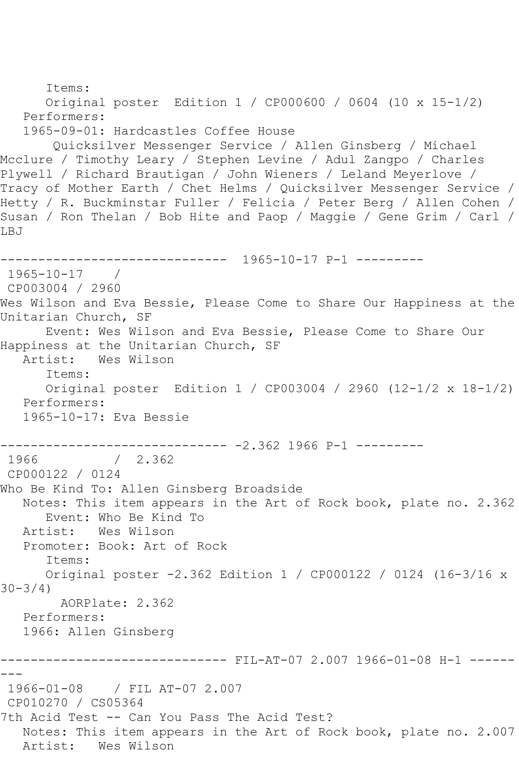```
 Items:
       Original poster Edition 1 / CP000600 / 0604 (10 x 15-1/2)
   Performers:
    1965-09-01: Hardcastles Coffee House
        Quicksilver Messenger Service / Allen Ginsberg / Michael 
Mcclure / Timothy Leary / Stephen Levine / Adul Zangpo / Charles 
Plywell / Richard Brautigan / John Wieners / Leland Meyerlove / 
Tracy of Mother Earth / Chet Helms / Quicksilver Messenger Service / 
Hetty / R. Buckminstar Fuller / Felicia / Peter Berg / Allen Cohen / 
Susan / Ron Thelan / Bob Hite and Paop / Maggie / Gene Grim / Carl / 
LBJ
                ------------------------------ 1965-10-17 P-1 ---------
1965-10-17 / 
CP003004 / 2960
Wes Wilson and Eva Bessie, Please Come to Share Our Happiness at the 
Unitarian Church, SF
       Event: Wes Wilson and Eva Bessie, Please Come to Share Our 
Happiness at the Unitarian Church, SF
   Artist: Wes Wilson
       Items:
       Original poster Edition 1 / CP003004 / 2960 (12-1/2 x 18-1/2)
   Performers:
    1965-10-17: Eva Bessie
------------------------------ -2.362 1966 P-1 ---------<br>1966                 /   2.362
               / 2.362CP000122 / 0124
Who Be Kind To: Allen Ginsberg Broadside
   Notes: This item appears in the Art of Rock book, plate no. 2.362
       Event: Who Be Kind To
   Artist: Wes Wilson
   Promoter: Book: Art of Rock
       Items:
       Original poster -2.362 Edition 1 / CP000122 / 0124 (16-3/16 x 
30 - 3/4 AORPlate: 2.362 
    Performers:
   1966: Allen Ginsberg
               ------------------------------ FIL-AT-07 2.007 1966-01-08 H-1 ------
---
1966-01-08 / FIL AT-07 2.007
CP010270 / CS05364
7th Acid Test -- Can You Pass The Acid Test?
   Notes: This item appears in the Art of Rock book, plate no. 2.007
   Artist: Wes Wilson
```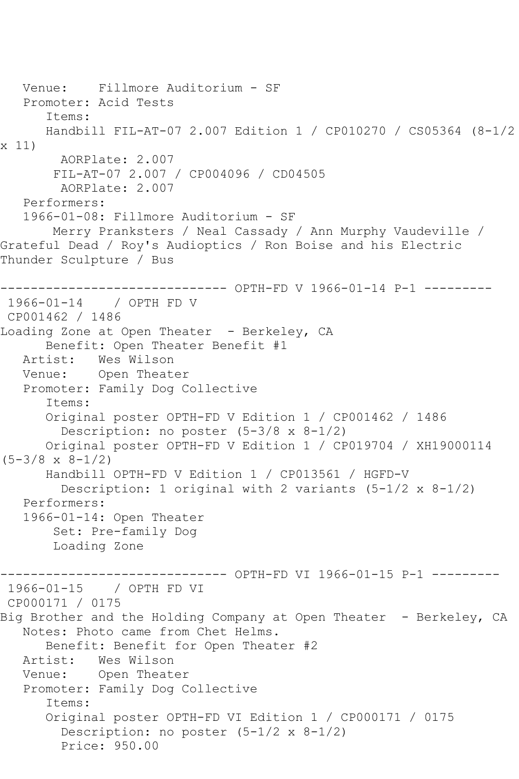```
 Venue: Fillmore Auditorium - SF
   Promoter: Acid Tests
       Items:
       Handbill FIL-AT-07 2.007 Edition 1 / CP010270 / CS05364 (8-1/2 
x 11)
        AORPlate: 2.007 
        FIL-AT-07 2.007 / CP004096 / CD04505
         AORPlate: 2.007 
    Performers:
    1966-01-08: Fillmore Auditorium - SF
        Merry Pranksters / Neal Cassady / Ann Murphy Vaudeville / 
Grateful Dead / Roy's Audioptics / Ron Boise and his Electric 
Thunder Sculpture / Bus
       ---------------------- OPTH-FD V 1966-01-14 P-1 ---------
1966-01-14 / OPTH FD V
CP001462 / 1486
Loading Zone at Open Theater - Berkeley, CA
       Benefit: Open Theater Benefit #1
   Artist: Wes Wilson
   Venue: Open Theater
    Promoter: Family Dog Collective
       Items:
       Original poster OPTH-FD V Edition 1 / CP001462 / 1486
         Description: no poster (5-3/8 x 8-1/2)
       Original poster OPTH-FD V Edition 1 / CP019704 / XH19000114 
(5-3/8 \times 8-1/2) Handbill OPTH-FD V Edition 1 / CP013561 / HGFD-V
        Description: 1 original with 2 variants (5-1/2 \times 8-1/2) Performers:
    1966-01-14: Open Theater
        Set: Pre-family Dog
        Loading Zone
                          ----- OPTH-FD VI 1966-01-15 P-1 ---------
1966-01-15 / OPTH FD VI
CP000171 / 0175
Big Brother and the Holding Company at Open Theater - Berkeley, CA
    Notes: Photo came from Chet Helms.
       Benefit: Benefit for Open Theater #2
  Artist: Wes Wilson<br>Venue: Open Theat
            Open Theater
    Promoter: Family Dog Collective
       Items:
       Original poster OPTH-FD VI Edition 1 / CP000171 / 0175
         Description: no poster (5-1/2 x 8-1/2)
         Price: 950.00
```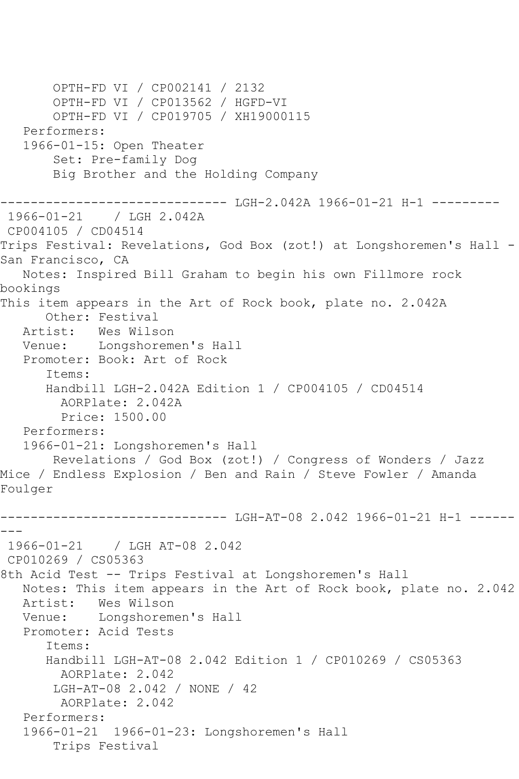OPTH-FD VI / CP002141 / 2132 OPTH-FD VI / CP013562 / HGFD-VI OPTH-FD VI / CP019705 / XH19000115 Performers: 1966-01-15: Open Theater Set: Pre-family Dog Big Brother and the Holding Company ------------------------------ LGH-2.042A 1966-01-21 H-1 --------- 1966-01-21 / LGH 2.042A CP004105 / CD04514 Trips Festival: Revelations, God Box (zot!) at Longshoremen's Hall - San Francisco, CA Notes: Inspired Bill Graham to begin his own Fillmore rock bookings This item appears in the Art of Rock book, plate no. 2.042A Other: Festival Artist: Wes Wilson Venue: Longshoremen's Hall Promoter: Book: Art of Rock Items: Handbill LGH-2.042A Edition 1 / CP004105 / CD04514 AORPlate: 2.042A Price: 1500.00 Performers: 1966-01-21: Longshoremen's Hall Revelations / God Box (zot!) / Congress of Wonders / Jazz Mice / Endless Explosion / Ben and Rain / Steve Fowler / Amanda Foulger ------------------------------ LGH-AT-08 2.042 1966-01-21 H-1 ------ --- 1966-01-21 / LGH AT-08 2.042 CP010269 / CS05363 8th Acid Test -- Trips Festival at Longshoremen's Hall Notes: This item appears in the Art of Rock book, plate no. 2.042 Artist: Wes Wilson Venue: Longshoremen's Hall Promoter: Acid Tests Items: Handbill LGH-AT-08 2.042 Edition 1 / CP010269 / CS05363 AORPlate: 2.042 LGH-AT-08 2.042 / NONE / 42 AORPlate: 2.042 Performers: 1966-01-21 1966-01-23: Longshoremen's Hall Trips Festival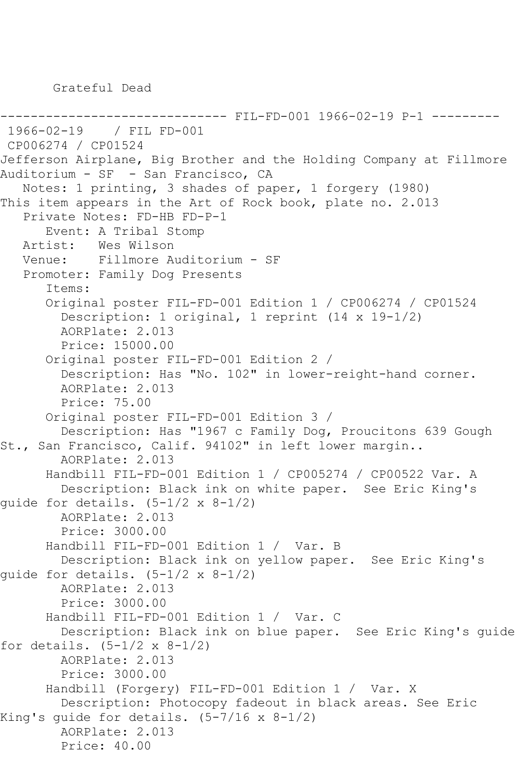Grateful Dead

```
------------------------------ FIL-FD-001 1966-02-19 P-1 ---------
1966-02-19 / FIL FD-001
CP006274 / CP01524
Jefferson Airplane, Big Brother and the Holding Company at Fillmore 
Auditorium - SF - San Francisco, CA
    Notes: 1 printing, 3 shades of paper, 1 forgery (1980)
This item appears in the Art of Rock book, plate no. 2.013
    Private Notes: FD-HB FD-P-1
       Event: A Tribal Stomp
   Artist: Wes Wilson
    Venue: Fillmore Auditorium - SF
    Promoter: Family Dog Presents
       Items:
       Original poster FIL-FD-001 Edition 1 / CP006274 / CP01524
         Description: 1 original, 1 reprint (14 x 19-1/2)
         AORPlate: 2.013 
         Price: 15000.00
       Original poster FIL-FD-001 Edition 2 / 
         Description: Has "No. 102" in lower-reight-hand corner.
         AORPlate: 2.013 
         Price: 75.00
       Original poster FIL-FD-001 Edition 3 / 
         Description: Has "1967 c Family Dog, Proucitons 639 Gough 
St., San Francisco, Calif. 94102" in left lower margin..
         AORPlate: 2.013 
       Handbill FIL-FD-001 Edition 1 / CP005274 / CP00522 Var. A
         Description: Black ink on white paper. See Eric King's 
quide for details. (5-1/2 \times 8-1/2) AORPlate: 2.013 
         Price: 3000.00
       Handbill FIL-FD-001 Edition 1 / Var. B
         Description: Black ink on yellow paper. See Eric King's 
guide for details. (5-1/2 x 8-1/2)
         AORPlate: 2.013 
         Price: 3000.00
       Handbill FIL-FD-001 Edition 1 / Var. C
         Description: Black ink on blue paper. See Eric King's guide 
for details. (5-1/2 x 8-1/2)
         AORPlate: 2.013 
         Price: 3000.00
       Handbill (Forgery) FIL-FD-001 Edition 1 / Var. X
         Description: Photocopy fadeout in black areas. See Eric 
King's guide for details. (5-7/16 x 8-1/2)
         AORPlate: 2.013 
         Price: 40.00
```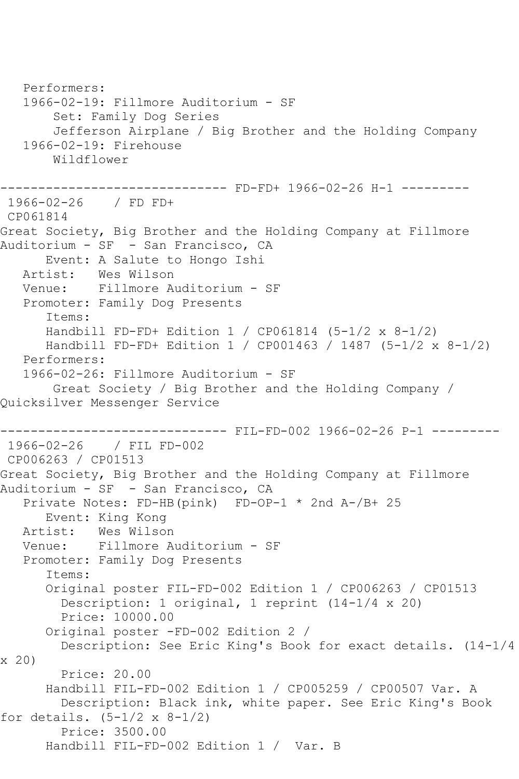Performers: 1966-02-19: Fillmore Auditorium - SF Set: Family Dog Series Jefferson Airplane / Big Brother and the Holding Company 1966-02-19: Firehouse Wildflower ------------------------------ FD-FD+ 1966-02-26 H-1 --------- 1966-02-26 / FD FD+ CP061814 Great Society, Big Brother and the Holding Company at Fillmore Auditorium - SF - San Francisco, CA Event: A Salute to Hongo Ishi Artist: Wes Wilson Venue: Fillmore Auditorium - SF Promoter: Family Dog Presents Items: Handbill FD-FD+ Edition 1 / CP061814 (5-1/2 x 8-1/2) Handbill FD-FD+ Edition 1 / CP001463 / 1487 (5-1/2 x 8-1/2) Performers: 1966-02-26: Fillmore Auditorium - SF Great Society / Big Brother and the Holding Company / Quicksilver Messenger Service ------------------------------ FIL-FD-002 1966-02-26 P-1 --------- 1966-02-26 / FIL FD-002 CP006263 / CP01513 Great Society, Big Brother and the Holding Company at Fillmore Auditorium - SF - San Francisco, CA Private Notes: FD-HB(pink) FD-OP-1 \* 2nd A-/B+ 25 Event: King Kong Artist: Wes Wilson Venue: Fillmore Auditorium - SF Promoter: Family Dog Presents Items: Original poster FIL-FD-002 Edition 1 / CP006263 / CP01513 Description: 1 original, 1 reprint (14-1/4 x 20) Price: 10000.00 Original poster -FD-002 Edition 2 / Description: See Eric King's Book for exact details. (14-1/4 x 20) Price: 20.00 Handbill FIL-FD-002 Edition 1 / CP005259 / CP00507 Var. A Description: Black ink, white paper. See Eric King's Book for details.  $(5-1/2 \times 8-1/2)$  Price: 3500.00 Handbill FIL-FD-002 Edition 1 / Var. B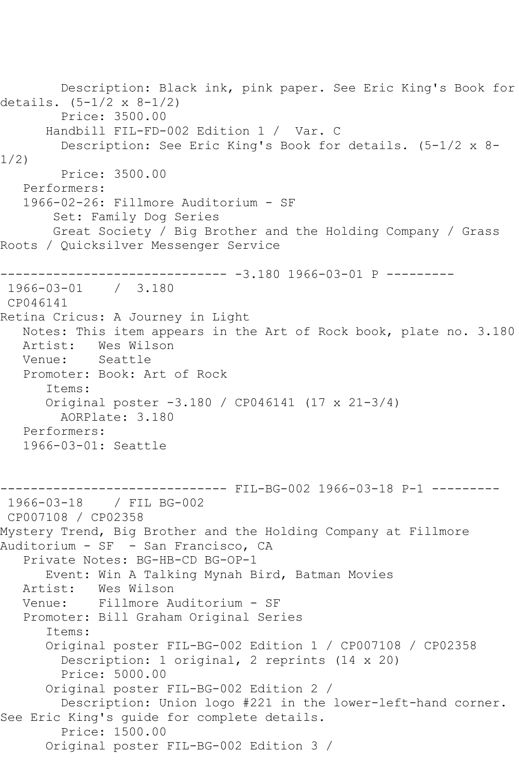Description: Black ink, pink paper. See Eric King's Book for details. (5-1/2 x 8-1/2) Price: 3500.00 Handbill FIL-FD-002 Edition 1 / Var. C Description: See Eric King's Book for details. (5-1/2 x 8- 1/2) Price: 3500.00 Performers: 1966-02-26: Fillmore Auditorium - SF Set: Family Dog Series Great Society / Big Brother and the Holding Company / Grass Roots / Quicksilver Messenger Service ------------------------------ -3.180 1966-03-01 P --------- 1966-03-01 / 3.180 CP046141 Retina Cricus: A Journey in Light Notes: This item appears in the Art of Rock book, plate no. 3.180<br>Artist: Wes Wilson Artist: Wes Wilson<br>Venue: Seattle Seattle Promoter: Book: Art of Rock Items: Original poster -3.180 / CP046141 (17 x 21-3/4) AORPlate: 3.180 Performers: 1966-03-01: Seattle ------------------------------ FIL-BG-002 1966-03-18 P-1 --------- 1966-03-18 / FIL BG-002 CP007108 / CP02358 Mystery Trend, Big Brother and the Holding Company at Fillmore Auditorium - SF - San Francisco, CA Private Notes: BG-HB-CD BG-OP-1 Event: Win A Talking Mynah Bird, Batman Movies Artist: Wes Wilson Venue: Fillmore Auditorium - SF Promoter: Bill Graham Original Series Items: Original poster FIL-BG-002 Edition 1 / CP007108 / CP02358 Description: 1 original, 2 reprints (14 x 20) Price: 5000.00 Original poster FIL-BG-002 Edition 2 / Description: Union logo #221 in the lower-left-hand corner. See Eric King's guide for complete details. Price: 1500.00 Original poster FIL-BG-002 Edition 3 /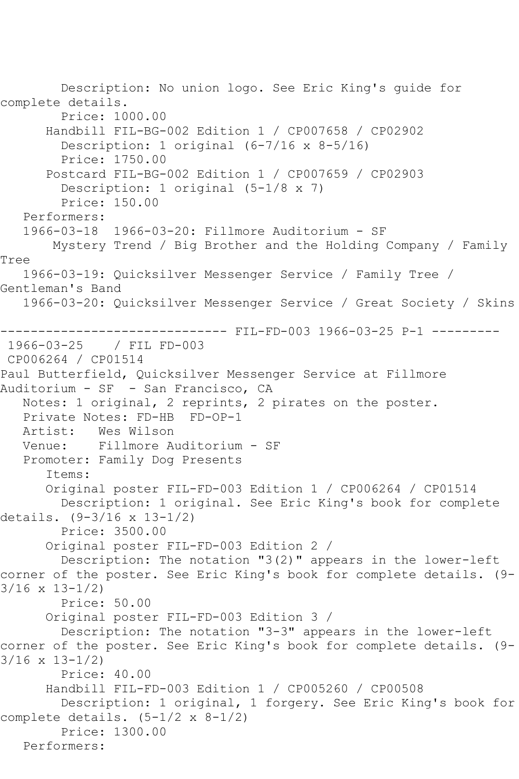Description: No union logo. See Eric King's guide for complete details. Price: 1000.00 Handbill FIL-BG-002 Edition 1 / CP007658 / CP02902 Description: 1 original (6-7/16 x 8-5/16) Price: 1750.00 Postcard FIL-BG-002 Edition 1 / CP007659 / CP02903 Description: 1 original (5-1/8 x 7) Price: 150.00 Performers: 1966-03-18 1966-03-20: Fillmore Auditorium - SF Mystery Trend / Big Brother and the Holding Company / Family Tree 1966-03-19: Quicksilver Messenger Service / Family Tree / Gentleman's Band 1966-03-20: Quicksilver Messenger Service / Great Society / Skins ------------------------------ FIL-FD-003 1966-03-25 P-1 --------- 1966-03-25 / FIL FD-003 CP006264 / CP01514 Paul Butterfield, Quicksilver Messenger Service at Fillmore Auditorium - SF - San Francisco, CA Notes: 1 original, 2 reprints, 2 pirates on the poster. Private Notes: FD-HB FD-OP-1<br>Artist: Wes Wilson Artist: Wes Wilson<br>Venue: Fillmore A Fillmore Auditorium - SF Promoter: Family Dog Presents Items: Original poster FIL-FD-003 Edition 1 / CP006264 / CP01514 Description: 1 original. See Eric King's book for complete details. (9-3/16 x 13-1/2) Price: 3500.00 Original poster FIL-FD-003 Edition 2 / Description: The notation "3(2)" appears in the lower-left corner of the poster. See Eric King's book for complete details. (9- 3/16 x 13-1/2) Price: 50.00 Original poster FIL-FD-003 Edition 3 / Description: The notation "3-3" appears in the lower-left corner of the poster. See Eric King's book for complete details. (9- 3/16 x 13-1/2) Price: 40.00 Handbill FIL-FD-003 Edition 1 / CP005260 / CP00508 Description: 1 original, 1 forgery. See Eric King's book for complete details. (5-1/2 x 8-1/2) Price: 1300.00 Performers: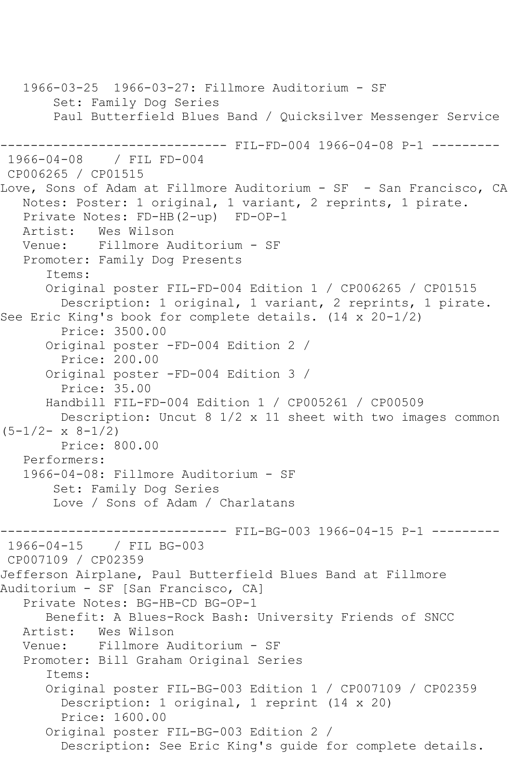1966-03-25 1966-03-27: Fillmore Auditorium - SF Set: Family Dog Series Paul Butterfield Blues Band / Quicksilver Messenger Service ------------------------------ FIL-FD-004 1966-04-08 P-1 --------- 1966-04-08 / FIL FD-004 CP006265 / CP01515 Love, Sons of Adam at Fillmore Auditorium - SF - San Francisco, CA Notes: Poster: 1 original, 1 variant, 2 reprints, 1 pirate. Private Notes: FD-HB(2-up) FD-OP-1 Artist: Wes Wilson<br>Venue: Fillmore A Fillmore Auditorium - SF Promoter: Family Dog Presents Items: Original poster FIL-FD-004 Edition 1 / CP006265 / CP01515 Description: 1 original, 1 variant, 2 reprints, 1 pirate. See Eric King's book for complete details. (14 x 20-1/2) Price: 3500.00 Original poster -FD-004 Edition 2 / Price: 200.00 Original poster -FD-004 Edition 3 / Price: 35.00 Handbill FIL-FD-004 Edition 1 / CP005261 / CP00509 Description: Uncut 8 1/2 x 11 sheet with two images common  $(5-1/2-x 8-1/2)$  Price: 800.00 Performers: 1966-04-08: Fillmore Auditorium - SF Set: Family Dog Series Love / Sons of Adam / Charlatans ------------------------------ FIL-BG-003 1966-04-15 P-1 --------- 1966-04-15 / FIL BG-003 CP007109 / CP02359 Jefferson Airplane, Paul Butterfield Blues Band at Fillmore Auditorium - SF [San Francisco, CA] Private Notes: BG-HB-CD BG-OP-1 Benefit: A Blues-Rock Bash: University Friends of SNCC Artist: Wes Wilson<br>Venue: Fillmore Au Fillmore Auditorium - SF Promoter: Bill Graham Original Series Items: Original poster FIL-BG-003 Edition 1 / CP007109 / CP02359 Description: 1 original, 1 reprint (14 x 20) Price: 1600.00 Original poster FIL-BG-003 Edition 2 / Description: See Eric King's guide for complete details.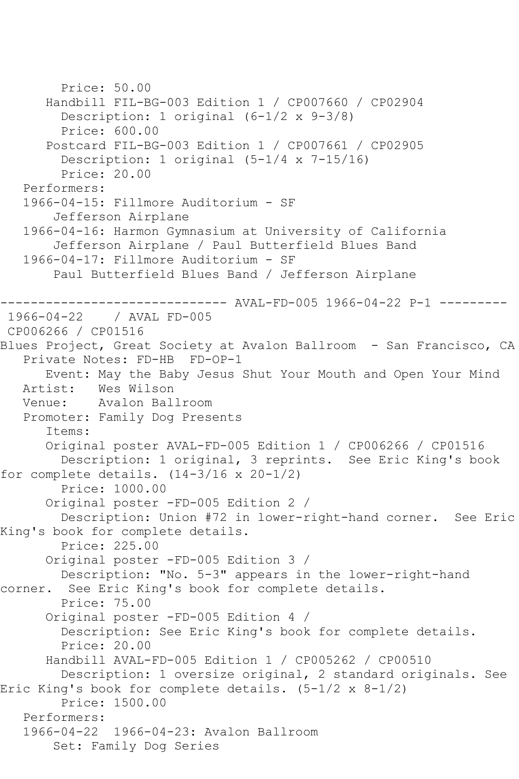```
 Price: 50.00
       Handbill FIL-BG-003 Edition 1 / CP007660 / CP02904
         Description: 1 original (6-1/2 x 9-3/8)
         Price: 600.00
       Postcard FIL-BG-003 Edition 1 / CP007661 / CP02905
         Description: 1 original (5-1/4 x 7-15/16)
         Price: 20.00
   Performers:
   1966-04-15: Fillmore Auditorium - SF
        Jefferson Airplane
   1966-04-16: Harmon Gymnasium at University of California
        Jefferson Airplane / Paul Butterfield Blues Band
   1966-04-17: Fillmore Auditorium - SF
        Paul Butterfield Blues Band / Jefferson Airplane
                       -------- AVAL-FD-005 1966-04-22 P-1 ---------
1966-04-22 / AVAL FD-005
CP006266 / CP01516
Blues Project, Great Society at Avalon Ballroom - San Francisco, CA
   Private Notes: FD-HB FD-OP-1
       Event: May the Baby Jesus Shut Your Mouth and Open Your Mind
   Artist: Wes Wilson
   Venue: Avalon Ballroom
   Promoter: Family Dog Presents
       Items:
      Original poster AVAL-FD-005 Edition 1 / CP006266 / CP01516
         Description: 1 original, 3 reprints. See Eric King's book 
for complete details. (14-3/16 \times 20-1/2) Price: 1000.00
       Original poster -FD-005 Edition 2 / 
        Description: Union #72 in lower-right-hand corner. See Eric 
King's book for complete details.
         Price: 225.00
       Original poster -FD-005 Edition 3 / 
         Description: "No. 5-3" appears in the lower-right-hand 
corner. See Eric King's book for complete details.
         Price: 75.00
       Original poster -FD-005 Edition 4 / 
         Description: See Eric King's book for complete details.
         Price: 20.00
       Handbill AVAL-FD-005 Edition 1 / CP005262 / CP00510
         Description: 1 oversize original, 2 standard originals. See 
Eric King's book for complete details. (5-1/2 x 8-1/2)
         Price: 1500.00
   Performers:
   1966-04-22 1966-04-23: Avalon Ballroom
        Set: Family Dog Series
```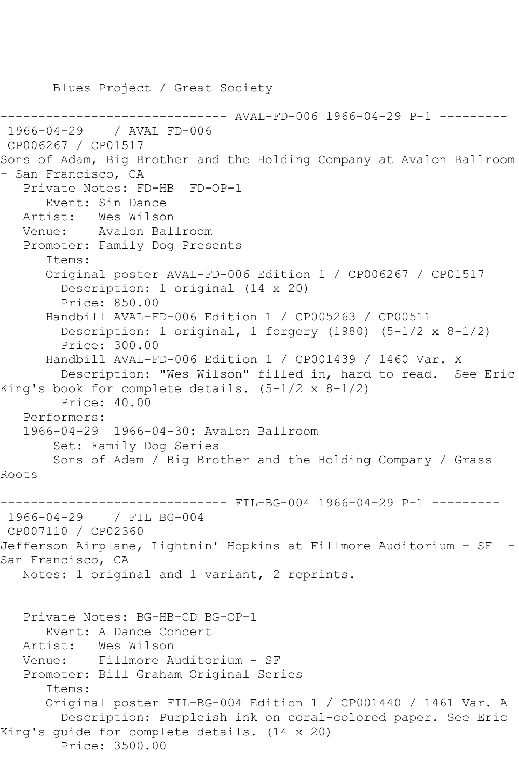Blues Project / Great Society ----- AVAL-FD-006 1966-04-29 P-1 ---------1966-04-29 / AVAL FD-006 CP006267 / CP01517 Sons of Adam, Big Brother and the Holding Company at Avalon Ballroom - San Francisco, CA Private Notes: FD-HB FD-OP-1 Event: Sin Dance Artist: Wes Wilson Venue: Avalon Ballroom Promoter: Family Dog Presents Items: Original poster AVAL-FD-006 Edition 1 / CP006267 / CP01517 Description: 1 original (14 x 20) Price: 850.00 Handbill AVAL-FD-006 Edition 1 / CP005263 / CP00511 Description: 1 original, 1 forgery (1980) (5-1/2 x 8-1/2) Price: 300.00 Handbill AVAL-FD-006 Edition 1 / CP001439 / 1460 Var. X Description: "Wes Wilson" filled in, hard to read. See Eric King's book for complete details. (5-1/2 x 8-1/2) Price: 40.00 Performers: 1966-04-29 1966-04-30: Avalon Ballroom Set: Family Dog Series Sons of Adam / Big Brother and the Holding Company / Grass Roots ------------------------------ FIL-BG-004 1966-04-29 P-1 --------- 1966-04-29 / FIL BG-004 CP007110 / CP02360 Jefferson Airplane, Lightnin' Hopkins at Fillmore Auditorium - SF - San Francisco, CA Notes: 1 original and 1 variant, 2 reprints. Private Notes: BG-HB-CD BG-OP-1 Event: A Dance Concert<br>Artist: Wes Wilson Wes Wilson Venue: Fillmore Auditorium - SF Promoter: Bill Graham Original Series Items: Original poster FIL-BG-004 Edition 1 / CP001440 / 1461 Var. A Description: Purpleish ink on coral-colored paper. See Eric King's guide for complete details. (14 x 20) Price: 3500.00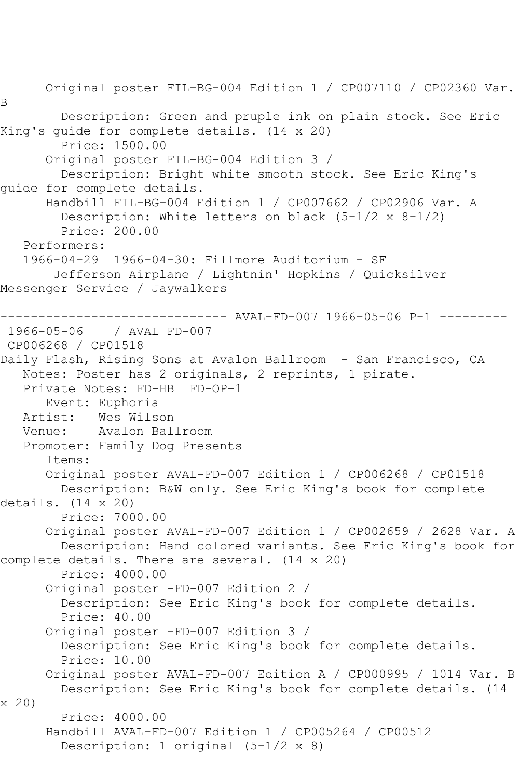Original poster FIL-BG-004 Edition 1 / CP007110 / CP02360 Var. B Description: Green and pruple ink on plain stock. See Eric King's guide for complete details. (14 x 20) Price: 1500.00 Original poster FIL-BG-004 Edition 3 / Description: Bright white smooth stock. See Eric King's guide for complete details. Handbill FIL-BG-004 Edition 1 / CP007662 / CP02906 Var. A Description: White letters on black (5-1/2 x 8-1/2) Price: 200.00 Performers: 1966-04-29 1966-04-30: Fillmore Auditorium - SF Jefferson Airplane / Lightnin' Hopkins / Quicksilver Messenger Service / Jaywalkers ------------------------------ AVAL-FD-007 1966-05-06 P-1 --------- 1966-05-06 / AVAL FD-007 CP006268 / CP01518 Daily Flash, Rising Sons at Avalon Ballroom - San Francisco, CA Notes: Poster has 2 originals, 2 reprints, 1 pirate. Private Notes: FD-HB FD-OP-1 Event: Euphoria<br>Artist: Wes Wils Artist: Wes Wilson<br>Venue: Avalon Bal Avalon Ballroom Promoter: Family Dog Presents Items: Original poster AVAL-FD-007 Edition 1 / CP006268 / CP01518 Description: B&W only. See Eric King's book for complete details. (14 x 20) Price: 7000.00 Original poster AVAL-FD-007 Edition 1 / CP002659 / 2628 Var. A Description: Hand colored variants. See Eric King's book for complete details. There are several. (14 x 20) Price: 4000.00 Original poster -FD-007 Edition 2 / Description: See Eric King's book for complete details. Price: 40.00 Original poster -FD-007 Edition 3 / Description: See Eric King's book for complete details. Price: 10.00 Original poster AVAL-FD-007 Edition A / CP000995 / 1014 Var. B Description: See Eric King's book for complete details. (14 x 20) Price: 4000.00 Handbill AVAL-FD-007 Edition 1 / CP005264 / CP00512 Description: 1 original (5-1/2 x 8)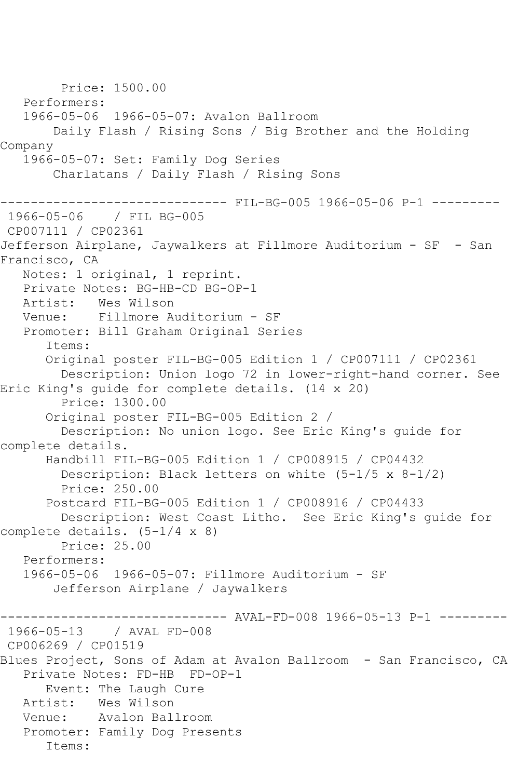Price: 1500.00 Performers: 1966-05-06 1966-05-07: Avalon Ballroom Daily Flash / Rising Sons / Big Brother and the Holding Company 1966-05-07: Set: Family Dog Series Charlatans / Daily Flash / Rising Sons ------------------------------ FIL-BG-005 1966-05-06 P-1 --------- 1966-05-06 / FIL BG-005 CP007111 / CP02361 Jefferson Airplane, Jaywalkers at Fillmore Auditorium - SF - San Francisco, CA Notes: 1 original, 1 reprint. Private Notes: BG-HB-CD BG-OP-1<br>Artist: Wes Wilson Wes Wilson Venue: Fillmore Auditorium - SF Promoter: Bill Graham Original Series Items: Original poster FIL-BG-005 Edition 1 / CP007111 / CP02361 Description: Union logo 72 in lower-right-hand corner. See Eric King's guide for complete details. (14 x 20) Price: 1300.00 Original poster FIL-BG-005 Edition 2 / Description: No union logo. See Eric King's guide for complete details. Handbill FIL-BG-005 Edition 1 / CP008915 / CP04432 Description: Black letters on white (5-1/5 x 8-1/2) Price: 250.00 Postcard FIL-BG-005 Edition 1 / CP008916 / CP04433 Description: West Coast Litho. See Eric King's guide for complete details. (5-1/4 x 8) Price: 25.00 Performers: 1966-05-06 1966-05-07: Fillmore Auditorium - SF Jefferson Airplane / Jaywalkers ------------------------------ AVAL-FD-008 1966-05-13 P-1 --------- 1966-05-13 / AVAL FD-008 CP006269 / CP01519 Blues Project, Sons of Adam at Avalon Ballroom - San Francisco, CA Private Notes: FD-HB FD-OP-1 Event: The Laugh Cure Artist: Wes Wilson Venue: Avalon Ballroom Promoter: Family Dog Presents Items: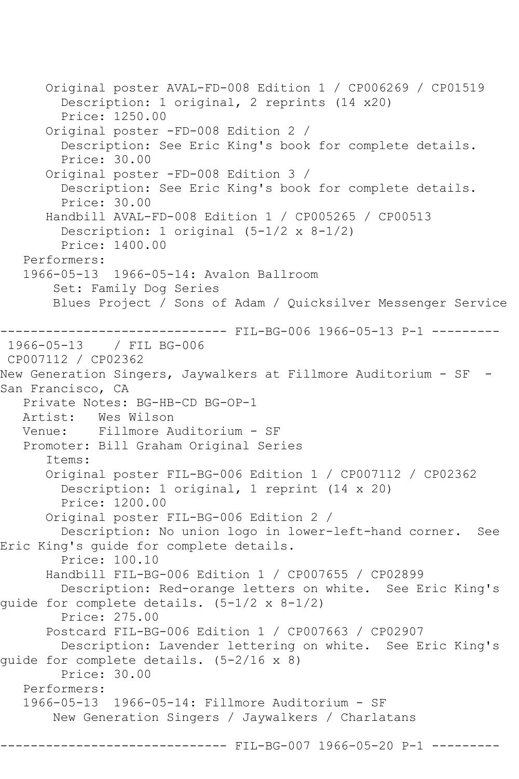Original poster AVAL-FD-008 Edition 1 / CP006269 / CP01519 Description: 1 original, 2 reprints (14 x20) Price: 1250.00 Original poster -FD-008 Edition 2 / Description: See Eric King's book for complete details. Price: 30.00 Original poster -FD-008 Edition 3 / Description: See Eric King's book for complete details. Price: 30.00 Handbill AVAL-FD-008 Edition 1 / CP005265 / CP00513 Description: 1 original (5-1/2 x 8-1/2) Price: 1400.00 Performers: 1966-05-13 1966-05-14: Avalon Ballroom Set: Family Dog Series Blues Project / Sons of Adam / Quicksilver Messenger Service ------------------------------ FIL-BG-006 1966-05-13 P-1 --------- 1966-05-13 / FIL BG-006 CP007112 / CP02362 New Generation Singers, Jaywalkers at Fillmore Auditorium - SF - San Francisco, CA Private Notes: BG-HB-CD BG-OP-1 Artist: Wes Wilson Venue: Fillmore Auditorium - SF Promoter: Bill Graham Original Series Items: Original poster FIL-BG-006 Edition 1 / CP007112 / CP02362 Description: 1 original, 1 reprint (14 x 20) Price: 1200.00 Original poster FIL-BG-006 Edition 2 / Description: No union logo in lower-left-hand corner. See Eric King's guide for complete details. Price: 100.10 Handbill FIL-BG-006 Edition 1 / CP007655 / CP02899 Description: Red-orange letters on white. See Eric King's guide for complete details. (5-1/2 x 8-1/2) Price: 275.00 Postcard FIL-BG-006 Edition 1 / CP007663 / CP02907 Description: Lavender lettering on white. See Eric King's guide for complete details. (5-2/16 x 8) Price: 30.00 Performers: 1966-05-13 1966-05-14: Fillmore Auditorium - SF New Generation Singers / Jaywalkers / Charlatans -------- FIL-BG-007 1966-05-20 P-1 ---------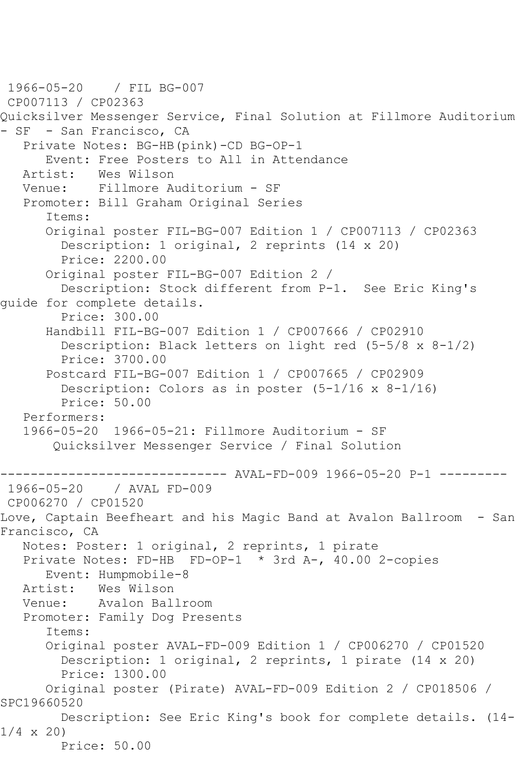1966-05-20 / FIL BG-007 CP007113 / CP02363 Quicksilver Messenger Service, Final Solution at Fillmore Auditorium - SF - San Francisco, CA Private Notes: BG-HB(pink)-CD BG-OP-1 Event: Free Posters to All in Attendance<br>Artist: Wes Wilson Wes Wilson Venue: Fillmore Auditorium - SF Promoter: Bill Graham Original Series Items: Original poster FIL-BG-007 Edition 1 / CP007113 / CP02363 Description: 1 original, 2 reprints (14 x 20) Price: 2200.00 Original poster FIL-BG-007 Edition 2 / Description: Stock different from P-1. See Eric King's guide for complete details. Price: 300.00 Handbill FIL-BG-007 Edition 1 / CP007666 / CP02910 Description: Black letters on light red  $(5-5/8 \times 8-1/2)$  Price: 3700.00 Postcard FIL-BG-007 Edition 1 / CP007665 / CP02909 Description: Colors as in poster (5-1/16 x 8-1/16) Price: 50.00 Performers: 1966-05-20 1966-05-21: Fillmore Auditorium - SF Quicksilver Messenger Service / Final Solution ---------------------------------- AVAL-FD-009 1966-05-20 P-1 -------<br>1966-05-20 / AVAL FD-009 / AVAL FD-009 CP006270 / CP01520 Love, Captain Beefheart and his Magic Band at Avalon Ballroom - San Francisco, CA Notes: Poster: 1 original, 2 reprints, 1 pirate Private Notes: FD-HB FD-OP-1 \* 3rd A-, 40.00 2-copies Event: Humpmobile-8 Artist: Wes Wilson Venue: Avalon Ballroom Promoter: Family Dog Presents Items: Original poster AVAL-FD-009 Edition 1 / CP006270 / CP01520 Description: 1 original, 2 reprints, 1 pirate (14 x 20) Price: 1300.00 Original poster (Pirate) AVAL-FD-009 Edition 2 / CP018506 / SPC19660520 Description: See Eric King's book for complete details. (14- 1/4 x 20) Price: 50.00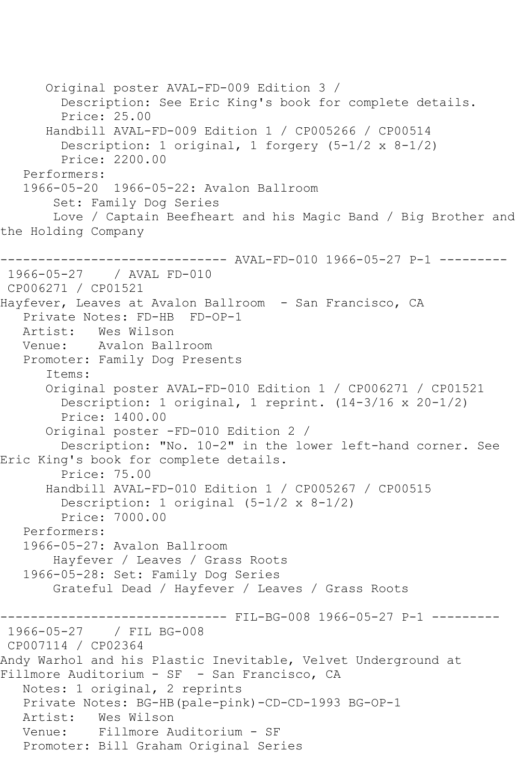Original poster AVAL-FD-009 Edition 3 / Description: See Eric King's book for complete details. Price: 25.00 Handbill AVAL-FD-009 Edition 1 / CP005266 / CP00514 Description: 1 original, 1 forgery (5-1/2 x 8-1/2) Price: 2200.00 Performers: 1966-05-20 1966-05-22: Avalon Ballroom Set: Family Dog Series Love / Captain Beefheart and his Magic Band / Big Brother and the Holding Company ------------------------------ AVAL-FD-010 1966-05-27 P-1 --------- 1966-05-27 / AVAL FD-010 CP006271 / CP01521 Hayfever, Leaves at Avalon Ballroom - San Francisco, CA Private Notes: FD-HB FD-OP-1 Artist: Wes Wilson Venue: Avalon Ballroom Promoter: Family Dog Presents Items: Original poster AVAL-FD-010 Edition 1 / CP006271 / CP01521 Description: 1 original, 1 reprint. (14-3/16 x 20-1/2) Price: 1400.00 Original poster -FD-010 Edition 2 / Description: "No. 10-2" in the lower left-hand corner. See Eric King's book for complete details. Price: 75.00 Handbill AVAL-FD-010 Edition 1 / CP005267 / CP00515 Description: 1 original (5-1/2 x 8-1/2) Price: 7000.00 Performers: 1966-05-27: Avalon Ballroom Hayfever / Leaves / Grass Roots 1966-05-28: Set: Family Dog Series Grateful Dead / Hayfever / Leaves / Grass Roots ---------- FIL-BG-008 1966-05-27 P-1 ---------1966-05-27 / FIL BG-008 CP007114 / CP02364 Andy Warhol and his Plastic Inevitable, Velvet Underground at Fillmore Auditorium - SF - San Francisco, CA Notes: 1 original, 2 reprints Private Notes: BG-HB(pale-pink)-CD-CD-1993 BG-OP-1 Artist: Wes Wilson Venue: Fillmore Auditorium - SF Promoter: Bill Graham Original Series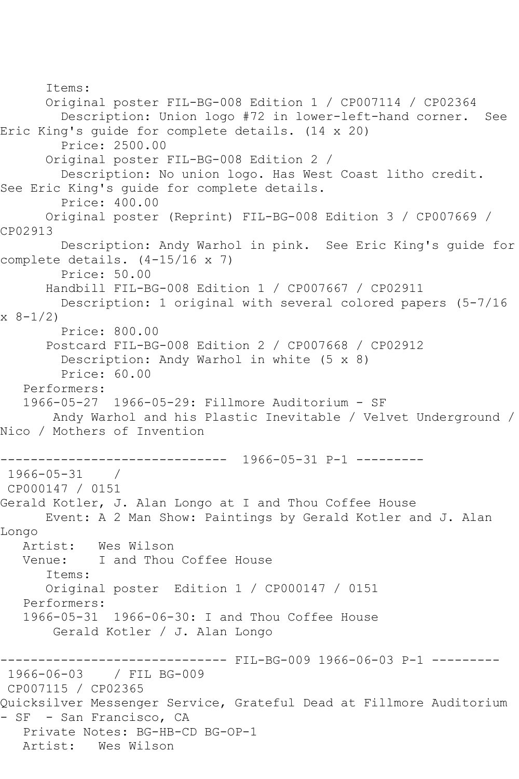Items: Original poster FIL-BG-008 Edition 1 / CP007114 / CP02364 Description: Union logo #72 in lower-left-hand corner. See Eric King's guide for complete details. (14 x 20) Price: 2500.00 Original poster FIL-BG-008 Edition 2 / Description: No union logo. Has West Coast litho credit. See Eric King's guide for complete details. Price: 400.00 Original poster (Reprint) FIL-BG-008 Edition 3 / CP007669 / CP02913 Description: Andy Warhol in pink. See Eric King's guide for complete details. (4-15/16 x 7) Price: 50.00 Handbill FIL-BG-008 Edition 1 / CP007667 / CP02911 Description: 1 original with several colored papers (5-7/16 x 8-1/2) Price: 800.00 Postcard FIL-BG-008 Edition 2 / CP007668 / CP02912 Description: Andy Warhol in white (5 x 8) Price: 60.00 Performers: 1966-05-27 1966-05-29: Fillmore Auditorium - SF Andy Warhol and his Plastic Inevitable / Velvet Underground / Nico / Mothers of Invention ------------------------------ 1966-05-31 P-1 --------- 1966-05-31 / CP000147 / 0151 Gerald Kotler, J. Alan Longo at I and Thou Coffee House Event: A 2 Man Show: Paintings by Gerald Kotler and J. Alan Longo Artist: Wes Wilson<br>Venue: I and Thou I and Thou Coffee House Items: Original poster Edition 1 / CP000147 / 0151 Performers: 1966-05-31 1966-06-30: I and Thou Coffee House Gerald Kotler / J. Alan Longo ------------------------------ FIL-BG-009 1966-06-03 P-1 --------- 1966-06-03 / FIL BG-009 CP007115 / CP02365 Quicksilver Messenger Service, Grateful Dead at Fillmore Auditorium - SF - San Francisco, CA Private Notes: BG-HB-CD BG-OP-1 Artist: Wes Wilson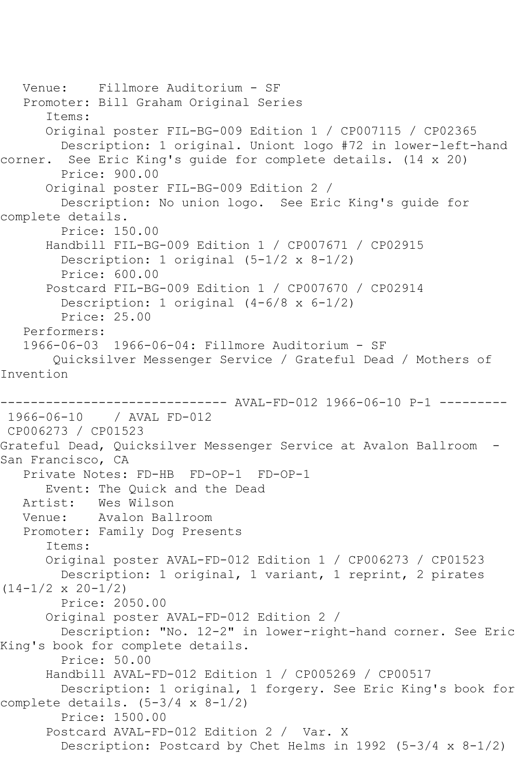```
 Venue: Fillmore Auditorium - SF
   Promoter: Bill Graham Original Series
       Items:
       Original poster FIL-BG-009 Edition 1 / CP007115 / CP02365
         Description: 1 original. Uniont logo #72 in lower-left-hand 
corner. See Eric King's guide for complete details. (14 x 20)
         Price: 900.00
       Original poster FIL-BG-009 Edition 2 / 
         Description: No union logo. See Eric King's guide for 
complete details.
         Price: 150.00
       Handbill FIL-BG-009 Edition 1 / CP007671 / CP02915
         Description: 1 original (5-1/2 x 8-1/2)
         Price: 600.00
       Postcard FIL-BG-009 Edition 1 / CP007670 / CP02914
         Description: 1 original (4-6/8 x 6-1/2)
         Price: 25.00
    Performers:
    1966-06-03 1966-06-04: Fillmore Auditorium - SF
        Quicksilver Messenger Service / Grateful Dead / Mothers of 
Invention
         ------------------------------ AVAL-FD-012 1966-06-10 P-1 ---------
1966-06-10 / AVAL FD-012
CP006273 / CP01523
Grateful Dead, Quicksilver Messenger Service at Avalon Ballroom -
San Francisco, CA
    Private Notes: FD-HB FD-OP-1 FD-OP-1
  Event: The Quick and the Dead<br>Artist: Wes Wilson
           Wes Wilson
   Venue: Avalon Ballroom
    Promoter: Family Dog Presents
       Items:
       Original poster AVAL-FD-012 Edition 1 / CP006273 / CP01523
         Description: 1 original, 1 variant, 1 reprint, 2 pirates 
(14-1/2 \times 20-1/2) Price: 2050.00
       Original poster AVAL-FD-012 Edition 2 / 
         Description: "No. 12-2" in lower-right-hand corner. See Eric 
King's book for complete details.
         Price: 50.00
       Handbill AVAL-FD-012 Edition 1 / CP005269 / CP00517
         Description: 1 original, 1 forgery. See Eric King's book for 
complete details. (5-3/4 \times 8-1/2) Price: 1500.00
       Postcard AVAL-FD-012 Edition 2 / Var. X
         Description: Postcard by Chet Helms in 1992 (5-3/4 x 8-1/2)
```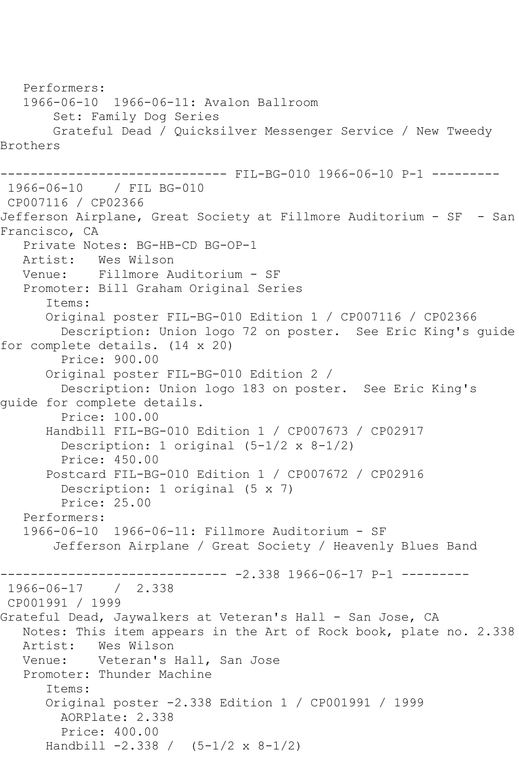```
 Performers:
    1966-06-10 1966-06-11: Avalon Ballroom
        Set: Family Dog Series
        Grateful Dead / Quicksilver Messenger Service / New Tweedy 
Brothers
------------------------------ FIL-BG-010 1966-06-10 P-1 ---------
1966-06-10 / FIL BG-010
CP007116 / CP02366
Jefferson Airplane, Great Society at Fillmore Auditorium - SF - San 
Francisco, CA
    Private Notes: BG-HB-CD BG-OP-1
   Artist: Wes Wilson
   Venue: Fillmore Auditorium - SF
   Promoter: Bill Graham Original Series
       Items:
       Original poster FIL-BG-010 Edition 1 / CP007116 / CP02366
         Description: Union logo 72 on poster. See Eric King's guide 
for complete details. (14 x 20)
         Price: 900.00
       Original poster FIL-BG-010 Edition 2 / 
         Description: Union logo 183 on poster. See Eric King's 
guide for complete details.
         Price: 100.00
       Handbill FIL-BG-010 Edition 1 / CP007673 / CP02917
         Description: 1 original (5-1/2 x 8-1/2)
         Price: 450.00
       Postcard FIL-BG-010 Edition 1 / CP007672 / CP02916
         Description: 1 original (5 x 7)
         Price: 25.00
  Performers:<br>1966-06-10
                1966-06-10 1966-06-11: Fillmore Auditorium - SF
        Jefferson Airplane / Great Society / Heavenly Blues Band
                         ------------------------------ -2.338 1966-06-17 P-1 ---------
1966-06-17 / 2.338
CP001991 / 1999
Grateful Dead, Jaywalkers at Veteran's Hall - San Jose, CA
  Notes: This item appears in the Art of Rock book, plate no. 2.338<br>Artist: Wes Wilson
  Artist: Wes Wilson<br>Venue: Veteran's
           Veteran's Hall, San Jose
   Promoter: Thunder Machine
       Items:
       Original poster -2.338 Edition 1 / CP001991 / 1999
         AORPlate: 2.338 
         Price: 400.00
       Handbill -2.338 / (5-1/2 x 8-1/2)
```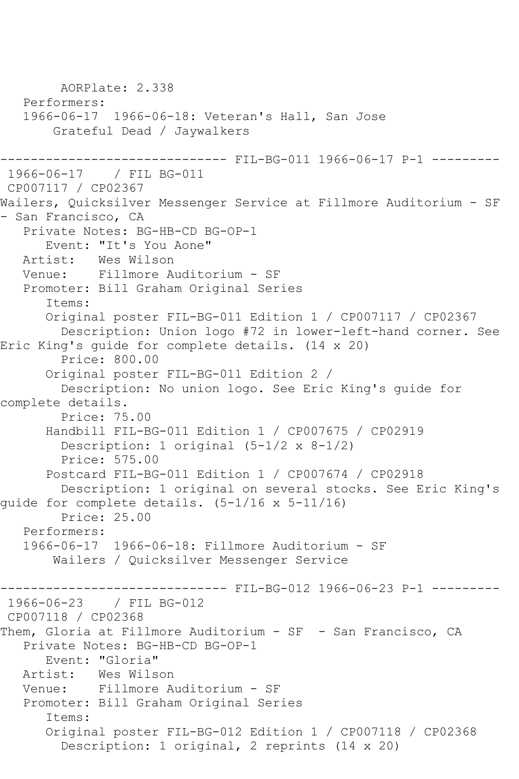AORPlate: 2.338 Performers: 1966-06-17 1966-06-18: Veteran's Hall, San Jose Grateful Dead / Jaywalkers ------------------------------ FIL-BG-011 1966-06-17 P-1 --------- 1966-06-17 / FIL BG-011 CP007117 / CP02367 Wailers, Quicksilver Messenger Service at Fillmore Auditorium - SF - San Francisco, CA Private Notes: BG-HB-CD BG-OP-1 Event: "It's You Aone"<br>Artist: Wes Wilson Wes Wilson Venue: Fillmore Auditorium - SF Promoter: Bill Graham Original Series Items: Original poster FIL-BG-011 Edition 1 / CP007117 / CP02367 Description: Union logo #72 in lower-left-hand corner. See Eric King's guide for complete details. (14 x 20) Price: 800.00 Original poster FIL-BG-011 Edition 2 / Description: No union logo. See Eric King's guide for complete details. Price: 75.00 Handbill FIL-BG-011 Edition 1 / CP007675 / CP02919 Description: 1 original (5-1/2 x 8-1/2) Price: 575.00 Postcard FIL-BG-011 Edition 1 / CP007674 / CP02918 Description: 1 original on several stocks. See Eric King's guide for complete details. (5-1/16 x 5-11/16) Price: 25.00 Performers: 1966-06-17 1966-06-18: Fillmore Auditorium - SF Wailers / Quicksilver Messenger Service ------------------------------ FIL-BG-012 1966-06-23 P-1 --------- 1966-06-23 / FIL BG-012 CP007118 / CP02368 Them, Gloria at Fillmore Auditorium - SF - San Francisco, CA Private Notes: BG-HB-CD BG-OP-1 Event: "Gloria" Artist: Wes Wilson Venue: Fillmore Auditorium - SF Promoter: Bill Graham Original Series Items: Original poster FIL-BG-012 Edition 1 / CP007118 / CP02368 Description: 1 original, 2 reprints (14 x 20)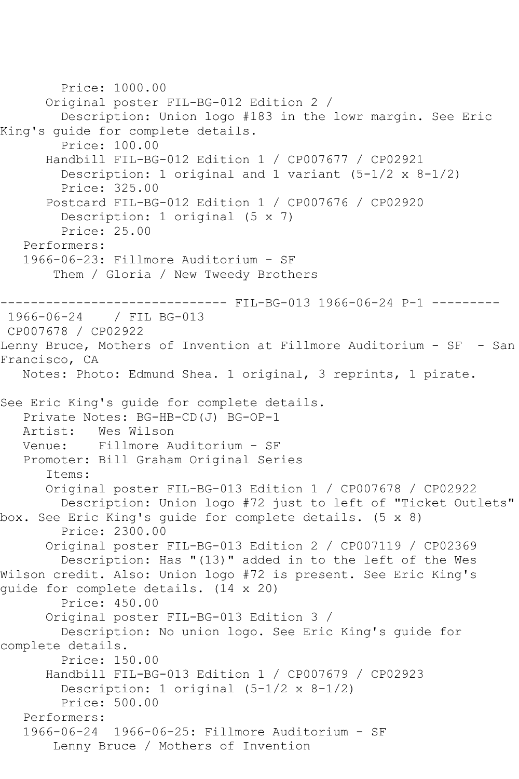```
 Price: 1000.00
       Original poster FIL-BG-012 Edition 2 / 
         Description: Union logo #183 in the lowr margin. See Eric 
King's guide for complete details.
         Price: 100.00
       Handbill FIL-BG-012 Edition 1 / CP007677 / CP02921
         Description: 1 original and 1 variant (5-1/2 x 8-1/2)
         Price: 325.00
       Postcard FIL-BG-012 Edition 1 / CP007676 / CP02920
         Description: 1 original (5 x 7)
         Price: 25.00
    Performers:
    1966-06-23: Fillmore Auditorium - SF
        Them / Gloria / New Tweedy Brothers
                      --------- FIL-BG-013 1966-06-24 P-1 ---------
1966-06-24 / FIL BG-013
CP007678 / CP02922
Lenny Bruce, Mothers of Invention at Fillmore Auditorium - SF - San 
Francisco, CA
   Notes: Photo: Edmund Shea. 1 original, 3 reprints, 1 pirate.
See Eric King's guide for complete details.
  Private Notes: BG-HB-CD(J) BG-OP-1<br>Artist: Wes Wilson
  Artist: Wes Wilson<br>Venue: Fillmore A
            Fillmore Auditorium - SF
   Promoter: Bill Graham Original Series
       Items:
       Original poster FIL-BG-013 Edition 1 / CP007678 / CP02922
         Description: Union logo #72 just to left of "Ticket Outlets" 
box. See Eric King's guide for complete details. (5 x 8)
         Price: 2300.00
       Original poster FIL-BG-013 Edition 2 / CP007119 / CP02369
         Description: Has "(13)" added in to the left of the Wes 
Wilson credit. Also: Union logo #72 is present. See Eric King's 
guide for complete details. (14 x 20)
         Price: 450.00
       Original poster FIL-BG-013 Edition 3 / 
         Description: No union logo. See Eric King's guide for 
complete details.
         Price: 150.00
       Handbill FIL-BG-013 Edition 1 / CP007679 / CP02923
         Description: 1 original (5-1/2 x 8-1/2)
         Price: 500.00
   Performers:
    1966-06-24 1966-06-25: Fillmore Auditorium - SF
        Lenny Bruce / Mothers of Invention
```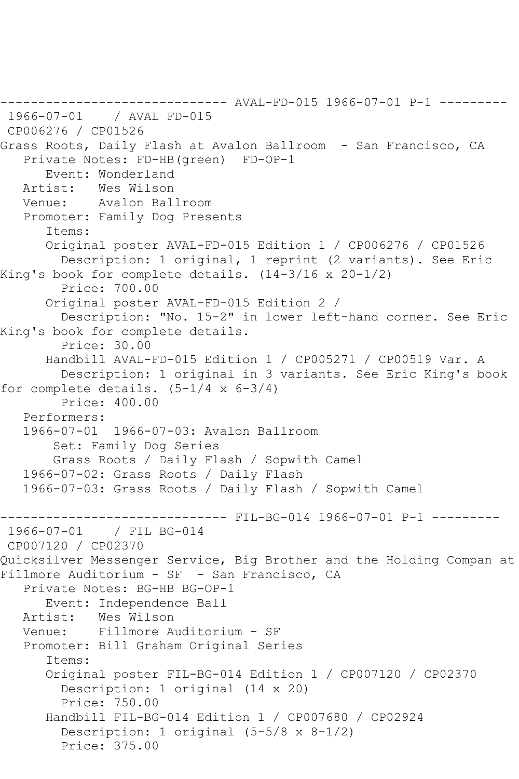```
------------------------------ AVAL-FD-015 1966-07-01 P-1 ---------
1966-07-01 / AVAL FD-015
CP006276 / CP01526
Grass Roots, Daily Flash at Avalon Ballroom - San Francisco, CA
    Private Notes: FD-HB(green) FD-OP-1
  Event: Wonderland<br>Artist: Wes Wilson
            Wes Wilson
   Venue: Avalon Ballroom
    Promoter: Family Dog Presents
       Items:
       Original poster AVAL-FD-015 Edition 1 / CP006276 / CP01526
         Description: 1 original, 1 reprint (2 variants). See Eric 
King's book for complete details. (14-3/16 x 20-1/2)
         Price: 700.00
       Original poster AVAL-FD-015 Edition 2 / 
         Description: "No. 15-2" in lower left-hand corner. See Eric 
King's book for complete details.
         Price: 30.00
       Handbill AVAL-FD-015 Edition 1 / CP005271 / CP00519 Var. A
         Description: 1 original in 3 variants. See Eric King's book 
for complete details. (5-1/4 \times 6-3/4) Price: 400.00
    Performers:
    1966-07-01 1966-07-03: Avalon Ballroom
        Set: Family Dog Series
        Grass Roots / Daily Flash / Sopwith Camel
    1966-07-02: Grass Roots / Daily Flash
   1966-07-03: Grass Roots / Daily Flash / Sopwith Camel
                   ------------------------------ FIL-BG-014 1966-07-01 P-1 ---------
1966-07-01 / FIL BG-014
CP007120 / CP02370
Quicksilver Messenger Service, Big Brother and the Holding Compan at 
Fillmore Auditorium - SF - San Francisco, CA
    Private Notes: BG-HB BG-OP-1
       Event: Independence Ball
   Artist: Wes Wilson
   Venue: Fillmore Auditorium - SF
    Promoter: Bill Graham Original Series
       Items:
       Original poster FIL-BG-014 Edition 1 / CP007120 / CP02370
         Description: 1 original (14 x 20)
         Price: 750.00
       Handbill FIL-BG-014 Edition 1 / CP007680 / CP02924
         Description: 1 original (5-5/8 x 8-1/2)
         Price: 375.00
```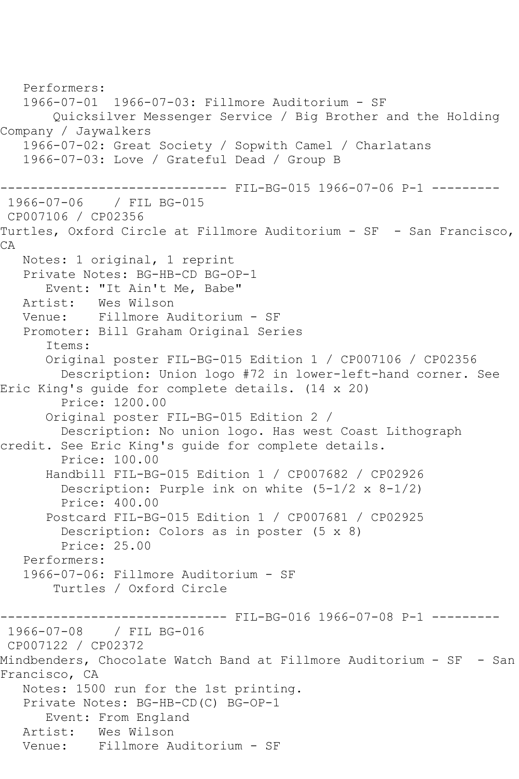```
 Performers:
   1966-07-01 1966-07-03: Fillmore Auditorium - SF
        Quicksilver Messenger Service / Big Brother and the Holding 
Company / Jaywalkers
   1966-07-02: Great Society / Sopwith Camel / Charlatans
   1966-07-03: Love / Grateful Dead / Group B
------------------------------ FIL-BG-015 1966-07-06 P-1 ---------
1966-07-06 / FIL BG-015
CP007106 / CP02356
Turtles, Oxford Circle at Fillmore Auditorium - SF - San Francisco, 
CA
   Notes: 1 original, 1 reprint
   Private Notes: BG-HB-CD BG-OP-1
      Event: "It Ain't Me, Babe"
   Artist: Wes Wilson
   Venue: Fillmore Auditorium - SF
   Promoter: Bill Graham Original Series
       Items:
      Original poster FIL-BG-015 Edition 1 / CP007106 / CP02356
         Description: Union logo #72 in lower-left-hand corner. See 
Eric King's guide for complete details. (14 x 20)
         Price: 1200.00
       Original poster FIL-BG-015 Edition 2 / 
         Description: No union logo. Has west Coast Lithograph 
credit. See Eric King's guide for complete details.
         Price: 100.00
       Handbill FIL-BG-015 Edition 1 / CP007682 / CP02926
         Description: Purple ink on white (5-1/2 x 8-1/2)
         Price: 400.00
       Postcard FIL-BG-015 Edition 1 / CP007681 / CP02925
         Description: Colors as in poster (5 x 8)
         Price: 25.00
   Performers:
   1966-07-06: Fillmore Auditorium - SF
        Turtles / Oxford Circle
                    ------------------------------ FIL-BG-016 1966-07-08 P-1 ---------
1966-07-08 / FIL BG-016
CP007122 / CP02372
Mindbenders, Chocolate Watch Band at Fillmore Auditorium - SF - San 
Francisco, CA
   Notes: 1500 run for the 1st printing.
   Private Notes: BG-HB-CD(C) BG-OP-1
      Event: From England
   Artist: Wes Wilson
   Venue: Fillmore Auditorium - SF
```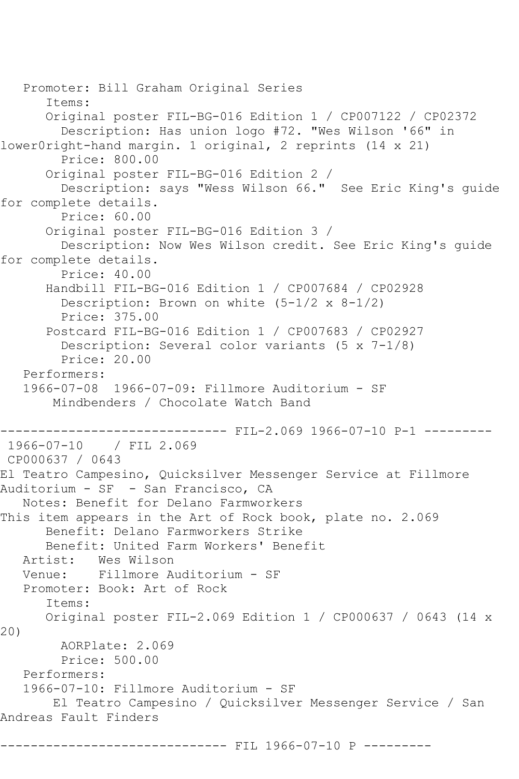Promoter: Bill Graham Original Series Items: Original poster FIL-BG-016 Edition 1 / CP007122 / CP02372 Description: Has union logo #72. "Wes Wilson '66" in lower0right-hand margin. 1 original, 2 reprints (14 x 21) Price: 800.00 Original poster FIL-BG-016 Edition 2 / Description: says "Wess Wilson 66." See Eric King's guide for complete details. Price: 60.00 Original poster FIL-BG-016 Edition 3 / Description: Now Wes Wilson credit. See Eric King's guide for complete details. Price: 40.00 Handbill FIL-BG-016 Edition 1 / CP007684 / CP02928 Description: Brown on white (5-1/2 x 8-1/2) Price: 375.00 Postcard FIL-BG-016 Edition 1 / CP007683 / CP02927 Description: Several color variants (5 x 7-1/8) Price: 20.00 Performers: 1966-07-08 1966-07-09: Fillmore Auditorium - SF Mindbenders / Chocolate Watch Band ------------------------------ FIL-2.069 1966-07-10 P-1 --------- 1966-07-10 / FIL 2.069 CP000637 / 0643 El Teatro Campesino, Quicksilver Messenger Service at Fillmore Auditorium - SF - San Francisco, CA Notes: Benefit for Delano Farmworkers This item appears in the Art of Rock book, plate no. 2.069 Benefit: Delano Farmworkers Strike Benefit: United Farm Workers' Benefit Artist: Wes Wilson<br>Venue: Fillmore A Venue: Fillmore Auditorium - SF Promoter: Book: Art of Rock Items: Original poster FIL-2.069 Edition 1 / CP000637 / 0643 (14 x 20) AORPlate: 2.069 Price: 500.00 Performers: 1966-07-10: Fillmore Auditorium - SF El Teatro Campesino / Quicksilver Messenger Service / San Andreas Fault Finders ------------------ FIL 1966-07-10 P ---------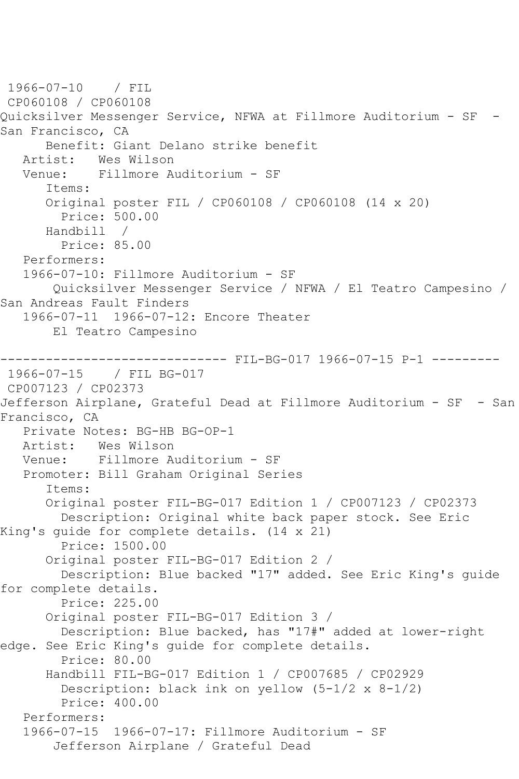1966-07-10 / FIL CP060108 / CP060108 Quicksilver Messenger Service, NFWA at Fillmore Auditorium - SF - San Francisco, CA Benefit: Giant Delano strike benefit<br>Artist: Wes Wilson Wes Wilson Venue: Fillmore Auditorium - SF Items: Original poster FIL / CP060108 / CP060108 (14 x 20) Price: 500.00 Handbill / Price: 85.00 Performers: 1966-07-10: Fillmore Auditorium - SF Quicksilver Messenger Service / NFWA / El Teatro Campesino / San Andreas Fault Finders 1966-07-11 1966-07-12: Encore Theater El Teatro Campesino --------------------------------- FIL-BG-017 1966-07-15 P-1 ----------<br>1966-07-15 / FIL BG-017 / FIL BG-017 CP007123 / CP02373 Jefferson Airplane, Grateful Dead at Fillmore Auditorium - SF - San Francisco, CA Private Notes: BG-HB BG-OP-1 Artist: Wes Wilson Venue: Fillmore Auditorium - SF Promoter: Bill Graham Original Series Items: Original poster FIL-BG-017 Edition 1 / CP007123 / CP02373 Description: Original white back paper stock. See Eric King's guide for complete details. (14 x 21) Price: 1500.00 Original poster FIL-BG-017 Edition 2 / Description: Blue backed "17" added. See Eric King's guide for complete details. Price: 225.00 Original poster FIL-BG-017 Edition 3 / Description: Blue backed, has "17#" added at lower-right edge. See Eric King's guide for complete details. Price: 80.00 Handbill FIL-BG-017 Edition 1 / CP007685 / CP02929 Description: black ink on yellow (5-1/2 x 8-1/2) Price: 400.00 Performers: 1966-07-15 1966-07-17: Fillmore Auditorium - SF Jefferson Airplane / Grateful Dead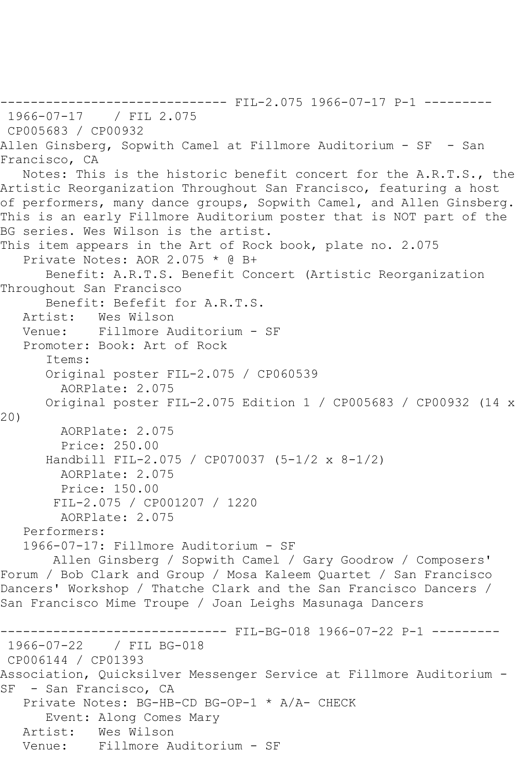```
------------------------------ FIL-2.075 1966-07-17 P-1 ---------
1966-07-17 / FIL 2.075
CP005683 / CP00932
Allen Ginsberg, Sopwith Camel at Fillmore Auditorium - SF - San 
Francisco, CA
   Notes: This is the historic benefit concert for the A.R.T.S., the 
Artistic Reorganization Throughout San Francisco, featuring a host 
of performers, many dance groups, Sopwith Camel, and Allen Ginsberg. 
This is an early Fillmore Auditorium poster that is NOT part of the 
BG series. Wes Wilson is the artist.
This item appears in the Art of Rock book, plate no. 2.075
   Private Notes: AOR 2.075 * @ B+
      Benefit: A.R.T.S. Benefit Concert (Artistic Reorganization 
Throughout San Francisco
      Benefit: Befefit for A.R.T.S.
   Artist: Wes Wilson
   Venue: Fillmore Auditorium - SF
   Promoter: Book: Art of Rock
       Items:
       Original poster FIL-2.075 / CP060539
        AORPlate: 2.075 
      Original poster FIL-2.075 Edition 1 / CP005683 / CP00932 (14 x 
20)
        AORPlate: 2.075 
        Price: 250.00
       Handbill FIL-2.075 / CP070037 (5-1/2 x 8-1/2)
        AORPlate: 2.075 
         Price: 150.00
       FIL-2.075 / CP001207 / 1220
        AORPlate: 2.075 
   Performers:
   1966-07-17: Fillmore Auditorium - SF
       Allen Ginsberg / Sopwith Camel / Gary Goodrow / Composers' 
Forum / Bob Clark and Group / Mosa Kaleem Quartet / San Francisco 
Dancers' Workshop / Thatche Clark and the San Francisco Dancers / 
San Francisco Mime Troupe / Joan Leighs Masunaga Dancers
------------------------------ FIL-BG-018 1966-07-22 P-1 ---------
1966-07-22 / FIL BG-018
CP006144 / CP01393
Association, Quicksilver Messenger Service at Fillmore Auditorium -
SF - San Francisco, CA
   Private Notes: BG-HB-CD BG-OP-1 * A/A- CHECK
      Event: Along Comes Mary
   Artist: Wes Wilson
   Venue: Fillmore Auditorium - SF
```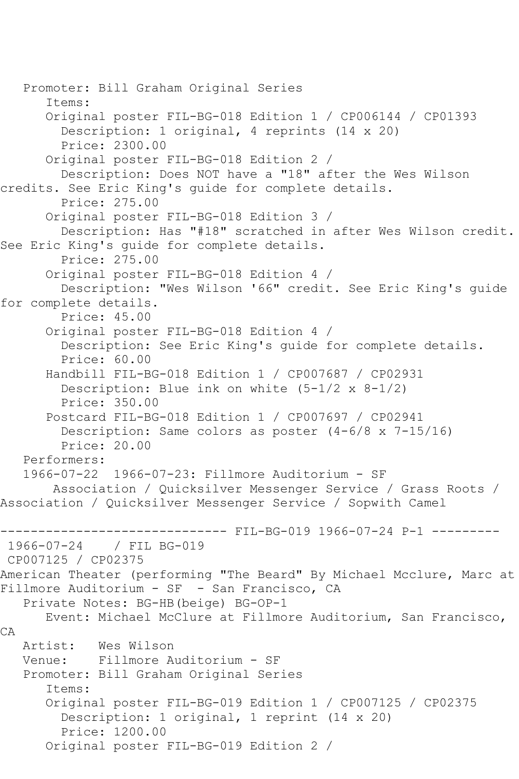Promoter: Bill Graham Original Series Items: Original poster FIL-BG-018 Edition 1 / CP006144 / CP01393 Description: 1 original, 4 reprints (14 x 20) Price: 2300.00 Original poster FIL-BG-018 Edition 2 / Description: Does NOT have a "18" after the Wes Wilson credits. See Eric King's guide for complete details. Price: 275.00 Original poster FIL-BG-018 Edition 3 / Description: Has "#18" scratched in after Wes Wilson credit. See Eric King's guide for complete details. Price: 275.00 Original poster FIL-BG-018 Edition 4 / Description: "Wes Wilson '66" credit. See Eric King's guide for complete details. Price: 45.00 Original poster FIL-BG-018 Edition 4 / Description: See Eric King's guide for complete details. Price: 60.00 Handbill FIL-BG-018 Edition 1 / CP007687 / CP02931 Description: Blue ink on white (5-1/2 x 8-1/2) Price: 350.00 Postcard FIL-BG-018 Edition 1 / CP007697 / CP02941 Description: Same colors as poster (4-6/8 x 7-15/16) Price: 20.00 Performers: 1966-07-22 1966-07-23: Fillmore Auditorium - SF Association / Quicksilver Messenger Service / Grass Roots / Association / Quicksilver Messenger Service / Sopwith Camel --------------------------------- FIL-BG-019 1966-07-24 P-1 ----------<br>1966-07-24 / FIL BG-019 1966-07-24 / FIL BG-019 CP007125 / CP02375 American Theater (performing "The Beard" By Michael Mcclure, Marc at Fillmore Auditorium - SF - San Francisco, CA Private Notes: BG-HB(beige) BG-OP-1 Event: Michael McClure at Fillmore Auditorium, San Francisco, CA Artist: Wes Wilson<br>Venue: Fillmore A Fillmore Auditorium - SF Promoter: Bill Graham Original Series Items: Original poster FIL-BG-019 Edition 1 / CP007125 / CP02375 Description: 1 original, 1 reprint (14 x 20) Price: 1200.00 Original poster FIL-BG-019 Edition 2 /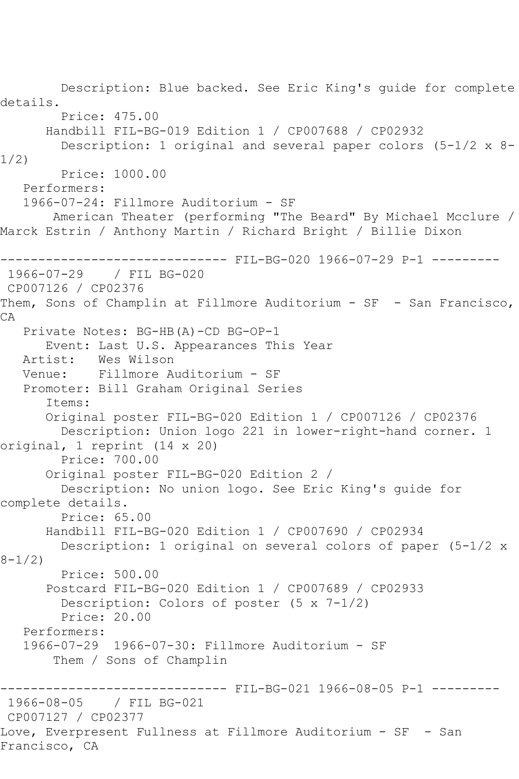Description: Blue backed. See Eric King's guide for complete details. Price: 475.00 Handbill FIL-BG-019 Edition 1 / CP007688 / CP02932 Description: 1 original and several paper colors (5-1/2 x 8- 1/2) Price: 1000.00 Performers: 1966-07-24: Fillmore Auditorium - SF American Theater (performing "The Beard" By Michael Mcclure / Marck Estrin / Anthony Martin / Richard Bright / Billie Dixon ------------------------------ FIL-BG-020 1966-07-29 P-1 --------- 1966-07-29 / FIL BG-020 CP007126 / CP02376 Them, Sons of Champlin at Fillmore Auditorium - SF - San Francisco, CA Private Notes: BG-HB(A)-CD BG-OP-1 Event: Last U.S. Appearances This Year Artist: Wes Wilson Venue: Fillmore Auditorium - SF Promoter: Bill Graham Original Series Items: Original poster FIL-BG-020 Edition 1 / CP007126 / CP02376 Description: Union logo 221 in lower-right-hand corner. 1 original, 1 reprint (14 x 20) Price: 700.00 Original poster FIL-BG-020 Edition 2 / Description: No union logo. See Eric King's guide for complete details. Price: 65.00 Handbill FIL-BG-020 Edition 1 / CP007690 / CP02934 Description: 1 original on several colors of paper (5-1/2 x  $8 - 1/2$  Price: 500.00 Postcard FIL-BG-020 Edition 1 / CP007689 / CP02933 Description: Colors of poster (5 x 7-1/2) Price: 20.00 Performers: 1966-07-29 1966-07-30: Fillmore Auditorium - SF Them / Sons of Champlin ------------------------------ FIL-BG-021 1966-08-05 P-1 ---------<br>1966-08-05 / FIL BG-021 / FIL BG-021 CP007127 / CP02377 Love, Everpresent Fullness at Fillmore Auditorium - SF - San Francisco, CA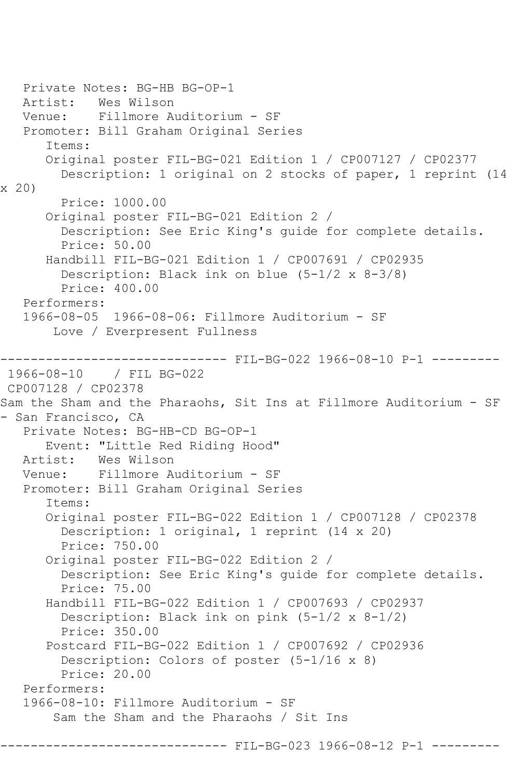Private Notes: BG-HB BG-OP-1 Artist: Wes Wilson Venue: Fillmore Auditorium - SF Promoter: Bill Graham Original Series Items: Original poster FIL-BG-021 Edition 1 / CP007127 / CP02377 Description: 1 original on 2 stocks of paper, 1 reprint (14 x 20) Price: 1000.00 Original poster FIL-BG-021 Edition 2 / Description: See Eric King's guide for complete details. Price: 50.00 Handbill FIL-BG-021 Edition 1 / CP007691 / CP02935 Description: Black ink on blue (5-1/2 x 8-3/8) Price: 400.00 Performers: 1966-08-05 1966-08-06: Fillmore Auditorium - SF Love / Everpresent Fullness --------------------------------- FIL-BG-022 1966-08-10 P-1 ----------<br>1966-08-10 / FIL BG-022 1966-08-10 / FIL BG-022 CP007128 / CP02378 Sam the Sham and the Pharaohs, Sit Ins at Fillmore Auditorium - SF - San Francisco, CA Private Notes: BG-HB-CD BG-OP-1 Event: "Little Red Riding Hood" Artist: Wes Wilson Venue: Fillmore Auditorium - SF Promoter: Bill Graham Original Series Items: Original poster FIL-BG-022 Edition 1 / CP007128 / CP02378 Description: 1 original, 1 reprint (14 x 20) Price: 750.00 Original poster FIL-BG-022 Edition 2 / Description: See Eric King's guide for complete details. Price: 75.00 Handbill FIL-BG-022 Edition 1 / CP007693 / CP02937 Description: Black ink on pink (5-1/2 x 8-1/2) Price: 350.00 Postcard FIL-BG-022 Edition 1 / CP007692 / CP02936 Description: Colors of poster (5-1/16 x 8) Price: 20.00 Performers: 1966-08-10: Fillmore Auditorium - SF Sam the Sham and the Pharaohs / Sit Ins

----- FIL-BG-023 1966-08-12 P-1 ------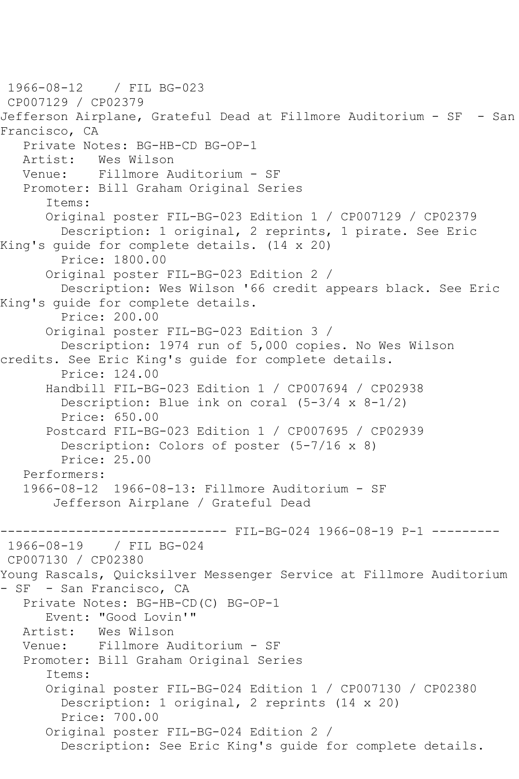1966-08-12 / FIL BG-023 CP007129 / CP02379 Jefferson Airplane, Grateful Dead at Fillmore Auditorium - SF - San Francisco, CA Private Notes: BG-HB-CD BG-OP-1<br>Artist: Wes Wilson Wes Wilson Venue: Fillmore Auditorium - SF Promoter: Bill Graham Original Series Items: Original poster FIL-BG-023 Edition 1 / CP007129 / CP02379 Description: 1 original, 2 reprints, 1 pirate. See Eric King's guide for complete details. (14 x 20) Price: 1800.00 Original poster FIL-BG-023 Edition 2 / Description: Wes Wilson '66 credit appears black. See Eric King's guide for complete details. Price: 200.00 Original poster FIL-BG-023 Edition 3 / Description: 1974 run of 5,000 copies. No Wes Wilson credits. See Eric King's guide for complete details. Price: 124.00 Handbill FIL-BG-023 Edition 1 / CP007694 / CP02938 Description: Blue ink on coral  $(5-3/4 \times 8-1/2)$  Price: 650.00 Postcard FIL-BG-023 Edition 1 / CP007695 / CP02939 Description: Colors of poster (5-7/16 x 8) Price: 25.00 Performers:<br>1966-08-12 1966-08-12 1966-08-13: Fillmore Auditorium - SF Jefferson Airplane / Grateful Dead ------------------------------ FIL-BG-024 1966-08-19 P-1 --------- 1966-08-19 / FIL BG-024 CP007130 / CP02380 Young Rascals, Quicksilver Messenger Service at Fillmore Auditorium - SF - San Francisco, CA Private Notes: BG-HB-CD(C) BG-OP-1 Event: "Good Lovin'" Artist: Wes Wilson<br>Venue: Fillmore A Fillmore Auditorium - SF Promoter: Bill Graham Original Series Items: Original poster FIL-BG-024 Edition 1 / CP007130 / CP02380 Description: 1 original, 2 reprints (14 x 20) Price: 700.00 Original poster FIL-BG-024 Edition 2 / Description: See Eric King's guide for complete details.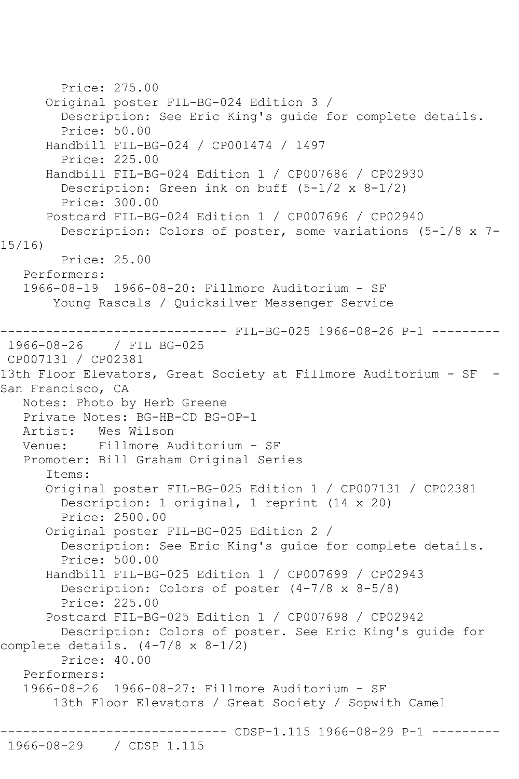Price: 275.00 Original poster FIL-BG-024 Edition 3 / Description: See Eric King's guide for complete details. Price: 50.00 Handbill FIL-BG-024 / CP001474 / 1497 Price: 225.00 Handbill FIL-BG-024 Edition 1 / CP007686 / CP02930 Description: Green ink on buff (5-1/2 x 8-1/2) Price: 300.00 Postcard FIL-BG-024 Edition 1 / CP007696 / CP02940 Description: Colors of poster, some variations (5-1/8 x 7- 15/16) Price: 25.00 Performers: 1966-08-19 1966-08-20: Fillmore Auditorium - SF Young Rascals / Quicksilver Messenger Service ---------- FIL-BG-025 1966-08-26 P-1 ---------1966-08-26 / FIL BG-025 CP007131 / CP02381 13th Floor Elevators, Great Society at Fillmore Auditorium - SF -San Francisco, CA Notes: Photo by Herb Greene Private Notes: BG-HB-CD BG-OP-1<br>Artist: Wes Wilson Artist: Wes Wilson<br>Venue: Fillmore A Fillmore Auditorium - SF Promoter: Bill Graham Original Series Items: Original poster FIL-BG-025 Edition 1 / CP007131 / CP02381 Description: 1 original, 1 reprint (14 x 20) Price: 2500.00 Original poster FIL-BG-025 Edition 2 / Description: See Eric King's guide for complete details. Price: 500.00 Handbill FIL-BG-025 Edition 1 / CP007699 / CP02943 Description: Colors of poster (4-7/8 x 8-5/8) Price: 225.00 Postcard FIL-BG-025 Edition 1 / CP007698 / CP02942 Description: Colors of poster. See Eric King's guide for complete details.  $(4-7/8 \times 8-1/2)$  Price: 40.00 Performers: 1966-08-26 1966-08-27: Fillmore Auditorium - SF 13th Floor Elevators / Great Society / Sopwith Camel ------------------------------ CDSP-1.115 1966-08-29 P-1 --------- 1966-08-29 / CDSP 1.115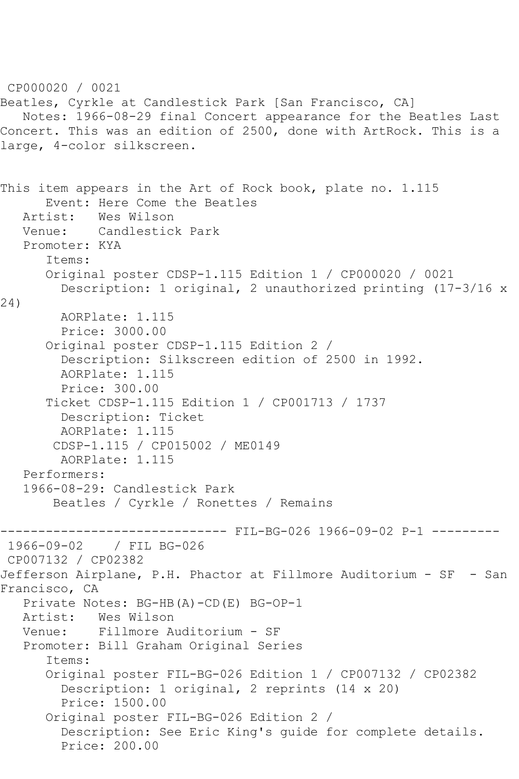CP000020 / 0021 Beatles, Cyrkle at Candlestick Park [San Francisco, CA] Notes: 1966-08-29 final Concert appearance for the Beatles Last Concert. This was an edition of 2500, done with ArtRock. This is a large, 4-color silkscreen. This item appears in the Art of Rock book, plate no. 1.115 Event: Here Come the Beatles Artist: Wes Wilson Venue: Candlestick Park Promoter: KYA Items: Original poster CDSP-1.115 Edition 1 / CP000020 / 0021 Description: 1 original, 2 unauthorized printing (17-3/16 x 24) AORPlate: 1.115 Price: 3000.00 Original poster CDSP-1.115 Edition 2 / Description: Silkscreen edition of 2500 in 1992. AORPlate: 1.115 Price: 300.00 Ticket CDSP-1.115 Edition 1 / CP001713 / 1737 Description: Ticket AORPlate: 1.115 CDSP-1.115 / CP015002 / ME0149 AORPlate: 1.115 Performers: 1966-08-29: Candlestick Park Beatles / Cyrkle / Ronettes / Remains ------------------------------ FIL-BG-026 1966-09-02 P-1 --------- / FIL BG-026 CP007132 / CP02382 Jefferson Airplane, P.H. Phactor at Fillmore Auditorium - SF - San Francisco, CA Private Notes: BG-HB(A)-CD(E) BG-OP-1 Artist: Wes Wilson Venue: Fillmore Auditorium - SF Promoter: Bill Graham Original Series Items: Original poster FIL-BG-026 Edition 1 / CP007132 / CP02382 Description: 1 original, 2 reprints (14 x 20) Price: 1500.00 Original poster FIL-BG-026 Edition 2 / Description: See Eric King's guide for complete details. Price: 200.00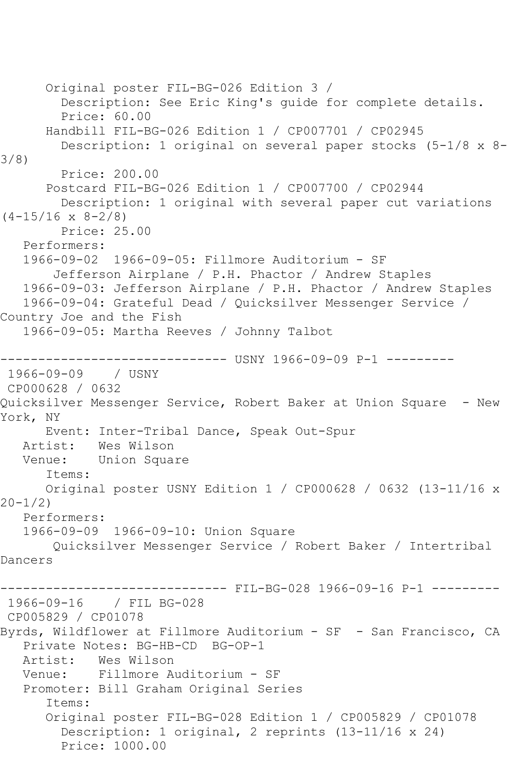```
 Original poster FIL-BG-026 Edition 3 / 
         Description: See Eric King's guide for complete details.
         Price: 60.00
       Handbill FIL-BG-026 Edition 1 / CP007701 / CP02945
         Description: 1 original on several paper stocks (5-1/8 x 8-
3/8)
        Price: 200.00
       Postcard FIL-BG-026 Edition 1 / CP007700 / CP02944
         Description: 1 original with several paper cut variations 
(4-15/16 \times 8-2/8) Price: 25.00
   Performers:
   1966-09-02 1966-09-05: Fillmore Auditorium - SF
        Jefferson Airplane / P.H. Phactor / Andrew Staples
   1966-09-03: Jefferson Airplane / P.H. Phactor / Andrew Staples
   1966-09-04: Grateful Dead / Quicksilver Messenger Service / 
Country Joe and the Fish
   1966-09-05: Martha Reeves / Johnny Talbot
------------------------------ USNY 1966-09-09 P-1 ---------
1966-09-09 / USNY 
CP000628 / 0632
Quicksilver Messenger Service, Robert Baker at Union Square - New 
York, NY
      Event: Inter-Tribal Dance, Speak Out-Spur
   Artist: Wes Wilson
   Venue: Union Square
       Items:
      Original poster USNY Edition 1 / CP000628 / 0632 (13-11/16 x 
20-1/2)
   Performers:
   1966-09-09 1966-09-10: Union Square
        Quicksilver Messenger Service / Robert Baker / Intertribal 
Dancers
------------------------------ FIL-BG-028 1966-09-16 P-1 ---------
1966-09-16 / FIL BG-028
CP005829 / CP01078
Byrds, Wildflower at Fillmore Auditorium - SF - San Francisco, CA
   Private Notes: BG-HB-CD BG-OP-1
   Artist: Wes Wilson
   Venue: Fillmore Auditorium - SF
   Promoter: Bill Graham Original Series
       Items:
       Original poster FIL-BG-028 Edition 1 / CP005829 / CP01078
         Description: 1 original, 2 reprints (13-11/16 x 24)
        Price: 1000.00
```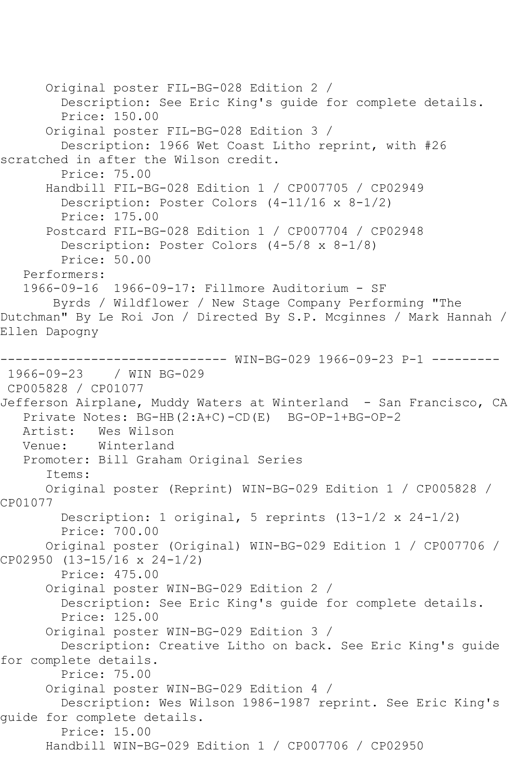Original poster FIL-BG-028 Edition 2 / Description: See Eric King's guide for complete details. Price: 150.00 Original poster FIL-BG-028 Edition 3 / Description: 1966 Wet Coast Litho reprint, with #26 scratched in after the Wilson credit. Price: 75.00 Handbill FIL-BG-028 Edition 1 / CP007705 / CP02949 Description: Poster Colors (4-11/16 x 8-1/2) Price: 175.00 Postcard FIL-BG-028 Edition 1 / CP007704 / CP02948 Description: Poster Colors (4-5/8 x 8-1/8) Price: 50.00 Performers: 1966-09-16 1966-09-17: Fillmore Auditorium - SF Byrds / Wildflower / New Stage Company Performing "The Dutchman" By Le Roi Jon / Directed By S.P. Mcginnes / Mark Hannah / Ellen Dapogny ------------------------------ WIN-BG-029 1966-09-23 P-1 --------- 1966-09-23 / WIN BG-029 CP005828 / CP01077 Jefferson Airplane, Muddy Waters at Winterland - San Francisco, CA Private Notes: BG-HB(2:A+C)-CD(E) BG-OP-1+BG-OP-2<br>Artist: Wes Wilson Artist: Wes Wilson<br>Venue: Winterland Winterland Promoter: Bill Graham Original Series Items: Original poster (Reprint) WIN-BG-029 Edition 1 / CP005828 / CP01077 Description: 1 original, 5 reprints (13-1/2 x 24-1/2) Price: 700.00 Original poster (Original) WIN-BG-029 Edition 1 / CP007706 / CP02950 (13-15/16 x 24-1/2) Price: 475.00 Original poster WIN-BG-029 Edition 2 / Description: See Eric King's guide for complete details. Price: 125.00 Original poster WIN-BG-029 Edition 3 / Description: Creative Litho on back. See Eric King's guide for complete details. Price: 75.00 Original poster WIN-BG-029 Edition 4 / Description: Wes Wilson 1986-1987 reprint. See Eric King's guide for complete details. Price: 15.00 Handbill WIN-BG-029 Edition 1 / CP007706 / CP02950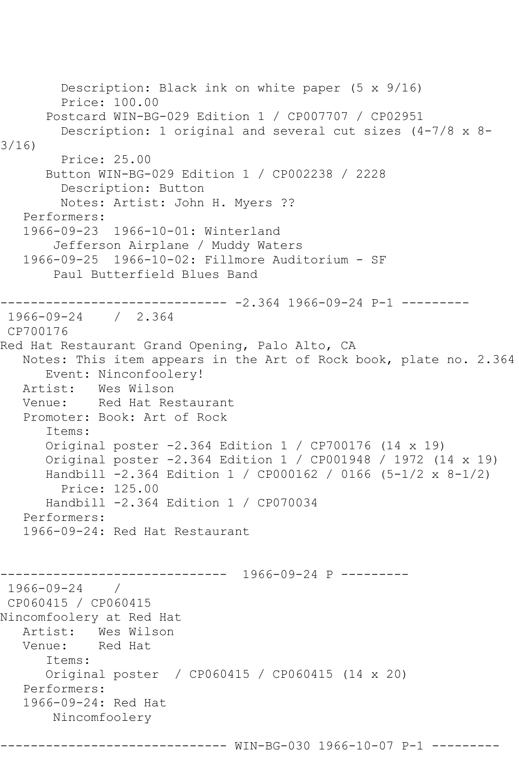```
 Description: Black ink on white paper (5 x 9/16)
         Price: 100.00
       Postcard WIN-BG-029 Edition 1 / CP007707 / CP02951
         Description: 1 original and several cut sizes (4-7/8 x 8-
3/16)
         Price: 25.00
       Button WIN-BG-029 Edition 1 / CP002238 / 2228
         Description: Button
         Notes: Artist: John H. Myers ??
    Performers:
    1966-09-23 1966-10-01: Winterland
        Jefferson Airplane / Muddy Waters
    1966-09-25 1966-10-02: Fillmore Auditorium - SF
        Paul Butterfield Blues Band
         ------------------------------ -2.364 1966-09-24 P-1 ---------
1966-09-24 / 2.364
CP700176
Red Hat Restaurant Grand Opening, Palo Alto, CA
   Notes: This item appears in the Art of Rock book, plate no. 2.364
       Event: Ninconfoolery!
   Artist: Wes Wilson
   Venue: Red Hat Restaurant
    Promoter: Book: Art of Rock
       Items:
       Original poster -2.364 Edition 1 / CP700176 (14 x 19)
       Original poster -2.364 Edition 1 / CP001948 / 1972 (14 x 19)
       Handbill -2.364 Edition 1 / CP000162 / 0166 (5-1/2 x 8-1/2)
         Price: 125.00
       Handbill -2.364 Edition 1 / CP070034
    Performers:
    1966-09-24: Red Hat Restaurant
                      ------------------------------ 1966-09-24 P ---------
1966-09-24 / 
CP060415 / CP060415
Nincomfoolery at Red Hat
  Artist: Wes Wilson<br>Venue: Red Hat
            Red Hat
       Items:
       Original poster / CP060415 / CP060415 (14 x 20)
   Performers:
    1966-09-24: Red Hat
        Nincomfoolery
```
------------------------------ WIN-BG-030 1966-10-07 P-1 ---------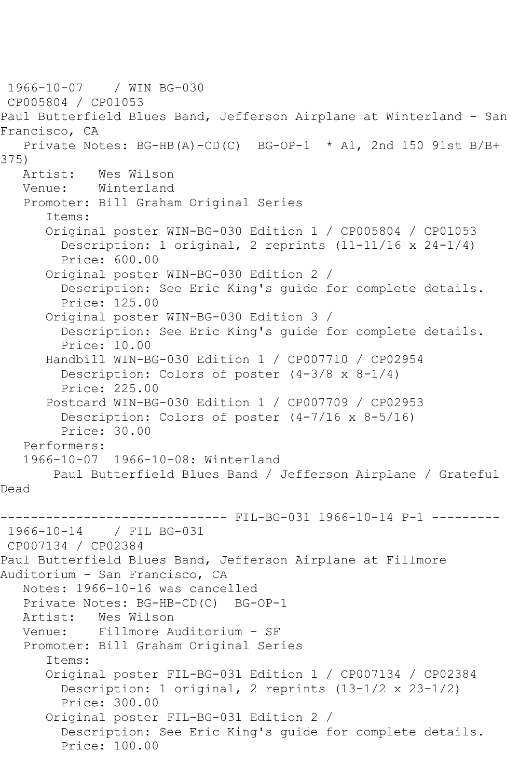```
1966-10-07 / WIN BG-030
CP005804 / CP01053
Paul Butterfield Blues Band, Jefferson Airplane at Winterland - San 
Francisco, CA
    Private Notes: BG-HB(A)-CD(C) BG-OP-1 * A1, 2nd 150 91st B/B+ 
375)<br>Artist:
            Wes Wilson
   Venue: Winterland
    Promoter: Bill Graham Original Series
       Items:
       Original poster WIN-BG-030 Edition 1 / CP005804 / CP01053
         Description: 1 original, 2 reprints (11-11/16 x 24-1/4)
         Price: 600.00
       Original poster WIN-BG-030 Edition 2 / 
         Description: See Eric King's guide for complete details.
         Price: 125.00
       Original poster WIN-BG-030 Edition 3 / 
         Description: See Eric King's guide for complete details.
         Price: 10.00
       Handbill WIN-BG-030 Edition 1 / CP007710 / CP02954
         Description: Colors of poster (4-3/8 x 8-1/4)
         Price: 225.00
       Postcard WIN-BG-030 Edition 1 / CP007709 / CP02953
         Description: Colors of poster (4-7/16 x 8-5/16)
         Price: 30.00
    Performers:
    1966-10-07 1966-10-08: Winterland
        Paul Butterfield Blues Band / Jefferson Airplane / Grateful 
Dead
                   ------------------------------ FIL-BG-031 1966-10-14 P-1 ---------
1966-10-14 / FIL BG-031
CP007134 / CP02384
Paul Butterfield Blues Band, Jefferson Airplane at Fillmore 
Auditorium - San Francisco, CA
    Notes: 1966-10-16 was cancelled
  Private Notes: BG-HB-CD(C) BG-OP-1<br>Artist: Wes Wilson
            Wes Wilson
   Venue: Fillmore Auditorium - SF
    Promoter: Bill Graham Original Series
       Items:
       Original poster FIL-BG-031 Edition 1 / CP007134 / CP02384
         Description: 1 original, 2 reprints (13-1/2 x 23-1/2)
         Price: 300.00
       Original poster FIL-BG-031 Edition 2 / 
         Description: See Eric King's guide for complete details.
         Price: 100.00
```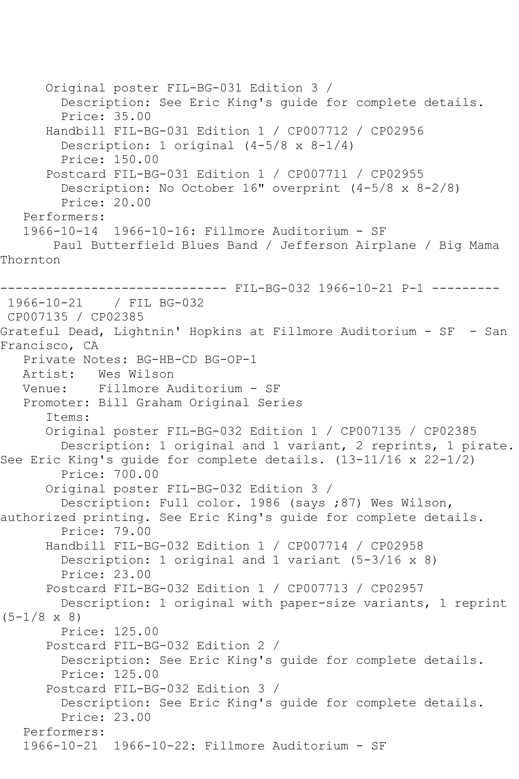Original poster FIL-BG-031 Edition 3 / Description: See Eric King's guide for complete details. Price: 35.00 Handbill FIL-BG-031 Edition 1 / CP007712 / CP02956 Description: 1 original (4-5/8 x 8-1/4) Price: 150.00 Postcard FIL-BG-031 Edition 1 / CP007711 / CP02955 Description: No October 16" overprint (4-5/8 x 8-2/8) Price: 20.00 Performers: 1966-10-14 1966-10-16: Fillmore Auditorium - SF Paul Butterfield Blues Band / Jefferson Airplane / Big Mama Thornton ------------------------------ FIL-BG-032 1966-10-21 P-1 --------- 1966-10-21 / FIL BG-032 CP007135 / CP02385 Grateful Dead, Lightnin' Hopkins at Fillmore Auditorium - SF - San Francisco, CA Private Notes: BG-HB-CD BG-OP-1 Artist: Wes Wilson Venue: Fillmore Auditorium - SF Promoter: Bill Graham Original Series Items: Original poster FIL-BG-032 Edition 1 / CP007135 / CP02385 Description: 1 original and 1 variant, 2 reprints, 1 pirate. See Eric King's guide for complete details. (13-11/16 x 22-1/2) Price: 700.00 Original poster FIL-BG-032 Edition 3 / Description: Full color. 1986 (says ;87) Wes Wilson, authorized printing. See Eric King's guide for complete details. Price: 79.00 Handbill FIL-BG-032 Edition 1 / CP007714 / CP02958 Description: 1 original and 1 variant (5-3/16 x 8) Price: 23.00 Postcard FIL-BG-032 Edition 1 / CP007713 / CP02957 Description: 1 original with paper-size variants, 1 reprint  $(5-1/8 \times 8)$  Price: 125.00 Postcard FIL-BG-032 Edition 2 / Description: See Eric King's guide for complete details. Price: 125.00 Postcard FIL-BG-032 Edition 3 / Description: See Eric King's guide for complete details. Price: 23.00 Performers: 1966-10-21 1966-10-22: Fillmore Auditorium - SF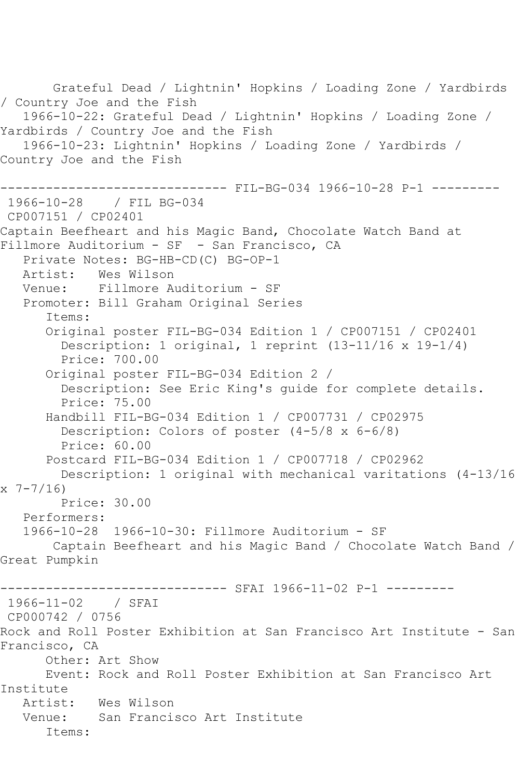Grateful Dead / Lightnin' Hopkins / Loading Zone / Yardbirds / Country Joe and the Fish 1966-10-22: Grateful Dead / Lightnin' Hopkins / Loading Zone / Yardbirds / Country Joe and the Fish 1966-10-23: Lightnin' Hopkins / Loading Zone / Yardbirds / Country Joe and the Fish ------------------------------ FIL-BG-034 1966-10-28 P-1 --------- 1966-10-28 / FIL BG-034 CP007151 / CP02401 Captain Beefheart and his Magic Band, Chocolate Watch Band at Fillmore Auditorium - SF - San Francisco, CA Private Notes: BG-HB-CD(C) BG-OP-1 Artist: Wes Wilson Venue: Fillmore Auditorium - SF Promoter: Bill Graham Original Series Items: Original poster FIL-BG-034 Edition 1 / CP007151 / CP02401 Description: 1 original, 1 reprint (13-11/16 x 19-1/4) Price: 700.00 Original poster FIL-BG-034 Edition 2 / Description: See Eric King's guide for complete details. Price: 75.00 Handbill FIL-BG-034 Edition 1 / CP007731 / CP02975 Description: Colors of poster (4-5/8 x 6-6/8) Price: 60.00 Postcard FIL-BG-034 Edition 1 / CP007718 / CP02962 Description: 1 original with mechanical varitations (4-13/16 x 7-7/16) Price: 30.00 Performers: 1966-10-28 1966-10-30: Fillmore Auditorium - SF Captain Beefheart and his Magic Band / Chocolate Watch Band / Great Pumpkin ------------------------------ SFAI 1966-11-02 P-1 --------- 1966-11-02 / SFAI CP000742 / 0756 Rock and Roll Poster Exhibition at San Francisco Art Institute - San Francisco, CA Other: Art Show Event: Rock and Roll Poster Exhibition at San Francisco Art Institute Wes Wilson Venue: San Francisco Art Institute Items: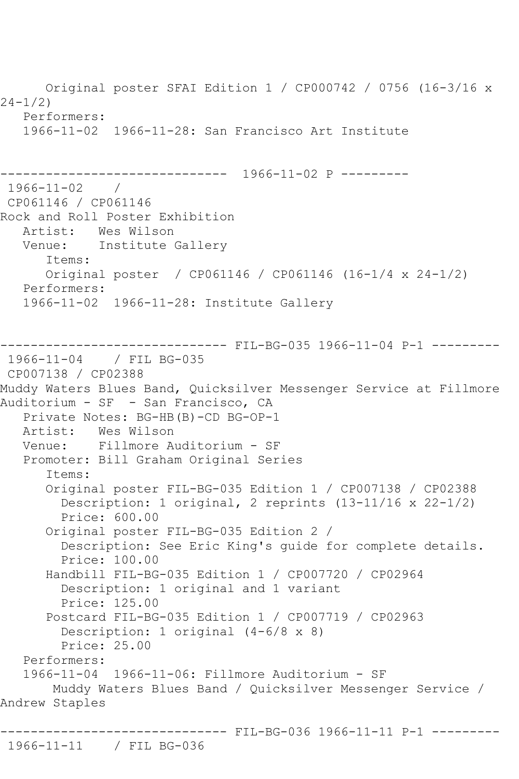Original poster SFAI Edition 1 / CP000742 / 0756 (16-3/16 x 24-1/2) Performers: 1966-11-02 1966-11-28: San Francisco Art Institute ------------------------------ 1966-11-02 P --------- 1966-11-02 / CP061146 / CP061146 Rock and Roll Poster Exhibition Artist: Wes Wilson<br>Venue: Institute Institute Gallery Items: Original poster / CP061146 / CP061146 (16-1/4 x 24-1/2) Performers: 1966-11-02 1966-11-28: Institute Gallery -------- FIL-BG-035 1966-11-04 P-1 ---------1966-11-04 / FIL BG-035 CP007138 / CP02388 Muddy Waters Blues Band, Quicksilver Messenger Service at Fillmore Auditorium - SF - San Francisco, CA Private Notes: BG-HB(B)-CD BG-OP-1 Artist: Wes Wilson<br>Venue: Fillmore A Fillmore Auditorium - SF Promoter: Bill Graham Original Series Items: Original poster FIL-BG-035 Edition 1 / CP007138 / CP02388 Description: 1 original, 2 reprints (13-11/16 x 22-1/2) Price: 600.00 Original poster FIL-BG-035 Edition 2 / Description: See Eric King's guide for complete details. Price: 100.00 Handbill FIL-BG-035 Edition 1 / CP007720 / CP02964 Description: 1 original and 1 variant Price: 125.00 Postcard FIL-BG-035 Edition 1 / CP007719 / CP02963 Description: 1 original (4-6/8 x 8) Price: 25.00 Performers: 1966-11-04 1966-11-06: Fillmore Auditorium - SF Muddy Waters Blues Band / Quicksilver Messenger Service / Andrew Staples ------------------------------ FIL-BG-036 1966-11-11 P-1 ---------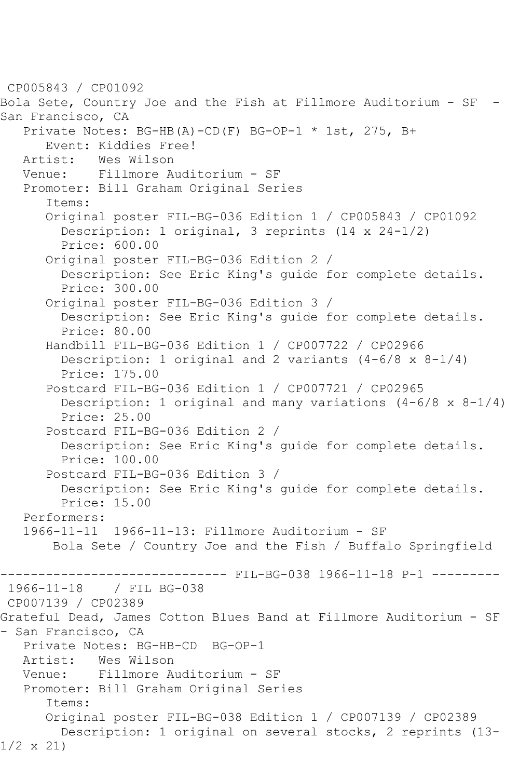CP005843 / CP01092 Bola Sete, Country Joe and the Fish at Fillmore Auditorium - SF - San Francisco, CA Private Notes: BG-HB(A)-CD(F) BG-OP-1 \* 1st, 275, B+ Event: Kiddies Free!<br>Artist: Wes Wilson Wes Wilson Venue: Fillmore Auditorium - SF Promoter: Bill Graham Original Series Items: Original poster FIL-BG-036 Edition 1 / CP005843 / CP01092 Description: 1 original, 3 reprints (14 x 24-1/2) Price: 600.00 Original poster FIL-BG-036 Edition 2 / Description: See Eric King's guide for complete details. Price: 300.00 Original poster FIL-BG-036 Edition 3 / Description: See Eric King's guide for complete details. Price: 80.00 Handbill FIL-BG-036 Edition 1 / CP007722 / CP02966 Description: 1 original and 2 variants  $(4-6/8 \times 8-1/4)$  Price: 175.00 Postcard FIL-BG-036 Edition 1 / CP007721 / CP02965 Description: 1 original and many variations  $(4-6/8 \times 8-1/4)$  Price: 25.00 Postcard FIL-BG-036 Edition 2 / Description: See Eric King's guide for complete details. Price: 100.00 Postcard FIL-BG-036 Edition 3 / Description: See Eric King's guide for complete details. Price: 15.00 Performers: 1966-11-11 1966-11-13: Fillmore Auditorium - SF Bola Sete / Country Joe and the Fish / Buffalo Springfield -------------------------------- FIL-BG-038 1966-11-18 P-1 ----------<br>1966-11-18 / FIL BG-038 / FIL BG-038 CP007139 / CP02389 Grateful Dead, James Cotton Blues Band at Fillmore Auditorium - SF - San Francisco, CA Private Notes: BG-HB-CD BG-OP-1<br>Artist: Wes Wilson Artist: Wes Wilson<br>Venue: Fillmore A Fillmore Auditorium - SF Promoter: Bill Graham Original Series Items: Original poster FIL-BG-038 Edition 1 / CP007139 / CP02389 Description: 1 original on several stocks, 2 reprints (13- 1/2 x 21)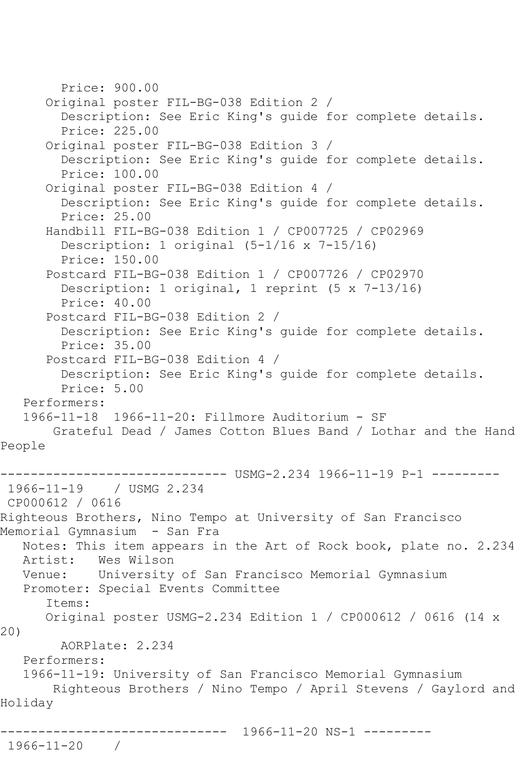```
 Price: 900.00
       Original poster FIL-BG-038 Edition 2 / 
         Description: See Eric King's guide for complete details.
         Price: 225.00
       Original poster FIL-BG-038 Edition 3 / 
         Description: See Eric King's guide for complete details.
         Price: 100.00
       Original poster FIL-BG-038 Edition 4 / 
         Description: See Eric King's guide for complete details.
         Price: 25.00
       Handbill FIL-BG-038 Edition 1 / CP007725 / CP02969
         Description: 1 original (5-1/16 x 7-15/16)
         Price: 150.00
       Postcard FIL-BG-038 Edition 1 / CP007726 / CP02970
         Description: 1 original, 1 reprint (5 x 7-13/16)
         Price: 40.00
       Postcard FIL-BG-038 Edition 2 / 
         Description: See Eric King's guide for complete details.
         Price: 35.00
       Postcard FIL-BG-038 Edition 4 / 
         Description: See Eric King's guide for complete details.
         Price: 5.00
   Performers:
    1966-11-18 1966-11-20: Fillmore Auditorium - SF
        Grateful Dead / James Cotton Blues Band / Lothar and the Hand 
People
                   ------------------------------ USMG-2.234 1966-11-19 P-1 ---------
1966-11-19 / USMG 2.234
CP000612 / 0616
Righteous Brothers, Nino Tempo at University of San Francisco 
Memorial Gymnasium - San Fra
   Notes: This item appears in the Art of Rock book, plate no. 2.234
   Artist: Wes Wilson
   Venue: University of San Francisco Memorial Gymnasium
   Promoter: Special Events Committee
       Items:
       Original poster USMG-2.234 Edition 1 / CP000612 / 0616 (14 x 
20)
         AORPlate: 2.234 
    Performers:
    1966-11-19: University of San Francisco Memorial Gymnasium
        Righteous Brothers / Nino Tempo / April Stevens / Gaylord and 
Holiday
              ------------------------------ 1966-11-20 NS-1 ---------
1966-11-20 /
```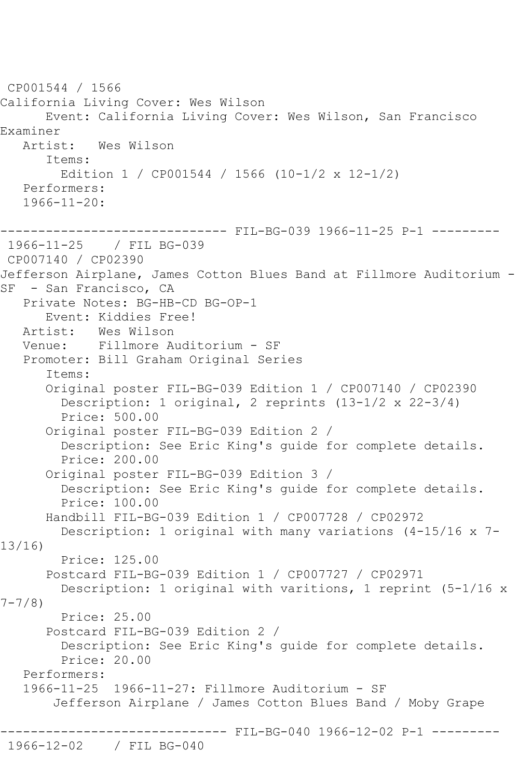CP001544 / 1566 California Living Cover: Wes Wilson Event: California Living Cover: Wes Wilson, San Francisco Examiner<br>Artist: Wes Wilson Items: Edition 1 / CP001544 / 1566 (10-1/2 x 12-1/2) Performers:  $1966 - 11 - 20:$ ------------------------------ FIL-BG-039 1966-11-25 P-1 --------- 1966-11-25 / FIL BG-039 CP007140 / CP02390 Jefferson Airplane, James Cotton Blues Band at Fillmore Auditorium - SF - San Francisco, CA Private Notes: BG-HB-CD BG-OP-1 Event: Kiddies Free! Artist: Wes Wilson Venue: Fillmore Auditorium - SF Promoter: Bill Graham Original Series Items: Original poster FIL-BG-039 Edition 1 / CP007140 / CP02390 Description: 1 original, 2 reprints (13-1/2 x 22-3/4) Price: 500.00 Original poster FIL-BG-039 Edition 2 / Description: See Eric King's guide for complete details. Price: 200.00 Original poster FIL-BG-039 Edition 3 / Description: See Eric King's guide for complete details. Price: 100.00 Handbill FIL-BG-039 Edition 1 / CP007728 / CP02972 Description: 1 original with many variations (4-15/16 x 7- 13/16) Price: 125.00 Postcard FIL-BG-039 Edition 1 / CP007727 / CP02971 Description: 1 original with varitions, 1 reprint (5-1/16 x 7-7/8) Price: 25.00 Postcard FIL-BG-039 Edition 2 / Description: See Eric King's guide for complete details. Price: 20.00 Performers: 1966-11-25 1966-11-27: Fillmore Auditorium - SF Jefferson Airplane / James Cotton Blues Band / Moby Grape --------- FIL-BG-040 1966-12-02 P-1 ---------1966-12-02 / FIL BG-040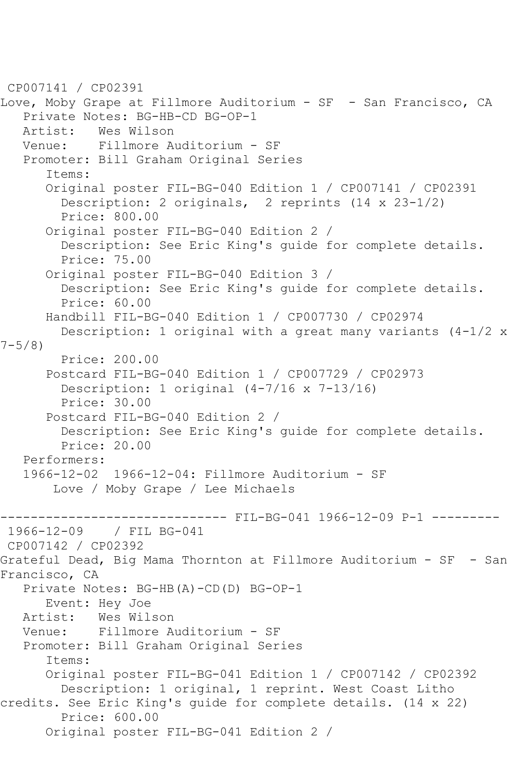CP007141 / CP02391 Love, Moby Grape at Fillmore Auditorium - SF - San Francisco, CA Private Notes: BG-HB-CD BG-OP-1<br>Artist: Wes Wilson Artist: Wes Wilson<br>Venue: Fillmore A Fillmore Auditorium - SF Promoter: Bill Graham Original Series Items: Original poster FIL-BG-040 Edition 1 / CP007141 / CP02391 Description: 2 originals, 2 reprints (14 x 23-1/2) Price: 800.00 Original poster FIL-BG-040 Edition 2 / Description: See Eric King's guide for complete details. Price: 75.00 Original poster FIL-BG-040 Edition 3 / Description: See Eric King's guide for complete details. Price: 60.00 Handbill FIL-BG-040 Edition 1 / CP007730 / CP02974 Description: 1 original with a great many variants (4-1/2 x  $7 - 5/8$  Price: 200.00 Postcard FIL-BG-040 Edition 1 / CP007729 / CP02973 Description: 1 original (4-7/16 x 7-13/16) Price: 30.00 Postcard FIL-BG-040 Edition 2 / Description: See Eric King's guide for complete details. Price: 20.00 Performers: 1966-12-02 1966-12-04: Fillmore Auditorium - SF Love / Moby Grape / Lee Michaels ------ FIL-BG-041 1966-12-09 P-1 ---------1966-12-09 / FIL BG-041 CP007142 / CP02392 Grateful Dead, Big Mama Thornton at Fillmore Auditorium - SF - San Francisco, CA Private Notes: BG-HB(A)-CD(D) BG-OP-1 Event: Hey Joe Artist: Wes Wilson<br>Venue: Fillmore A Fillmore Auditorium - SF Promoter: Bill Graham Original Series Items: Original poster FIL-BG-041 Edition 1 / CP007142 / CP02392 Description: 1 original, 1 reprint. West Coast Litho credits. See Eric King's guide for complete details. (14 x 22) Price: 600.00 Original poster FIL-BG-041 Edition 2 /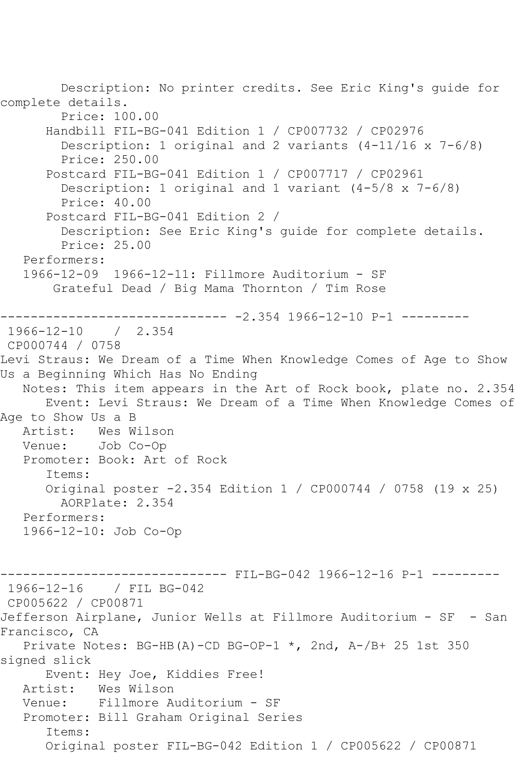Description: No printer credits. See Eric King's guide for complete details. Price: 100.00 Handbill FIL-BG-041 Edition 1 / CP007732 / CP02976 Description: 1 original and 2 variants (4-11/16 x 7-6/8) Price: 250.00 Postcard FIL-BG-041 Edition 1 / CP007717 / CP02961 Description: 1 original and 1 variant (4-5/8 x 7-6/8) Price: 40.00 Postcard FIL-BG-041 Edition 2 / Description: See Eric King's guide for complete details. Price: 25.00 Performers: 1966-12-09 1966-12-11: Fillmore Auditorium - SF Grateful Dead / Big Mama Thornton / Tim Rose ------------------------------ -2.354 1966-12-10 P-1 --------- 1966-12-10 / 2.354 CP000744 / 0758 Levi Straus: We Dream of a Time When Knowledge Comes of Age to Show Us a Beginning Which Has No Ending Notes: This item appears in the Art of Rock book, plate no. 2.354 Event: Levi Straus: We Dream of a Time When Knowledge Comes of Age to Show Us a B<br>Artist: Wes W Artist: Wes Wilson<br>Venue: Job Co-Op Job Co-Op Promoter: Book: Art of Rock Items: Original poster -2.354 Edition 1 / CP000744 / 0758 (19 x 25) AORPlate: 2.354 Performers: 1966-12-10: Job Co-Op ---- FIL-BG-042 1966-12-16 P-1 ---------1966-12-16 / FIL BG-042 CP005622 / CP00871 Jefferson Airplane, Junior Wells at Fillmore Auditorium - SF - San Francisco, CA Private Notes: BG-HB(A)-CD BG-OP-1  $\star$ , 2nd, A-/B+ 25 1st 350 signed slick Event: Hey Joe, Kiddies Free!<br>Artist: Wes Wilson Wes Wilson Venue: Fillmore Auditorium - SF Promoter: Bill Graham Original Series Items: Original poster FIL-BG-042 Edition 1 / CP005622 / CP00871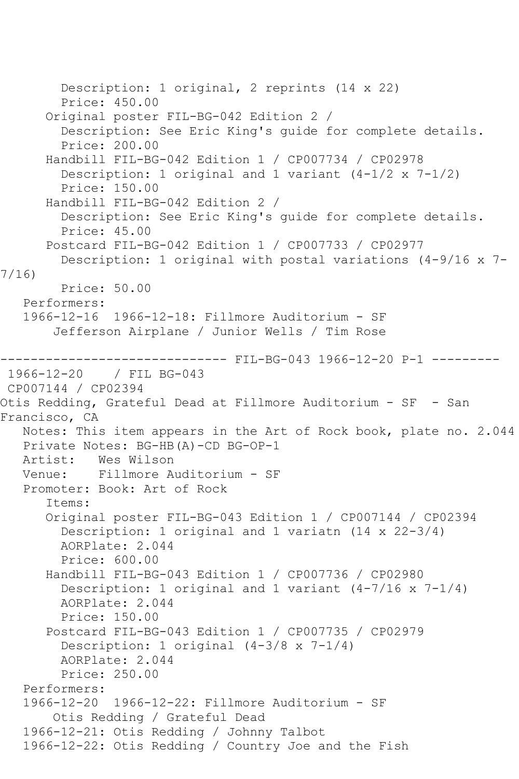Description: 1 original, 2 reprints (14 x 22) Price: 450.00 Original poster FIL-BG-042 Edition 2 / Description: See Eric King's guide for complete details. Price: 200.00 Handbill FIL-BG-042 Edition 1 / CP007734 / CP02978 Description: 1 original and 1 variant (4-1/2 x 7-1/2) Price: 150.00 Handbill FIL-BG-042 Edition 2 / Description: See Eric King's guide for complete details. Price: 45.00 Postcard FIL-BG-042 Edition 1 / CP007733 / CP02977 Description: 1 original with postal variations (4-9/16 x 7- 7/16) Price: 50.00 Performers: 1966-12-16 1966-12-18: Fillmore Auditorium - SF Jefferson Airplane / Junior Wells / Tim Rose ------------------------------ FIL-BG-043 1966-12-20 P-1 --------- / FIL BG-043 CP007144 / CP02394 Otis Redding, Grateful Dead at Fillmore Auditorium - SF - San Francisco, CA Notes: This item appears in the Art of Rock book, plate no. 2.044 Private Notes: BG-HB(A)-CD BG-OP-1<br>Artist: Wes Wilson Wes Wilson Venue: Fillmore Auditorium - SF Promoter: Book: Art of Rock Items: Original poster FIL-BG-043 Edition 1 / CP007144 / CP02394 Description: 1 original and 1 variatn (14 x 22-3/4) AORPlate: 2.044 Price: 600.00 Handbill FIL-BG-043 Edition 1 / CP007736 / CP02980 Description: 1 original and 1 variant  $(4-7/16 \times 7-1/4)$  AORPlate: 2.044 Price: 150.00 Postcard FIL-BG-043 Edition 1 / CP007735 / CP02979 Description: 1 original (4-3/8 x 7-1/4) AORPlate: 2.044 Price: 250.00 Performers: 1966-12-20 1966-12-22: Fillmore Auditorium - SF Otis Redding / Grateful Dead 1966-12-21: Otis Redding / Johnny Talbot 1966-12-22: Otis Redding / Country Joe and the Fish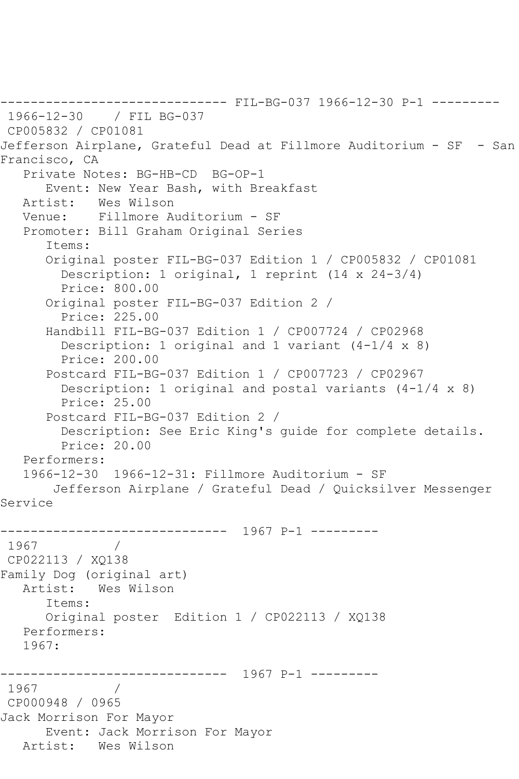```
------------------------------ FIL-BG-037 1966-12-30 P-1 ---------
1966-12-30 / FIL BG-037
CP005832 / CP01081
Jefferson Airplane, Grateful Dead at Fillmore Auditorium - SF - San 
Francisco, CA
   Private Notes: BG-HB-CD BG-OP-1
       Event: New Year Bash, with Breakfast
   Artist: Wes Wilson
   Venue: Fillmore Auditorium - SF
   Promoter: Bill Graham Original Series
       Items:
      Original poster FIL-BG-037 Edition 1 / CP005832 / CP01081
        Description: 1 original, 1 reprint (14 x 24-3/4)
         Price: 800.00
       Original poster FIL-BG-037 Edition 2 / 
         Price: 225.00
       Handbill FIL-BG-037 Edition 1 / CP007724 / CP02968
        Description: 1 original and 1 variant (4-1/4 \times 8) Price: 200.00
       Postcard FIL-BG-037 Edition 1 / CP007723 / CP02967
         Description: 1 original and postal variants (4-1/4 x 8)
         Price: 25.00
       Postcard FIL-BG-037 Edition 2 / 
         Description: See Eric King's guide for complete details.
         Price: 20.00
   Performers:
   1966-12-30 1966-12-31: Fillmore Auditorium - SF
       Jefferson Airplane / Grateful Dead / Quicksilver Messenger 
Service
------------------------------ 1967 P-1 ---------
 1967 / 
 CP022113 / XQ138
Family Dog (original art)
   Artist: Wes Wilson
       Items:
      Original poster Edition 1 / CP022113 / XQ138
   Performers:
   1967:
        ------------------------------ 1967 P-1 ---------
1967 / 
CP000948 / 0965
Jack Morrison For Mayor
      Event: Jack Morrison For Mayor
   Artist: Wes Wilson
```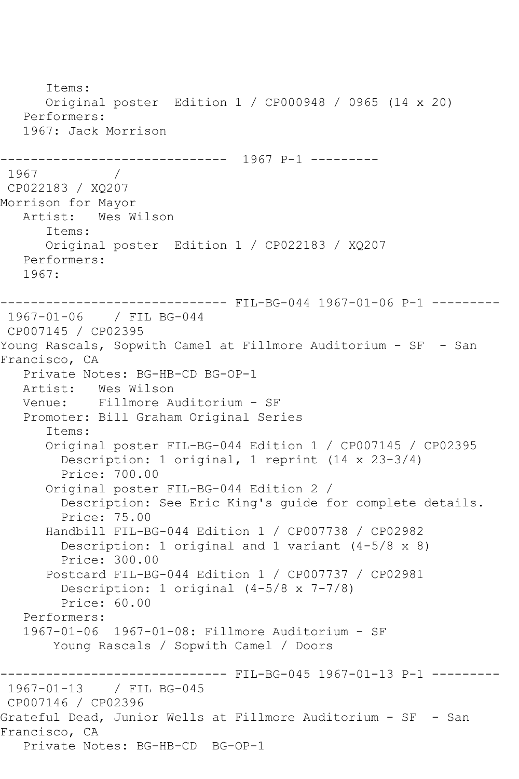Items: Original poster Edition 1 / CP000948 / 0965 (14 x 20) Performers: 1967: Jack Morrison ------------------------------ 1967 P-1 --------- 1967 CP022183 / XQ207 Morrison for Mayor Artist: Wes Wilson Items: Original poster Edition 1 / CP022183 / XQ207 Performers: 1967: ------------------------------ FIL-BG-044 1967-01-06 P-1 --------- 1967-01-06 / FIL BG-044 CP007145 / CP02395 Young Rascals, Sopwith Camel at Fillmore Auditorium - SF - San Francisco, CA Private Notes: BG-HB-CD BG-OP-1 Artist: Wes Wilson Venue: Fillmore Auditorium - SF Promoter: Bill Graham Original Series Items: Original poster FIL-BG-044 Edition 1 / CP007145 / CP02395 Description: 1 original, 1 reprint (14 x 23-3/4) Price: 700.00 Original poster FIL-BG-044 Edition 2 / Description: See Eric King's guide for complete details. Price: 75.00 Handbill FIL-BG-044 Edition 1 / CP007738 / CP02982 Description: 1 original and 1 variant (4-5/8 x 8) Price: 300.00 Postcard FIL-BG-044 Edition 1 / CP007737 / CP02981 Description: 1 original (4-5/8 x 7-7/8) Price: 60.00 Performers: 1967-01-06 1967-01-08: Fillmore Auditorium - SF Young Rascals / Sopwith Camel / Doors ------------------------------ FIL-BG-045 1967-01-13 P-1 --------- 1967-01-13 / FIL BG-045 CP007146 / CP02396 Grateful Dead, Junior Wells at Fillmore Auditorium - SF - San Francisco, CA Private Notes: BG-HB-CD BG-OP-1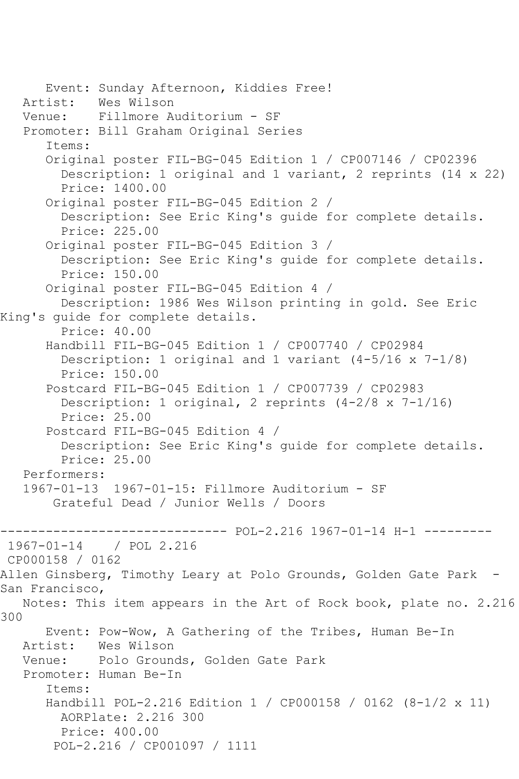Event: Sunday Afternoon, Kiddies Free! Artist: Wes Wilson<br>Venue: Fillmore A Fillmore Auditorium - SF Promoter: Bill Graham Original Series Items: Original poster FIL-BG-045 Edition 1 / CP007146 / CP02396 Description: 1 original and 1 variant, 2 reprints (14 x 22) Price: 1400.00 Original poster FIL-BG-045 Edition 2 / Description: See Eric King's guide for complete details. Price: 225.00 Original poster FIL-BG-045 Edition 3 / Description: See Eric King's guide for complete details. Price: 150.00 Original poster FIL-BG-045 Edition 4 / Description: 1986 Wes Wilson printing in gold. See Eric King's guide for complete details. Price: 40.00 Handbill FIL-BG-045 Edition 1 / CP007740 / CP02984 Description: 1 original and 1 variant (4-5/16 x 7-1/8) Price: 150.00 Postcard FIL-BG-045 Edition 1 / CP007739 / CP02983 Description: 1 original, 2 reprints (4-2/8 x 7-1/16) Price: 25.00 Postcard FIL-BG-045 Edition 4 / Description: See Eric King's guide for complete details. Price: 25.00 Performers: 1967-01-13 1967-01-15: Fillmore Auditorium - SF Grateful Dead / Junior Wells / Doors ------------------------------ POL-2.216 1967-01-14 H-1 --------- / POL 2.216 CP000158 / 0162 Allen Ginsberg, Timothy Leary at Polo Grounds, Golden Gate Park - San Francisco, Notes: This item appears in the Art of Rock book, plate no. 2.216 300 Event: Pow-Wow, A Gathering of the Tribes, Human Be-In Artist: Wes Wilson<br>Venue: Polo Grouno Polo Grounds, Golden Gate Park Promoter: Human Be-In Items: Handbill POL-2.216 Edition 1 / CP000158 / 0162 (8-1/2 x 11) AORPlate: 2.216 300 Price: 400.00 POL-2.216 / CP001097 / 1111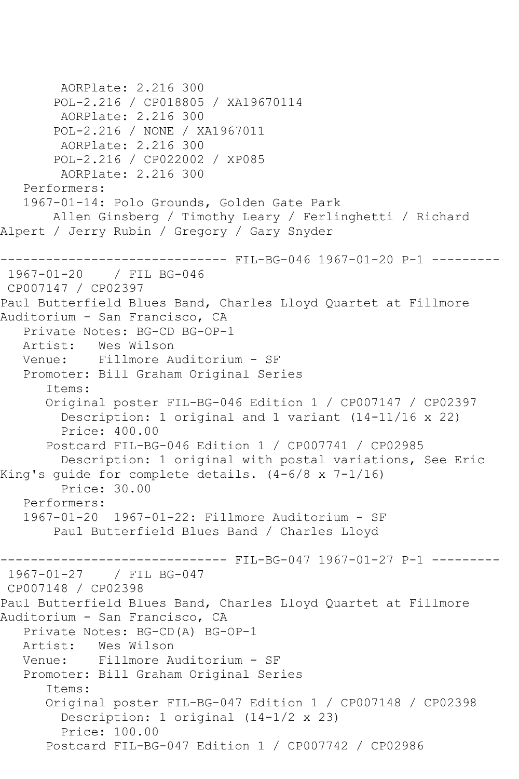```
 AORPlate: 2.216 300 
        POL-2.216 / CP018805 / XA19670114
        AORPlate: 2.216 300 
        POL-2.216 / NONE / XA1967011
        AORPlate: 2.216 300 
        POL-2.216 / CP022002 / XP085
        AORPlate: 2.216 300 
   Performers:
   1967-01-14: Polo Grounds, Golden Gate Park
        Allen Ginsberg / Timothy Leary / Ferlinghetti / Richard 
Alpert / Jerry Rubin / Gregory / Gary Snyder
------------------------------ FIL-BG-046 1967-01-20 P-1 ---------
1967-01-20 / FIL BG-046
CP007147 / CP02397
Paul Butterfield Blues Band, Charles Lloyd Quartet at Fillmore 
Auditorium - San Francisco, CA
   Private Notes: BG-CD BG-OP-1
   Artist: Wes Wilson
   Venue: Fillmore Auditorium - SF
   Promoter: Bill Graham Original Series
       Items:
       Original poster FIL-BG-046 Edition 1 / CP007147 / CP02397
         Description: 1 original and 1 variant (14-11/16 x 22)
         Price: 400.00
       Postcard FIL-BG-046 Edition 1 / CP007741 / CP02985
         Description: 1 original with postal variations, See Eric 
King's guide for complete details. (4-6/8 x 7-1/16)
        Price: 30.00
   Performers:
   1967-01-20 1967-01-22: Fillmore Auditorium - SF
        Paul Butterfield Blues Band / Charles Lloyd
------------------------------ FIL-BG-047 1967-01-27 P-1 ---------
1967-01-27 / FIL BG-047
CP007148 / CP02398
Paul Butterfield Blues Band, Charles Lloyd Quartet at Fillmore 
Auditorium - San Francisco, CA
   Private Notes: BG-CD(A) BG-OP-1
   Artist: Wes Wilson
   Venue: Fillmore Auditorium - SF
   Promoter: Bill Graham Original Series
       Items:
       Original poster FIL-BG-047 Edition 1 / CP007148 / CP02398
         Description: 1 original (14-1/2 x 23)
         Price: 100.00
       Postcard FIL-BG-047 Edition 1 / CP007742 / CP02986
```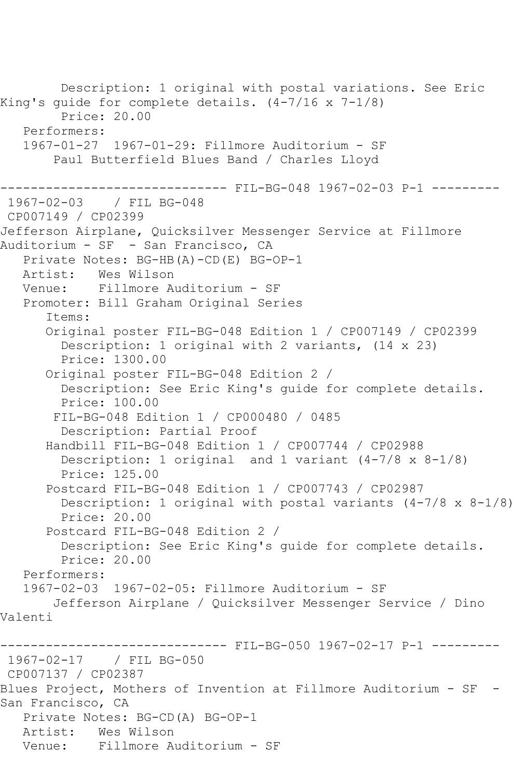```
 Description: 1 original with postal variations. See Eric 
King's guide for complete details. (4-7/16 x 7-1/8)
         Price: 20.00
   Performers:
   1967-01-27 1967-01-29: Fillmore Auditorium - SF
        Paul Butterfield Blues Band / Charles Lloyd
------------------------------ FIL-BG-048 1967-02-03 P-1 ---------
1967-02-03 / FIL BG-048
CP007149 / CP02399
Jefferson Airplane, Quicksilver Messenger Service at Fillmore 
Auditorium - SF - San Francisco, CA
   Private Notes: BG-HB(A)-CD(E) BG-OP-1
   Artist: Wes Wilson
   Venue: Fillmore Auditorium - SF
   Promoter: Bill Graham Original Series
       Items:
       Original poster FIL-BG-048 Edition 1 / CP007149 / CP02399
         Description: 1 original with 2 variants, (14 x 23)
         Price: 1300.00
       Original poster FIL-BG-048 Edition 2 / 
         Description: See Eric King's guide for complete details.
         Price: 100.00
       FIL-BG-048 Edition 1 / CP000480 / 0485
         Description: Partial Proof
       Handbill FIL-BG-048 Edition 1 / CP007744 / CP02988
         Description: 1 original and 1 variant (4-7/8 x 8-1/8)
         Price: 125.00
       Postcard FIL-BG-048 Edition 1 / CP007743 / CP02987
         Description: 1 original with postal variants (4-7/8 x 8-1/8)
         Price: 20.00
       Postcard FIL-BG-048 Edition 2 / 
         Description: See Eric King's guide for complete details.
        Price: 20.00
   Performers:
   1967-02-03 1967-02-05: Fillmore Auditorium - SF
       Jefferson Airplane / Quicksilver Messenger Service / Dino 
Valenti
------------------------------ FIL-BG-050 1967-02-17 P-1 ---------
1967-02-17 / FIL BG-050
CP007137 / CP02387
Blues Project, Mothers of Invention at Fillmore Auditorium - SF -
San Francisco, CA
   Private Notes: BG-CD(A) BG-OP-1
   Artist: Wes Wilson
   Venue: Fillmore Auditorium - SF
```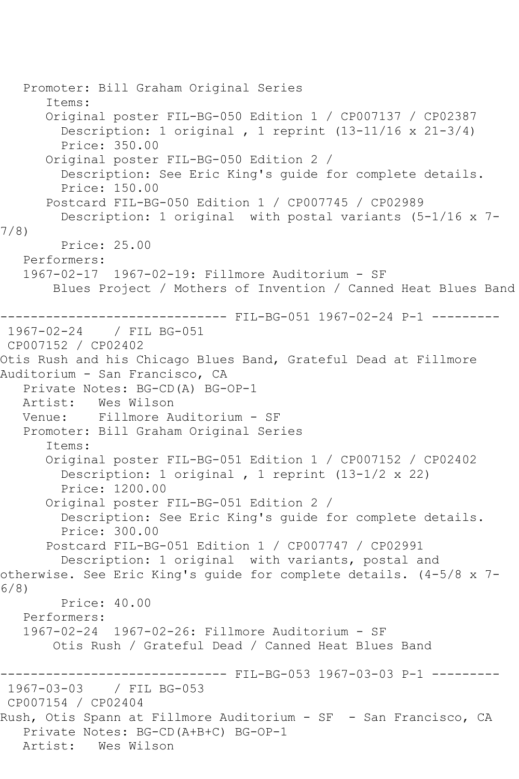Promoter: Bill Graham Original Series Items: Original poster FIL-BG-050 Edition 1 / CP007137 / CP02387 Description: 1 original , 1 reprint (13-11/16 x 21-3/4) Price: 350.00 Original poster FIL-BG-050 Edition 2 / Description: See Eric King's guide for complete details. Price: 150.00 Postcard FIL-BG-050 Edition 1 / CP007745 / CP02989 Description: 1 original with postal variants (5-1/16 x 7- 7/8) Price: 25.00 Performers: 1967-02-17 1967-02-19: Fillmore Auditorium - SF Blues Project / Mothers of Invention / Canned Heat Blues Band ------------------------------ FIL-BG-051 1967-02-24 P-1 --------- 1967-02-24 / FIL BG-051 CP007152 / CP02402 Otis Rush and his Chicago Blues Band, Grateful Dead at Fillmore Auditorium - San Francisco, CA Private Notes: BG-CD(A) BG-OP-1 Artist: Wes Wilson Venue: Fillmore Auditorium - SF Promoter: Bill Graham Original Series Items: Original poster FIL-BG-051 Edition 1 / CP007152 / CP02402 Description: 1 original , 1 reprint (13-1/2 x 22) Price: 1200.00 Original poster FIL-BG-051 Edition 2 / Description: See Eric King's guide for complete details. Price: 300.00 Postcard FIL-BG-051 Edition 1 / CP007747 / CP02991 Description: 1 original with variants, postal and otherwise. See Eric King's guide for complete details. (4-5/8 x 7- 6/8) Price: 40.00 Performers: 1967-02-24 1967-02-26: Fillmore Auditorium - SF Otis Rush / Grateful Dead / Canned Heat Blues Band ------------------------------ FIL-BG-053 1967-03-03 P-1 --------- 1967-03-03 / FIL BG-053 CP007154 / CP02404 Rush, Otis Spann at Fillmore Auditorium - SF - San Francisco, CA Private Notes: BG-CD(A+B+C) BG-OP-1 Artist: Wes Wilson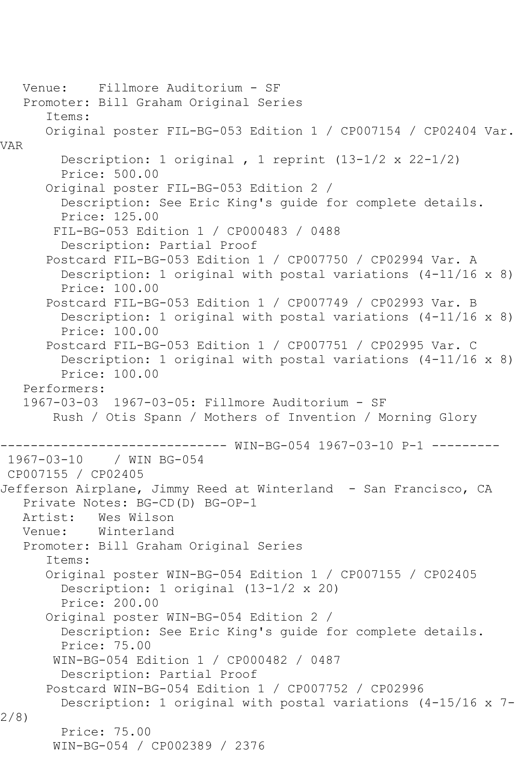Venue: Fillmore Auditorium - SF Promoter: Bill Graham Original Series Items: Original poster FIL-BG-053 Edition 1 / CP007154 / CP02404 Var. VAR Description: 1 original , 1 reprint (13-1/2 x 22-1/2) Price: 500.00 Original poster FIL-BG-053 Edition 2 / Description: See Eric King's guide for complete details. Price: 125.00 FIL-BG-053 Edition 1 / CP000483 / 0488 Description: Partial Proof Postcard FIL-BG-053 Edition 1 / CP007750 / CP02994 Var. A Description: 1 original with postal variations (4-11/16 x 8) Price: 100.00 Postcard FIL-BG-053 Edition 1 / CP007749 / CP02993 Var. B Description: 1 original with postal variations (4-11/16 x 8) Price: 100.00 Postcard FIL-BG-053 Edition 1 / CP007751 / CP02995 Var. C Description: 1 original with postal variations (4-11/16 x 8) Price: 100.00 Performers: 1967-03-03 1967-03-05: Fillmore Auditorium - SF Rush / Otis Spann / Mothers of Invention / Morning Glory ------------------------------ WIN-BG-054 1967-03-10 P-1 --------- 1967-03-10 / WIN BG-054 CP007155 / CP02405 Jefferson Airplane, Jimmy Reed at Winterland - San Francisco, CA Private Notes: BG-CD(D) BG-OP-1 Artist: Wes Wilson Venue: Winterland Promoter: Bill Graham Original Series Items: Original poster WIN-BG-054 Edition 1 / CP007155 / CP02405 Description: 1 original (13-1/2 x 20) Price: 200.00 Original poster WIN-BG-054 Edition 2 / Description: See Eric King's guide for complete details. Price: 75.00 WIN-BG-054 Edition 1 / CP000482 / 0487 Description: Partial Proof Postcard WIN-BG-054 Edition 1 / CP007752 / CP02996 Description: 1 original with postal variations (4-15/16 x 7- 2/8) Price: 75.00 WIN-BG-054 / CP002389 / 2376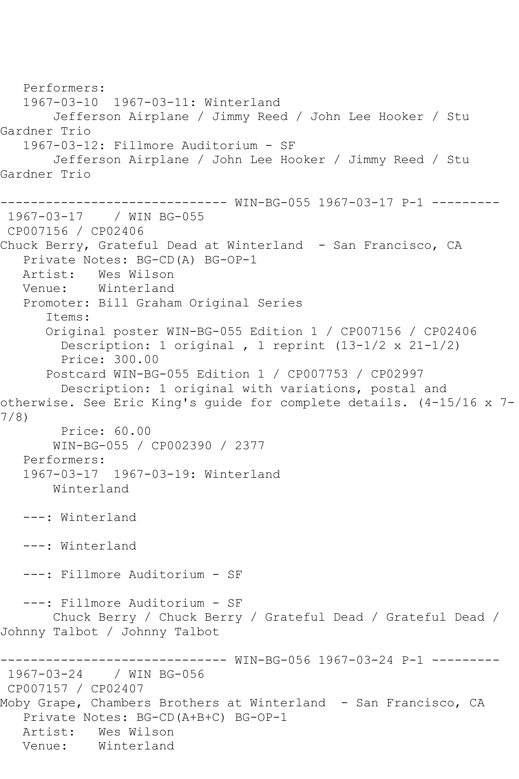Performers: 1967-03-10 1967-03-11: Winterland Jefferson Airplane / Jimmy Reed / John Lee Hooker / Stu Gardner Trio 1967-03-12: Fillmore Auditorium - SF Jefferson Airplane / John Lee Hooker / Jimmy Reed / Stu Gardner Trio ------------------------------ WIN-BG-055 1967-03-17 P-1 --------- 1967-03-17 / WIN BG-055 CP007156 / CP02406 Chuck Berry, Grateful Dead at Winterland - San Francisco, CA Private Notes: BG-CD(A) BG-OP-1 Artist: Wes Wilson Venue: Winterland Promoter: Bill Graham Original Series Items: Original poster WIN-BG-055 Edition 1 / CP007156 / CP02406 Description: 1 original, 1 reprint  $(13-1/2 \times 21-1/2)$  Price: 300.00 Postcard WIN-BG-055 Edition 1 / CP007753 / CP02997 Description: 1 original with variations, postal and otherwise. See Eric King's guide for complete details. (4-15/16 x 7- 7/8) Price: 60.00 WIN-BG-055 / CP002390 / 2377 Performers: 1967-03-17 1967-03-19: Winterland Winterland ---: Winterland ---: Winterland ---: Fillmore Auditorium - SF ---: Fillmore Auditorium - SF Chuck Berry / Chuck Berry / Grateful Dead / Grateful Dead / Johnny Talbot / Johnny Talbot ------------------------------ WIN-BG-056 1967-03-24 P-1 --------- 1967-03-24 / WIN BG-056 CP007157 / CP02407 Moby Grape, Chambers Brothers at Winterland - San Francisco, CA Private Notes: BG-CD(A+B+C) BG-OP-1 Artist: Wes Wilson Venue: Winterland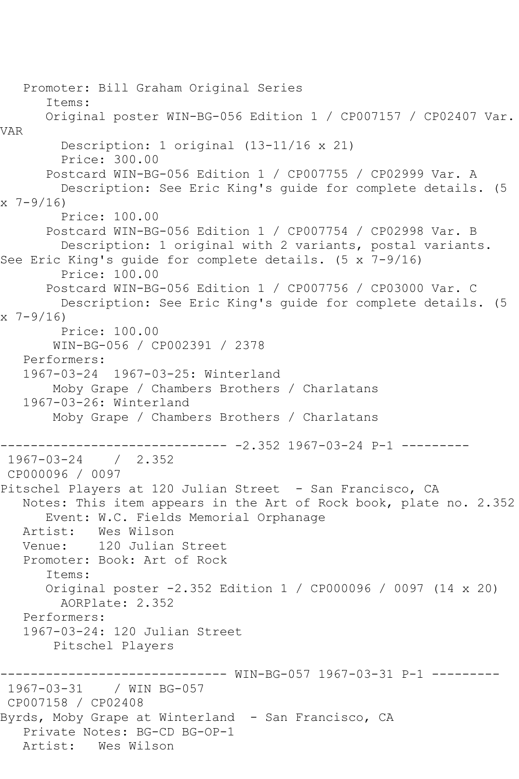Promoter: Bill Graham Original Series Items: Original poster WIN-BG-056 Edition 1 / CP007157 / CP02407 Var. VAR Description: 1 original (13-11/16 x 21) Price: 300.00 Postcard WIN-BG-056 Edition 1 / CP007755 / CP02999 Var. A Description: See Eric King's guide for complete details. (5  $x \t7-9/16$  Price: 100.00 Postcard WIN-BG-056 Edition 1 / CP007754 / CP02998 Var. B Description: 1 original with 2 variants, postal variants. See Eric King's guide for complete details. (5 x 7-9/16) Price: 100.00 Postcard WIN-BG-056 Edition 1 / CP007756 / CP03000 Var. C Description: See Eric King's guide for complete details. (5 x 7-9/16) Price: 100.00 WIN-BG-056 / CP002391 / 2378 Performers: 1967-03-24 1967-03-25: Winterland Moby Grape / Chambers Brothers / Charlatans 1967-03-26: Winterland Moby Grape / Chambers Brothers / Charlatans ------------------------------ -2.352 1967-03-24 P-1 --------- 1967-03-24 / 2.352 CP000096 / 0097 Pitschel Players at 120 Julian Street - San Francisco, CA Notes: This item appears in the Art of Rock book, plate no. 2.352 Event: W.C. Fields Memorial Orphanage<br>Artist: Wes Wilson Artist: Wes Wilson<br>Venue: 120 Julian 120 Julian Street Promoter: Book: Art of Rock Items: Original poster -2.352 Edition 1 / CP000096 / 0097 (14 x 20) AORPlate: 2.352 Performers: 1967-03-24: 120 Julian Street Pitschel Players ------------------------------ WIN-BG-057 1967-03-31 P-1 --------- 1967-03-31 / WIN BG-057 CP007158 / CP02408 Byrds, Moby Grape at Winterland - San Francisco, CA Private Notes: BG-CD BG-OP-1 Artist: Wes Wilson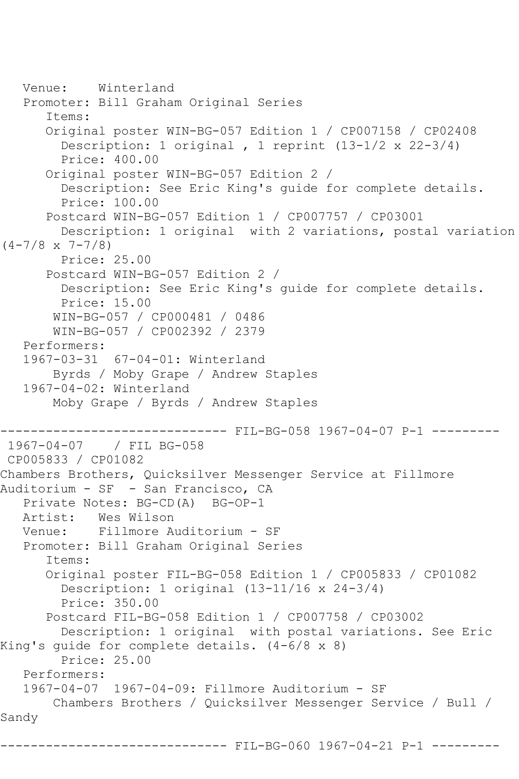```
 Venue: Winterland
    Promoter: Bill Graham Original Series
       Items:
       Original poster WIN-BG-057 Edition 1 / CP007158 / CP02408
         Description: 1 original , 1 reprint (13-1/2 x 22-3/4)
         Price: 400.00
       Original poster WIN-BG-057 Edition 2 / 
         Description: See Eric King's guide for complete details.
         Price: 100.00
       Postcard WIN-BG-057 Edition 1 / CP007757 / CP03001
         Description: 1 original with 2 variations, postal variation 
(4-7/8 \times 7-7/8) Price: 25.00
       Postcard WIN-BG-057 Edition 2 / 
         Description: See Eric King's guide for complete details.
         Price: 15.00
        WIN-BG-057 / CP000481 / 0486
        WIN-BG-057 / CP002392 / 2379
    Performers:
    1967-03-31 67-04-01: Winterland
        Byrds / Moby Grape / Andrew Staples
    1967-04-02: Winterland
        Moby Grape / Byrds / Andrew Staples
                   ------------------------------ FIL-BG-058 1967-04-07 P-1 ---------
1967-04-07 / FIL BG-058
CP005833 / CP01082
Chambers Brothers, Quicksilver Messenger Service at Fillmore 
Auditorium - SF - San Francisco, CA
    Private Notes: BG-CD(A) BG-OP-1
  Artist: Wes Wilson<br>Venue: Fillmore A
            Venue: Fillmore Auditorium - SF
    Promoter: Bill Graham Original Series
       Items:
       Original poster FIL-BG-058 Edition 1 / CP005833 / CP01082
         Description: 1 original (13-11/16 x 24-3/4)
         Price: 350.00
       Postcard FIL-BG-058 Edition 1 / CP007758 / CP03002
         Description: 1 original with postal variations. See Eric 
King's guide for complete details. (4-6/8 x 8)
         Price: 25.00
    Performers:
    1967-04-07 1967-04-09: Fillmore Auditorium - SF
        Chambers Brothers / Quicksilver Messenger Service / Bull / 
Sandy
                         ------- FIL-BG-060 1967-04-21 P-1 ------
```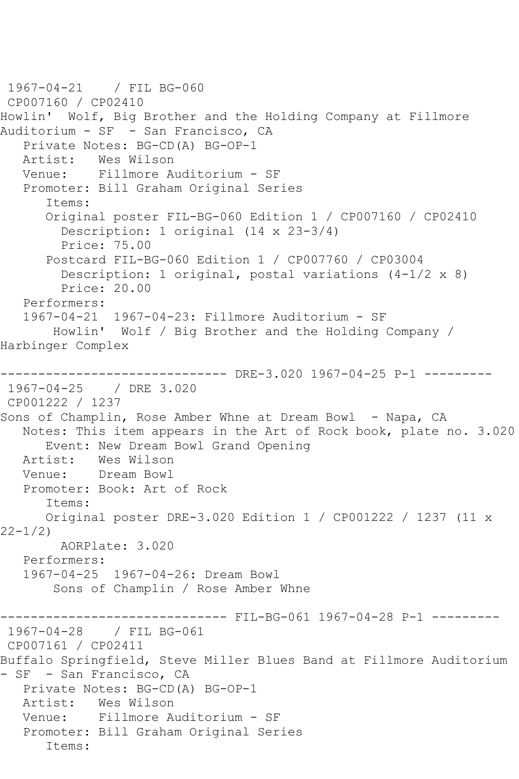```
1967-04-21 / FIL BG-060
CP007160 / CP02410
Howlin' Wolf, Big Brother and the Holding Company at Fillmore 
Auditorium - SF - San Francisco, CA
  Private Notes: BG-CD(A) BG-OP-1<br>Artist: Wes Wilson
           Wes Wilson
   Venue: Fillmore Auditorium - SF
   Promoter: Bill Graham Original Series
       Items:
      Original poster FIL-BG-060 Edition 1 / CP007160 / CP02410
         Description: 1 original (14 x 23-3/4)
         Price: 75.00
       Postcard FIL-BG-060 Edition 1 / CP007760 / CP03004
         Description: 1 original, postal variations (4-1/2 x 8)
         Price: 20.00
   Performers:
   1967-04-21 1967-04-23: Fillmore Auditorium - SF
        Howlin' Wolf / Big Brother and the Holding Company / 
Harbinger Complex
------------------------------ DRE-3.020 1967-04-25 P-1 ---------
1967-04-25 / DRE 3.020
CP001222 / 1237
Sons of Champlin, Rose Amber Whne at Dream Bowl - Napa, CA
   Notes: This item appears in the Art of Rock book, plate no. 3.020
  Event: New Dream Bowl Grand Opening<br>Artist: Wes Wilson
           Wes Wilson
   Venue: Dream Bowl
   Promoter: Book: Art of Rock
       Items:
      Original poster DRE-3.020 Edition 1 / CP001222 / 1237 (11 x 
22-1/2)
         AORPlate: 3.020 
   Performers:
   1967-04-25 1967-04-26: Dream Bowl
        Sons of Champlin / Rose Amber Whne
                        ------- FIL-BG-061 1967-04-28 P-1 ---------
1967-04-28 / FIL BG-061
CP007161 / CP02411
Buffalo Springfield, Steve Miller Blues Band at Fillmore Auditorium 
- SF - San Francisco, CA
   Private Notes: BG-CD(A) BG-OP-1
   Artist: Wes Wilson
   Venue: Fillmore Auditorium - SF
   Promoter: Bill Graham Original Series
       Items:
```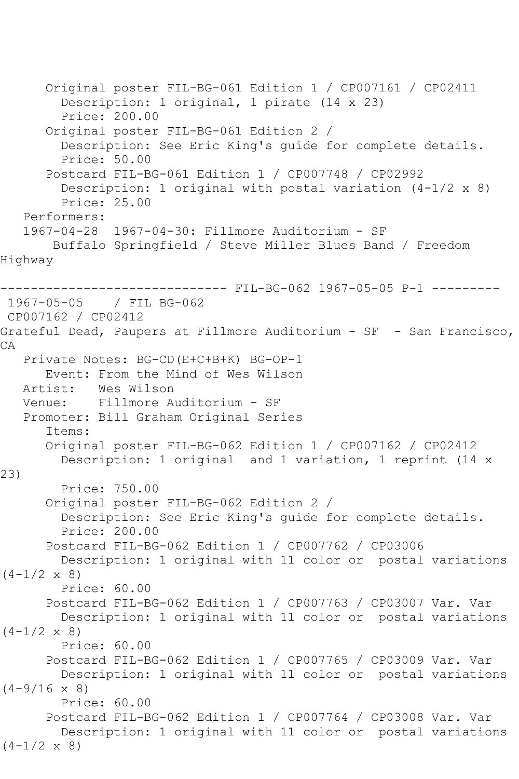Original poster FIL-BG-061 Edition 1 / CP007161 / CP02411 Description: 1 original, 1 pirate (14 x 23) Price: 200.00 Original poster FIL-BG-061 Edition 2 / Description: See Eric King's guide for complete details. Price: 50.00 Postcard FIL-BG-061 Edition 1 / CP007748 / CP02992 Description: 1 original with postal variation  $(4-1/2 \times 8)$  Price: 25.00 Performers: 1967-04-28 1967-04-30: Fillmore Auditorium - SF Buffalo Springfield / Steve Miller Blues Band / Freedom Highway ------------------------------ FIL-BG-062 1967-05-05 P-1 --------- 1967-05-05 / FIL BG-062 CP007162 / CP02412 Grateful Dead, Paupers at Fillmore Auditorium - SF - San Francisco, CA Private Notes: BG-CD(E+C+B+K) BG-OP-1 Event: From the Mind of Wes Wilson Artist: Wes Wilson Venue: Fillmore Auditorium - SF Promoter: Bill Graham Original Series Items: Original poster FIL-BG-062 Edition 1 / CP007162 / CP02412 Description: 1 original and 1 variation, 1 reprint (14 x 23) Price: 750.00 Original poster FIL-BG-062 Edition 2 / Description: See Eric King's guide for complete details. Price: 200.00 Postcard FIL-BG-062 Edition 1 / CP007762 / CP03006 Description: 1 original with 11 color or postal variations  $(4-1/2 \times 8)$  Price: 60.00 Postcard FIL-BG-062 Edition 1 / CP007763 / CP03007 Var. Var Description: 1 original with 11 color or postal variations  $(4-1/2 \times 8)$  Price: 60.00 Postcard FIL-BG-062 Edition 1 / CP007765 / CP03009 Var. Var Description: 1 original with 11 color or postal variations  $(4-9/16 \times 8)$  Price: 60.00 Postcard FIL-BG-062 Edition 1 / CP007764 / CP03008 Var. Var Description: 1 original with 11 color or postal variations  $(4-1/2 \times 8)$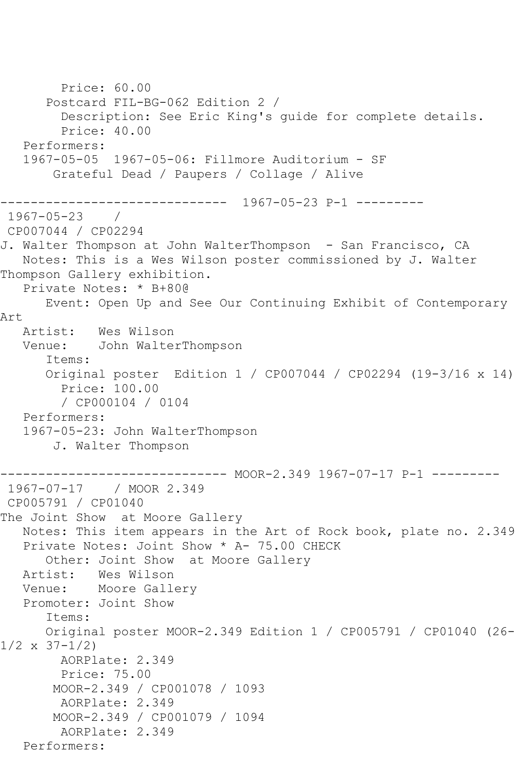```
 Price: 60.00
       Postcard FIL-BG-062 Edition 2 / 
         Description: See Eric King's guide for complete details.
         Price: 40.00
    Performers:
    1967-05-05 1967-05-06: Fillmore Auditorium - SF
        Grateful Dead / Paupers / Collage / Alive
                   ------------------------------ 1967-05-23 P-1 ---------
1967 - 05 - 23CP007044 / CP02294
J. Walter Thompson at John WalterThompson - San Francisco, CA
   Notes: This is a Wes Wilson poster commissioned by J. Walter 
Thompson Gallery exhibition.
    Private Notes: * B+80@
       Event: Open Up and See Our Continuing Exhibit of Contemporary 
Art
   Artist: Wes Wilson
   Venue: John WalterThompson
       Items:
       Original poster Edition 1 / CP007044 / CP02294 (19-3/16 x 14)
         Price: 100.00
         / CP000104 / 0104
   Performers:
    1967-05-23: John WalterThompson
        J. Walter Thompson
                   ------------ MOOR-2.349 1967-07-17 P-1 ---------
1967-07-17 / MOOR 2.349
CP005791 / CP01040
The Joint Show at Moore Gallery
   Notes: This item appears in the Art of Rock book, plate no. 2.349
   Private Notes: Joint Show * A- 75.00 CHECK
       Other: Joint Show at Moore Gallery
   Artist: Wes Wilson
   Venue: Moore Gallery
   Promoter: Joint Show
       Items:
       Original poster MOOR-2.349 Edition 1 / CP005791 / CP01040 (26-
1/2 \times 37 - 1/2 AORPlate: 2.349 
         Price: 75.00
        MOOR-2.349 / CP001078 / 1093
         AORPlate: 2.349 
        MOOR-2.349 / CP001079 / 1094
         AORPlate: 2.349 
   Performers:
```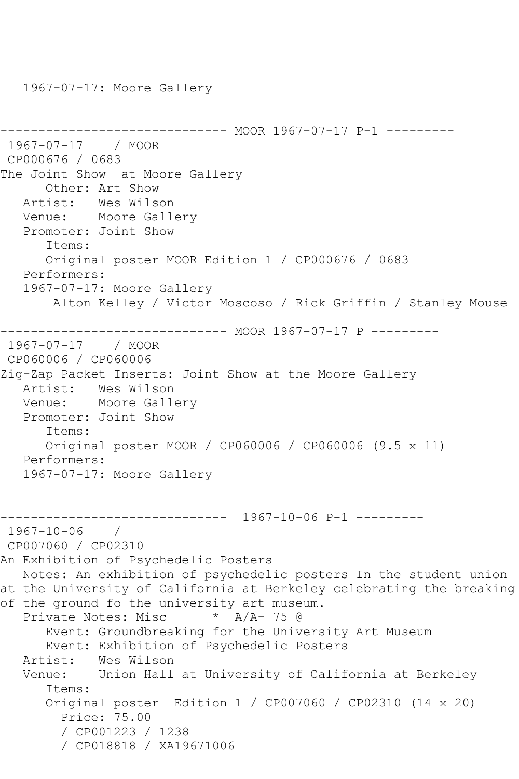------------------------------ MOOR 1967-07-17 P-1 ---------1967-07-17 / MOOR CP000676 / 0683 The Joint Show at Moore Gallery Other: Art Show Artist: Wes Wilson Venue: Moore Gallery Promoter: Joint Show Items: Original poster MOOR Edition 1 / CP000676 / 0683 Performers: 1967-07-17: Moore Gallery Alton Kelley / Victor Moscoso / Rick Griffin / Stanley Mouse ------------------------------ MOOR 1967-07-17 P --------- 1967-07-17 / MOOR CP060006 / CP060006 Zig-Zap Packet Inserts: Joint Show at the Moore Gallery Artist: Wes Wilson Venue: Moore Gallery Promoter: Joint Show Items: Original poster MOOR / CP060006 / CP060006 (9.5 x 11) Performers: 1967-07-17: Moore Gallery ------------------------------ 1967-10-06 P-1 --------- 1967-10-06 / CP007060 / CP02310 An Exhibition of Psychedelic Posters Notes: An exhibition of psychedelic posters In the student union at the University of California at Berkeley celebrating the breaking of the ground fo the university art museum.<br>Private Notes: Misc  $A/A-75$  @ Private Notes: Misc Event: Groundbreaking for the University Art Museum Event: Exhibition of Psychedelic Posters Wes Wilson Venue: Union Hall at University of California at Berkeley Items: Original poster Edition 1 / CP007060 / CP02310 (14 x 20) Price: 75.00 / CP001223 / 1238 / CP018818 / XA19671006

1967-07-17: Moore Gallery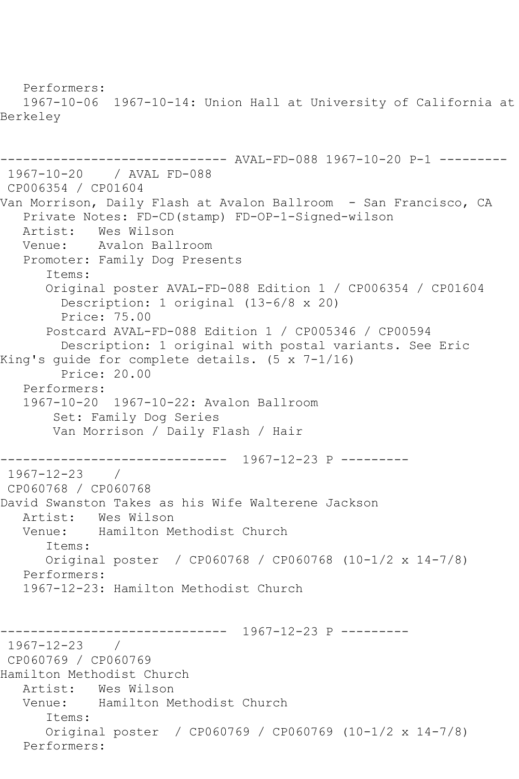Performers: 1967-10-06 1967-10-14: Union Hall at University of California at Berkeley ------------------------------ AVAL-FD-088 1967-10-20 P-1 --------- 1967-10-20 / AVAL FD-088 CP006354 / CP01604 Van Morrison, Daily Flash at Avalon Ballroom - San Francisco, CA Private Notes: FD-CD(stamp) FD-OP-1-Signed-wilson Artist: Wes Wilson<br>Venue: Avalon Bal Avalon Ballroom Promoter: Family Dog Presents Items: Original poster AVAL-FD-088 Edition 1 / CP006354 / CP01604 Description: 1 original (13-6/8 x 20) Price: 75.00 Postcard AVAL-FD-088 Edition 1 / CP005346 / CP00594 Description: 1 original with postal variants. See Eric King's guide for complete details. (5 x 7-1/16) Price: 20.00 Performers: 1967-10-20 1967-10-22: Avalon Ballroom Set: Family Dog Series Van Morrison / Daily Flash / Hair ------------------------------ 1967-12-23 P --------- 1967-12-23 / CP060768 / CP060768 David Swanston Takes as his Wife Walterene Jackson Artist: Wes Wilson<br>Venue: Hamilton M Hamilton Methodist Church Items: Original poster / CP060768 / CP060768 (10-1/2 x 14-7/8) Performers: 1967-12-23: Hamilton Methodist Church ------------------------------ 1967-12-23 P --------- 1967-12-23 / CP060769 / CP060769 Hamilton Methodist Church Artist: Wes Wilson Venue: Hamilton Methodist Church Items: Original poster / CP060769 / CP060769 (10-1/2 x 14-7/8) Performers: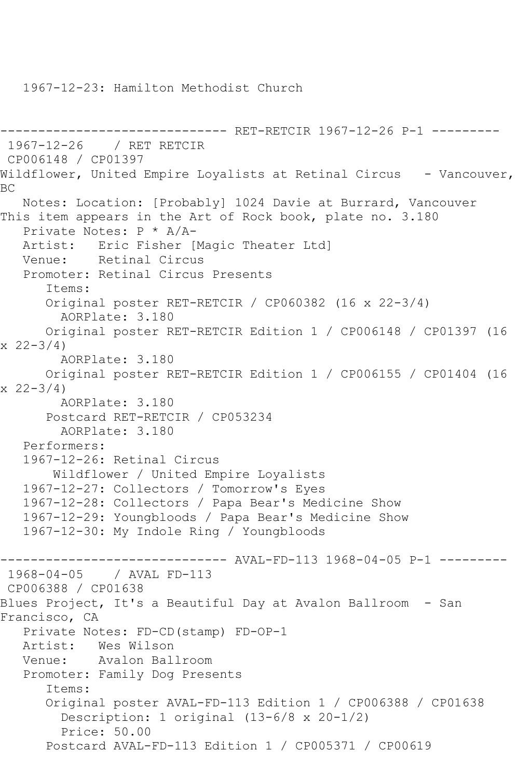1967-12-23: Hamilton Methodist Church

```
------------------------------ RET-RETCIR 1967-12-26 P-1 ---------
1967-12-26 / RET RETCIR
CP006148 / CP01397
Wildflower, United Empire Loyalists at Retinal Circus - Vancouver,
BC
   Notes: Location: [Probably] 1024 Davie at Burrard, Vancouver
This item appears in the Art of Rock book, plate no. 3.180
   Private Notes: P * A/A-
   Artist: Eric Fisher [Magic Theater Ltd]
   Venue: Retinal Circus
   Promoter: Retinal Circus Presents
       Items:
       Original poster RET-RETCIR / CP060382 (16 x 22-3/4)
         AORPlate: 3.180 
      Original poster RET-RETCIR Edition 1 / CP006148 / CP01397 (16 
x \ 22 - 3/4 AORPlate: 3.180 
      Original poster RET-RETCIR Edition 1 / CP006155 / CP01404 (16 
x \ 22 - 3/4 AORPlate: 3.180 
       Postcard RET-RETCIR / CP053234
         AORPlate: 3.180 
   Performers:
   1967-12-26: Retinal Circus
        Wildflower / United Empire Loyalists
   1967-12-27: Collectors / Tomorrow's Eyes
   1967-12-28: Collectors / Papa Bear's Medicine Show
   1967-12-29: Youngbloods / Papa Bear's Medicine Show
   1967-12-30: My Indole Ring / Youngbloods
------------------------------ AVAL-FD-113 1968-04-05 P-1 ---------
1968-04-05 / AVAL FD-113
CP006388 / CP01638
Blues Project, It's a Beautiful Day at Avalon Ballroom - San 
Francisco, CA
   Private Notes: FD-CD(stamp) FD-OP-1
   Artist: Wes Wilson
   Venue: Avalon Ballroom
   Promoter: Family Dog Presents
       Items:
       Original poster AVAL-FD-113 Edition 1 / CP006388 / CP01638
         Description: 1 original (13-6/8 x 20-1/2)
         Price: 50.00
       Postcard AVAL-FD-113 Edition 1 / CP005371 / CP00619
```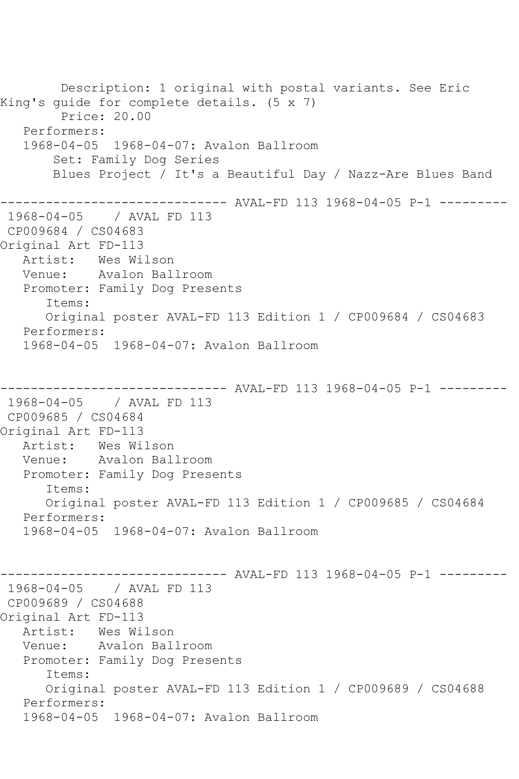Description: 1 original with postal variants. See Eric King's guide for complete details. (5 x 7) Price: 20.00 Performers: 1968-04-05 1968-04-07: Avalon Ballroom Set: Family Dog Series Blues Project / It's a Beautiful Day / Nazz-Are Blues Band ------------------------------ AVAL-FD 113 1968-04-05 P-1 --------- 1968-04-05 / AVAL FD 113 CP009684 / CS04683 Original Art FD-113 Artist: Wes Wilson Venue: Avalon Ballroom Promoter: Family Dog Presents Items: Original poster AVAL-FD 113 Edition 1 / CP009684 / CS04683 Performers: 1968-04-05 1968-04-07: Avalon Ballroom ---------- AVAL-FD 113 1968-04-05 P-1 ---------1968-04-05 / AVAL FD 113 CP009685 / CS04684 Original Art FD-113 Artist: Wes Wilson Venue: Avalon Ballroom Promoter: Family Dog Presents Items: Original poster AVAL-FD 113 Edition 1 / CP009685 / CS04684 Performers: 1968-04-05 1968-04-07: Avalon Ballroom -------- AVAL-FD 113 1968-04-05 P-1 ---------1968-04-05 / AVAL FD 113 CP009689 / CS04688 Original Art FD-113 Artist: Wes Wilson<br>Venue: Avalon Bal Avalon Ballroom Promoter: Family Dog Presents Items: Original poster AVAL-FD 113 Edition 1 / CP009689 / CS04688 Performers: 1968-04-05 1968-04-07: Avalon Ballroom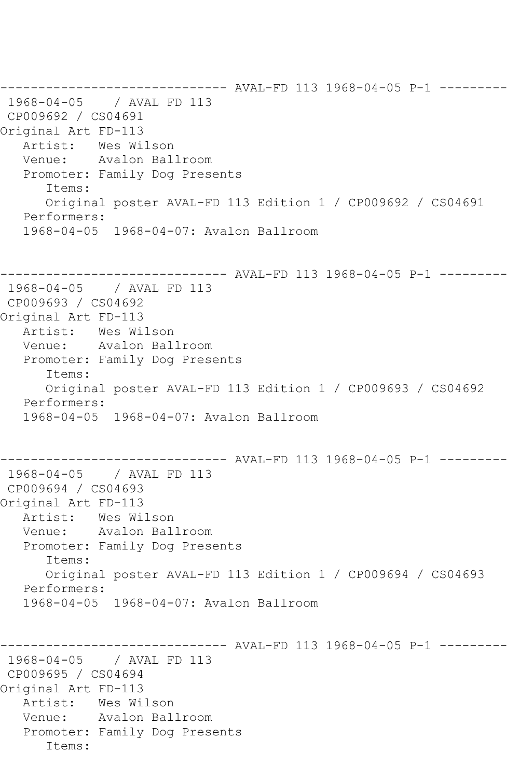------------------------------ AVAL-FD 113 1968-04-05 P-1 --------- 1968-04-05 / AVAL FD 113 CP009692 / CS04691 Original Art FD-113 Artist: Wes Wilson Venue: Avalon Ballroom Promoter: Family Dog Presents Items: Original poster AVAL-FD 113 Edition 1 / CP009692 / CS04691 Performers: 1968-04-05 1968-04-07: Avalon Ballroom ------------------------------ AVAL-FD 113 1968-04-05 P-1 --------- 1968-04-05 / AVAL FD 113 CP009693 / CS04692 Original Art FD-113 Artist: Wes Wilson Venue: Avalon Ballroom Promoter: Family Dog Presents Items: Original poster AVAL-FD 113 Edition 1 / CP009693 / CS04692 Performers: 1968-04-05 1968-04-07: Avalon Ballroom ------------------------------ AVAL-FD 113 1968-04-05 P-1 --------- 1968-04-05 / AVAL FD 113 CP009694 / CS04693 Original Art FD-113 Artist: Wes Wilson Venue: Avalon Ballroom Promoter: Family Dog Presents Items: Original poster AVAL-FD 113 Edition 1 / CP009694 / CS04693 Performers: 1968-04-05 1968-04-07: Avalon Ballroom ------------------------------ AVAL-FD 113 1968-04-05 P-1 --------- 1968-04-05 / AVAL FD 113 CP009695 / CS04694 Original Art FD-113 Artist: Wes Wilson Venue: Avalon Ballroom Promoter: Family Dog Presents Items: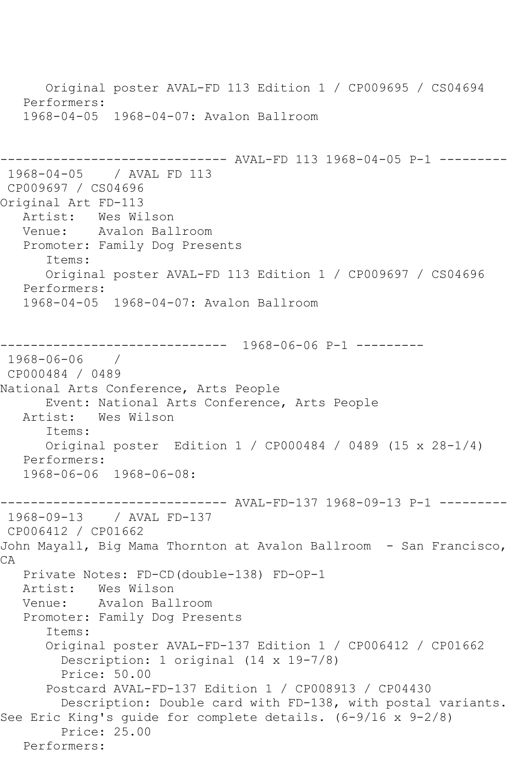Original poster AVAL-FD 113 Edition 1 / CP009695 / CS04694 Performers: 1968-04-05 1968-04-07: Avalon Ballroom --------- AVAL-FD 113 1968-04-05 P-1 ---------1968-04-05 / AVAL FD 113 CP009697 / CS04696 Original Art FD-113 Artist: Wes Wilson Venue: Avalon Ballroom Promoter: Family Dog Presents Items: Original poster AVAL-FD 113 Edition 1 / CP009697 / CS04696 Performers: 1968-04-05 1968-04-07: Avalon Ballroom ------------------------------ 1968-06-06 P-1 --------- 1968-06-06 / CP000484 / 0489 National Arts Conference, Arts People Event: National Arts Conference, Arts People<br>Artist: Wes Wilson Wes Wilson Items: Original poster Edition 1 / CP000484 / 0489 (15 x 28-1/4) Performers: 1968-06-06 1968-06-08: ------------------------------ AVAL-FD-137 1968-09-13 P-1 --------- 1968-09-13 / AVAL FD-137 CP006412 / CP01662 John Mayall, Big Mama Thornton at Avalon Ballroom - San Francisco, CA Private Notes: FD-CD(double-138) FD-OP-1 Artist: Wes Wilson Venue: Avalon Ballroom Promoter: Family Dog Presents Items: Original poster AVAL-FD-137 Edition 1 / CP006412 / CP01662 Description: 1 original (14 x 19-7/8) Price: 50.00 Postcard AVAL-FD-137 Edition 1 / CP008913 / CP04430 Description: Double card with FD-138, with postal variants. See Eric King's guide for complete details. (6-9/16 x 9-2/8) Price: 25.00 Performers: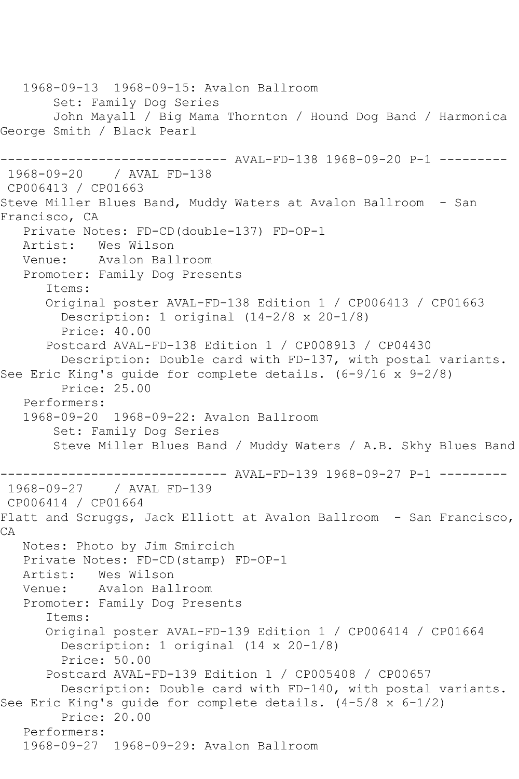1968-09-13 1968-09-15: Avalon Ballroom Set: Family Dog Series John Mayall / Big Mama Thornton / Hound Dog Band / Harmonica George Smith / Black Pearl ------------------------------ AVAL-FD-138 1968-09-20 P-1 --------- 1968-09-20 / AVAL FD-138 CP006413 / CP01663 Steve Miller Blues Band, Muddy Waters at Avalon Ballroom - San Francisco, CA Private Notes: FD-CD(double-137) FD-OP-1 Artist: Wes Wilson<br>Venue: Avalon Bal Avalon Ballroom Promoter: Family Dog Presents Items: Original poster AVAL-FD-138 Edition 1 / CP006413 / CP01663 Description: 1 original (14-2/8 x 20-1/8) Price: 40.00 Postcard AVAL-FD-138 Edition 1 / CP008913 / CP04430 Description: Double card with FD-137, with postal variants. See Eric King's guide for complete details. (6-9/16 x 9-2/8) Price: 25.00 Performers: 1968-09-20 1968-09-22: Avalon Ballroom Set: Family Dog Series Steve Miller Blues Band / Muddy Waters / A.B. Skhy Blues Band ------------------------------ AVAL-FD-139 1968-09-27 P-1 --------- 1968-09-27 / AVAL FD-139 CP006414 / CP01664 Flatt and Scruggs, Jack Elliott at Avalon Ballroom - San Francisco, CA Notes: Photo by Jim Smircich Private Notes: FD-CD(stamp) FD-OP-1 Artist: Wes Wilson Venue: Avalon Ballroom Promoter: Family Dog Presents Items: Original poster AVAL-FD-139 Edition 1 / CP006414 / CP01664 Description: 1 original (14 x 20-1/8) Price: 50.00 Postcard AVAL-FD-139 Edition 1 / CP005408 / CP00657 Description: Double card with FD-140, with postal variants. See Eric King's guide for complete details. (4-5/8 x 6-1/2) Price: 20.00 Performers: 1968-09-27 1968-09-29: Avalon Ballroom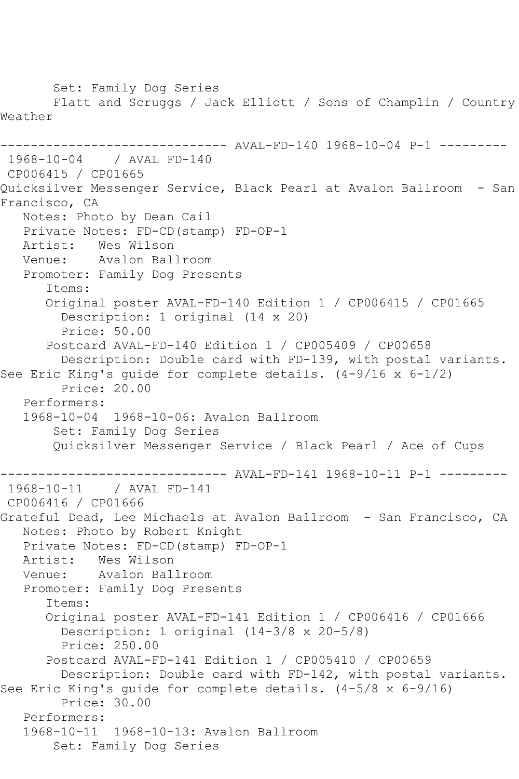Set: Family Dog Series Flatt and Scruggs / Jack Elliott / Sons of Champlin / Country Weather ------------------------------ AVAL-FD-140 1968-10-04 P-1 --------- 1968-10-04 / AVAL FD-140 CP006415 / CP01665 Quicksilver Messenger Service, Black Pearl at Avalon Ballroom - San Francisco, CA Notes: Photo by Dean Cail Private Notes: FD-CD(stamp) FD-OP-1 Artist: Wes Wilson<br>Venue: Avalon Bal Avalon Ballroom Promoter: Family Dog Presents Items: Original poster AVAL-FD-140 Edition 1 / CP006415 / CP01665 Description: 1 original (14 x 20) Price: 50.00 Postcard AVAL-FD-140 Edition 1 / CP005409 / CP00658 Description: Double card with FD-139, with postal variants. See Eric King's guide for complete details. (4-9/16 x 6-1/2) Price: 20.00 Performers: 1968-10-04 1968-10-06: Avalon Ballroom Set: Family Dog Series Quicksilver Messenger Service / Black Pearl / Ace of Cups ------------------------------ AVAL-FD-141 1968-10-11 P-1 --------- 1968-10-11 / AVAL FD-141 CP006416 / CP01666 Grateful Dead, Lee Michaels at Avalon Ballroom - San Francisco, CA Notes: Photo by Robert Knight Private Notes: FD-CD(stamp) FD-OP-1 Artist: Wes Wilson Venue: Avalon Ballroom Promoter: Family Dog Presents Items: Original poster AVAL-FD-141 Edition 1 / CP006416 / CP01666 Description: 1 original (14-3/8 x 20-5/8) Price: 250.00 Postcard AVAL-FD-141 Edition 1 / CP005410 / CP00659 Description: Double card with FD-142, with postal variants. See Eric King's guide for complete details. (4-5/8 x 6-9/16) Price: 30.00 Performers: 1968-10-11 1968-10-13: Avalon Ballroom Set: Family Dog Series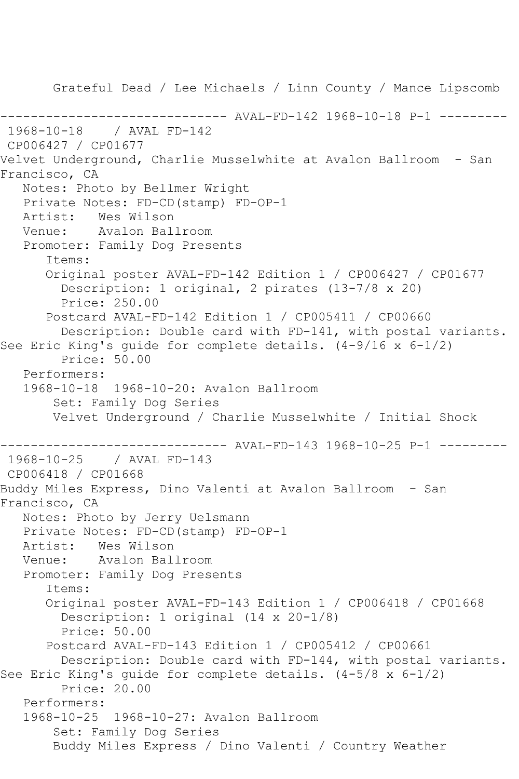Grateful Dead / Lee Michaels / Linn County / Mance Lipscomb ------------------------------ AVAL-FD-142 1968-10-18 P-1 --------- 1968-10-18 / AVAL FD-142 CP006427 / CP01677 Velvet Underground, Charlie Musselwhite at Avalon Ballroom - San Francisco, CA Notes: Photo by Bellmer Wright Private Notes: FD-CD(stamp) FD-OP-1 Artist: Wes Wilson Venue: Avalon Ballroom Promoter: Family Dog Presents Items: Original poster AVAL-FD-142 Edition 1 / CP006427 / CP01677 Description: 1 original, 2 pirates (13-7/8 x 20) Price: 250.00 Postcard AVAL-FD-142 Edition 1 / CP005411 / CP00660 Description: Double card with FD-141, with postal variants. See Eric King's guide for complete details. (4-9/16 x 6-1/2) Price: 50.00 Performers: 1968-10-18 1968-10-20: Avalon Ballroom Set: Family Dog Series Velvet Underground / Charlie Musselwhite / Initial Shock ------------------------------ AVAL-FD-143 1968-10-25 P-1 --------- 1968-10-25 / AVAL FD-143 CP006418 / CP01668 Buddy Miles Express, Dino Valenti at Avalon Ballroom - San Francisco, CA Notes: Photo by Jerry Uelsmann Private Notes: FD-CD(stamp) FD-OP-1 Artist: Wes Wilson<br>Venue: Avalon Bal Avalon Ballroom Promoter: Family Dog Presents Items: Original poster AVAL-FD-143 Edition 1 / CP006418 / CP01668 Description: 1 original (14 x 20-1/8) Price: 50.00 Postcard AVAL-FD-143 Edition 1 / CP005412 / CP00661 Description: Double card with FD-144, with postal variants. See Eric King's guide for complete details. (4-5/8 x 6-1/2) Price: 20.00 Performers: 1968-10-25 1968-10-27: Avalon Ballroom Set: Family Dog Series Buddy Miles Express / Dino Valenti / Country Weather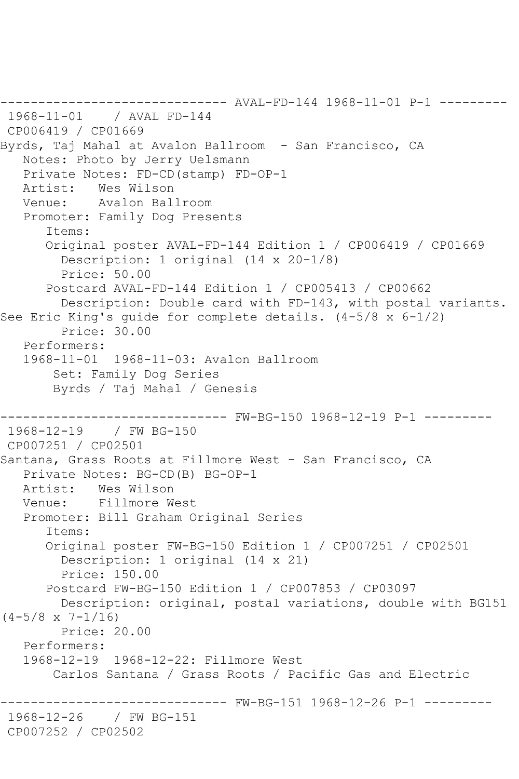------------------------------ AVAL-FD-144 1968-11-01 P-1 --------- 1968-11-01 / AVAL FD-144 CP006419 / CP01669 Byrds, Taj Mahal at Avalon Ballroom - San Francisco, CA Notes: Photo by Jerry Uelsmann Private Notes: FD-CD(stamp) FD-OP-1 Artist: Wes Wilson Venue: Avalon Ballroom Promoter: Family Dog Presents Items: Original poster AVAL-FD-144 Edition 1 / CP006419 / CP01669 Description: 1 original (14 x 20-1/8) Price: 50.00 Postcard AVAL-FD-144 Edition 1 / CP005413 / CP00662 Description: Double card with FD-143, with postal variants. See Eric King's guide for complete details. (4-5/8 x 6-1/2) Price: 30.00 Performers: 1968-11-01 1968-11-03: Avalon Ballroom Set: Family Dog Series Byrds / Taj Mahal / Genesis ------------------------------ FW-BG-150 1968-12-19 P-1 --------- 1968-12-19 / FW BG-150 CP007251 / CP02501 Santana, Grass Roots at Fillmore West - San Francisco, CA Private Notes: BG-CD(B) BG-OP-1 Artist: Wes Wilson Venue: Fillmore West Promoter: Bill Graham Original Series Items: Original poster FW-BG-150 Edition 1 / CP007251 / CP02501 Description: 1 original (14 x 21) Price: 150.00 Postcard FW-BG-150 Edition 1 / CP007853 / CP03097 Description: original, postal variations, double with BG151  $(4-5/8 \times 7-1/16)$  Price: 20.00 Performers: 1968-12-19 1968-12-22: Fillmore West Carlos Santana / Grass Roots / Pacific Gas and Electric ------ FW-BG-151 1968-12-26 P-1 ---------1968-12-26 / FW BG-151 CP007252 / CP02502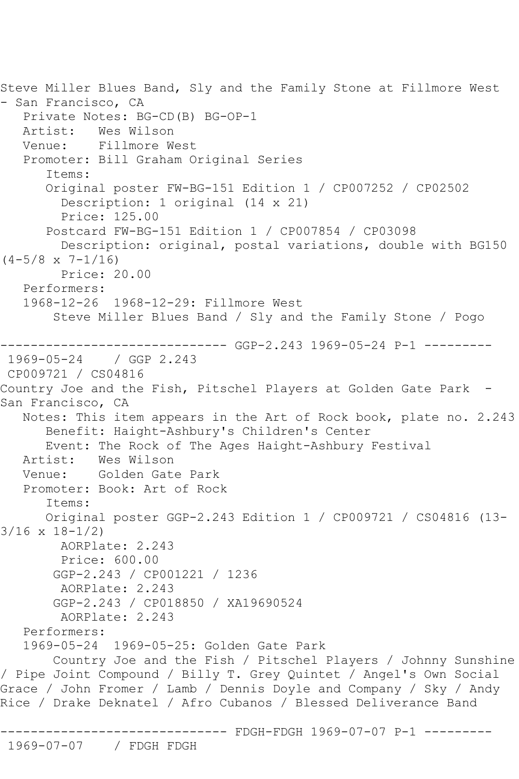Steve Miller Blues Band, Sly and the Family Stone at Fillmore West - San Francisco, CA Private Notes: BG-CD(B) BG-OP-1 Artist: Wes Wilson<br>Venue: Fillmore W Fillmore West Promoter: Bill Graham Original Series Items: Original poster FW-BG-151 Edition 1 / CP007252 / CP02502 Description: 1 original (14 x 21) Price: 125.00 Postcard FW-BG-151 Edition 1 / CP007854 / CP03098 Description: original, postal variations, double with BG150  $(4-5/8 \times 7-1/16)$  Price: 20.00 Performers: 1968-12-26 1968-12-29: Fillmore West Steve Miller Blues Band / Sly and the Family Stone / Pogo ---------- GGP-2.243 1969-05-24 P-1 ---------1969-05-24 / GGP 2.243 CP009721 / CS04816 Country Joe and the Fish, Pitschel Players at Golden Gate Park -San Francisco, CA Notes: This item appears in the Art of Rock book, plate no. 2.243 Benefit: Haight-Ashbury's Children's Center Event: The Rock of The Ages Haight-Ashbury Festival Wes Wilson Venue: Golden Gate Park Promoter: Book: Art of Rock Items: Original poster GGP-2.243 Edition 1 / CP009721 / CS04816 (13- 3/16 x 18-1/2) AORPlate: 2.243 Price: 600.00 GGP-2.243 / CP001221 / 1236 AORPlate: 2.243 GGP-2.243 / CP018850 / XA19690524 AORPlate: 2.243 Performers: 1969-05-24 1969-05-25: Golden Gate Park Country Joe and the Fish / Pitschel Players / Johnny Sunshine / Pipe Joint Compound / Billy T. Grey Quintet / Angel's Own Social Grace / John Fromer / Lamb / Dennis Doyle and Company / Sky / Andy Rice / Drake Deknatel / Afro Cubanos / Blessed Deliverance Band ------------------------------ FDGH-FDGH 1969-07-07 P-1 --------- 1969-07-07 / FDGH FDGH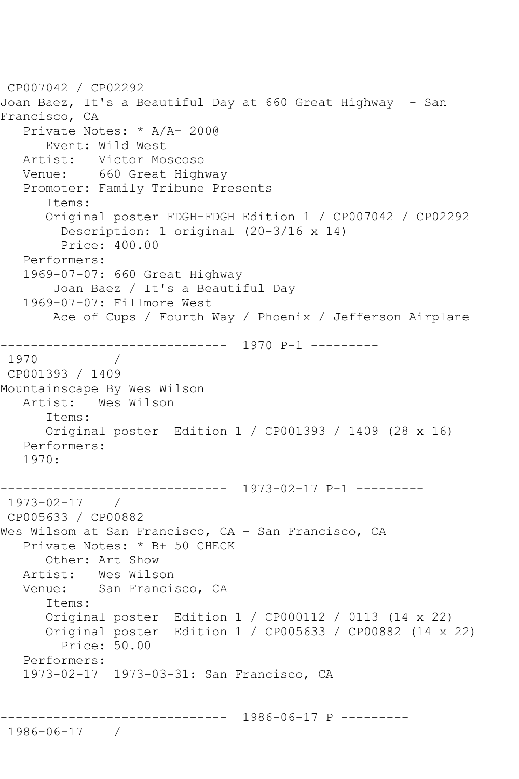```
CP007042 / CP02292
Joan Baez, It's a Beautiful Day at 660 Great Highway - San 
Francisco, CA
   Private Notes: * A/A- 200@
      Event: Wild West
   Artist: Victor Moscoso
   Venue: 660 Great Highway
   Promoter: Family Tribune Presents
      Items:
      Original poster FDGH-FDGH Edition 1 / CP007042 / CP02292
         Description: 1 original (20-3/16 x 14)
         Price: 400.00
   Performers:
   1969-07-07: 660 Great Highway
       Joan Baez / It's a Beautiful Day
   1969-07-07: Fillmore West
       Ace of Cups / Fourth Way / Phoenix / Jefferson Airplane
------------------------------ 1970 P-1 ---------
1970 / 
CP001393 / 1409
Mountainscape By Wes Wilson
   Artist: Wes Wilson
      Items:
      Original poster Edition 1 / CP001393 / 1409 (28 x 16)
   Performers:
   1970:
------------------------------ 1973-02-17 P-1 ---------
1973-02-17 / 
CP005633 / CP00882
Wes Wilsom at San Francisco, CA - San Francisco, CA
   Private Notes: * B+ 50 CHECK
      Other: Art Show
 Artist: Wes Wilson
 Venue: San Francisco, CA
      Items:
      Original poster Edition 1 / CP000112 / 0113 (14 x 22)
      Original poster Edition 1 / CP005633 / CP00882 (14 x 22)
        Price: 50.00
   Performers:
   1973-02-17 1973-03-31: San Francisco, CA
             ------------------------------ 1986-06-17 P ---------
1986-06-17 /
```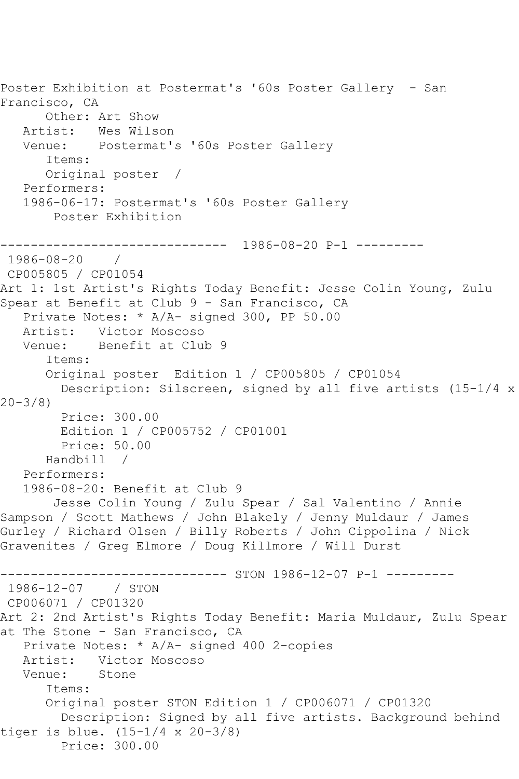```
Poster Exhibition at Postermat's '60s Poster Gallery - San 
Francisco, CA
       Other: Art Show
  Artist: Wes Wilson<br>Venue: Postermat'
            Postermat's '60s Poster Gallery
       Items:
       Original poster / 
   Performers:
   1986-06-17: Postermat's '60s Poster Gallery
        Poster Exhibition
         ------------------------------ 1986-08-20 P-1 ---------
1986-08-20 / 
CP005805 / CP01054
Art 1: 1st Artist's Rights Today Benefit: Jesse Colin Young, Zulu 
Spear at Benefit at Club 9 - San Francisco, CA
    Private Notes: * A/A- signed 300, PP 50.00
   Artist: Victor Moscoso
   Venue: Benefit at Club 9
       Items:
       Original poster Edition 1 / CP005805 / CP01054
         Description: Silscreen, signed by all five artists (15-1/4 x 
20-3/8)
         Price: 300.00
         Edition 1 / CP005752 / CP01001
         Price: 50.00
       Handbill / 
   Performers:
    1986-08-20: Benefit at Club 9
        Jesse Colin Young / Zulu Spear / Sal Valentino / Annie 
Sampson / Scott Mathews / John Blakely / Jenny Muldaur / James 
Gurley / Richard Olsen / Billy Roberts / John Cippolina / Nick 
Gravenites / Greg Elmore / Doug Killmore / Will Durst
                     ---------- STON 1986-12-07 P-1 ---------
1986-12-07 / STON 
CP006071 / CP01320
Art 2: 2nd Artist's Rights Today Benefit: Maria Muldaur, Zulu Spear 
at The Stone - San Francisco, CA
    Private Notes: * A/A- signed 400 2-copies
   Artist: Victor Moscoso
   Venue: Stone
       Items:
       Original poster STON Edition 1 / CP006071 / CP01320
         Description: Signed by all five artists. Background behind 
tiger is blue. (15-1/4 x 20-3/8)
         Price: 300.00
```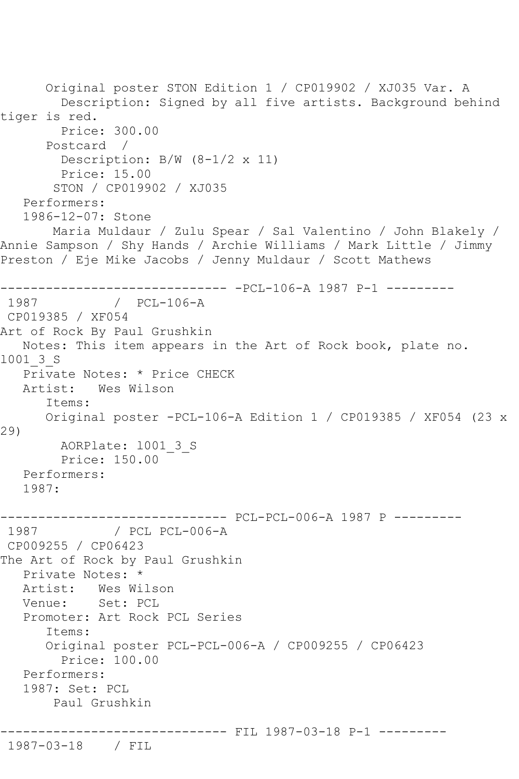Original poster STON Edition 1 / CP019902 / XJ035 Var. A Description: Signed by all five artists. Background behind tiger is red. Price: 300.00 Postcard / Description: B/W (8-1/2 x 11) Price: 15.00 STON / CP019902 / XJ035 Performers: 1986-12-07: Stone Maria Muldaur / Zulu Spear / Sal Valentino / John Blakely / Annie Sampson / Shy Hands / Archie Williams / Mark Little / Jimmy Preston / Eje Mike Jacobs / Jenny Muldaur / Scott Mathews ------------------------------ -PCL-106-A 1987 P-1 --------- 1987 / PCL-106-A CP019385 / XF054 Art of Rock By Paul Grushkin Notes: This item appears in the Art of Rock book, plate no. l001\_3\_S Private Notes: \* Price CHECK Artist: Wes Wilson Items: Original poster -PCL-106-A Edition 1 / CP019385 / XF054 (23 x 29) AORPlate: l001\_3\_S Price: 150.00 Performers: 1987: ------------------------------ PCL-PCL-006-A 1987 P --------- 1987 / PCL PCL-006-A CP009255 / CP06423 The Art of Rock by Paul Grushkin Private Notes: \* Artist: Wes Wilson Venue: Set: PCL Promoter: Art Rock PCL Series Items: Original poster PCL-PCL-006-A / CP009255 / CP06423 Price: 100.00 Performers: 1987: Set: PCL Paul Grushkin -------------- FIL 1987-03-18 P-1 ---------1987-03-18 / FIL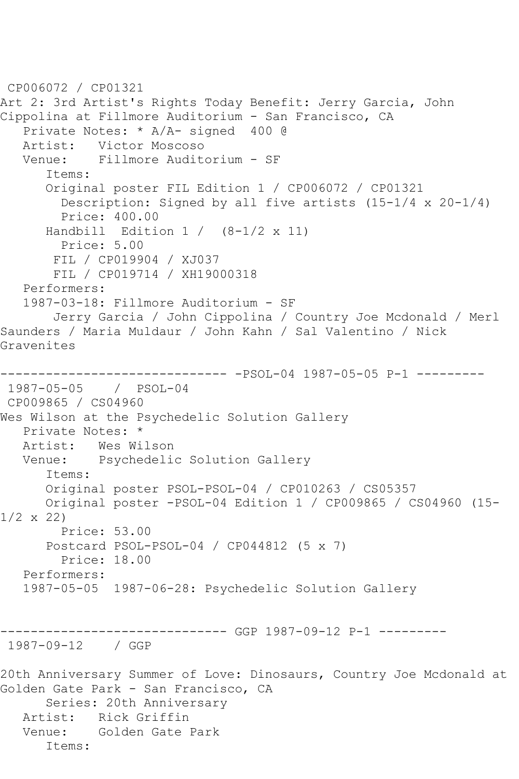```
CP006072 / CP01321
Art 2: 3rd Artist's Rights Today Benefit: Jerry Garcia, John 
Cippolina at Fillmore Auditorium - San Francisco, CA
   Private Notes: * A/A- signed 400 @
   Artist: Victor Moscoso
   Venue: Fillmore Auditorium - SF
       Items:
       Original poster FIL Edition 1 / CP006072 / CP01321
        Description: Signed by all five artists (15-1/4 \times 20-1/4) Price: 400.00
       Handbill Edition 1 / (8-1/2 x 11)
         Price: 5.00
       FIL / CP019904 / XJ037
       FIL / CP019714 / XH19000318
   Performers:
   1987-03-18: Fillmore Auditorium - SF
       Jerry Garcia / John Cippolina / Country Joe Mcdonald / Merl 
Saunders / Maria Muldaur / John Kahn / Sal Valentino / Nick 
Gravenites
------------------------------ -PSOL-04 1987-05-05 P-1 ---------
1987-05-05 / PSOL-04
CP009865 / CS04960
Wes Wilson at the Psychedelic Solution Gallery
   Private Notes: *
   Artist: Wes Wilson
   Venue: Psychedelic Solution Gallery
       Items:
      Original poster PSOL-PSOL-04 / CP010263 / CS05357
      Original poster -PSOL-04 Edition 1 / CP009865 / CS04960 (15-
1/2 \times 22 Price: 53.00
       Postcard PSOL-PSOL-04 / CP044812 (5 x 7)
        Price: 18.00
   Performers:
   1987-05-05 1987-06-28: Psychedelic Solution Gallery
------------------------------ GGP 1987-09-12 P-1 ---------
1987-09-12 / GGP 
20th Anniversary Summer of Love: Dinosaurs, Country Joe Mcdonald at 
Golden Gate Park - San Francisco, CA
       Series: 20th Anniversary
   Artist: Rick Griffin
   Venue: Golden Gate Park
       Items:
```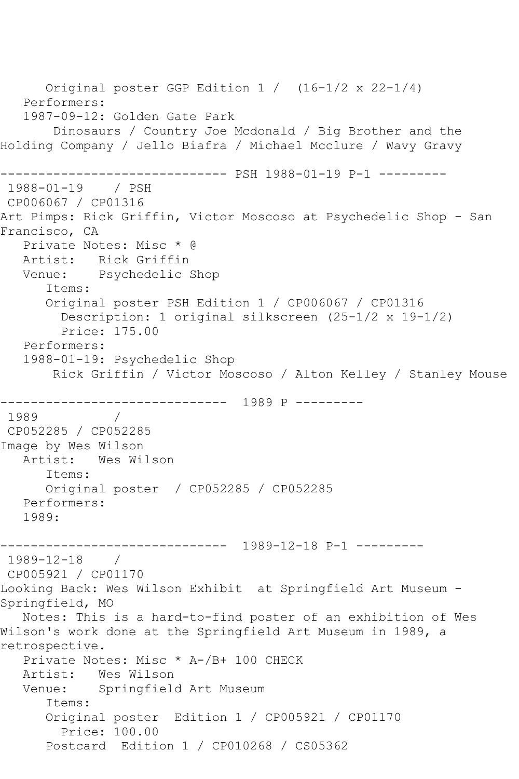```
 Original poster GGP Edition 1 / (16-1/2 x 22-1/4)
   Performers:
   1987-09-12: Golden Gate Park
        Dinosaurs / Country Joe Mcdonald / Big Brother and the 
Holding Company / Jello Biafra / Michael Mcclure / Wavy Gravy
------------------------------ PSH 1988-01-19 P-1 ---------
1988-01-19 / PSH 
CP006067 / CP01316
Art Pimps: Rick Griffin, Victor Moscoso at Psychedelic Shop - San 
Francisco, CA
   Private Notes: Misc * @
   Artist: Rick Griffin
   Venue: Psychedelic Shop
       Items:
       Original poster PSH Edition 1 / CP006067 / CP01316
         Description: 1 original silkscreen (25-1/2 x 19-1/2)
        Price: 175.00
   Performers:
   1988-01-19: Psychedelic Shop
       Rick Griffin / Victor Moscoso / Alton Kelley / Stanley Mouse
       ------------------------------ 1989 P ---------
1989
CP052285 / CP052285
Image by Wes Wilson
   Artist: Wes Wilson
       Items:
      Original poster / CP052285 / CP052285
   Performers:
   1989:
------------------------------ 1989-12-18 P-1 ---------
1989-12-18 / 
CP005921 / CP01170
Looking Back: Wes Wilson Exhibit at Springfield Art Museum -
Springfield, MO
   Notes: This is a hard-to-find poster of an exhibition of Wes 
Wilson's work done at the Springfield Art Museum in 1989, a 
retrospective.
   Private Notes: Misc * A-/B+ 100 CHECK
   Artist: Wes Wilson
   Venue: Springfield Art Museum
       Items:
       Original poster Edition 1 / CP005921 / CP01170
         Price: 100.00
       Postcard Edition 1 / CP010268 / CS05362
```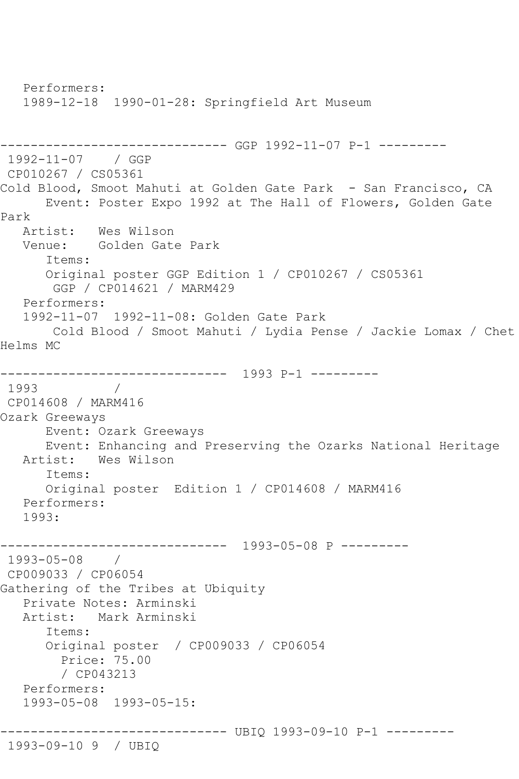Performers: 1989-12-18 1990-01-28: Springfield Art Museum ------------------------------ GGP 1992-11-07 P-1 --------- 1992-11-07 / GGP CP010267 / CS05361 Cold Blood, Smoot Mahuti at Golden Gate Park - San Francisco, CA Event: Poster Expo 1992 at The Hall of Flowers, Golden Gate Park<br>Artist: Wes Wilson Venue: Golden Gate Park Items: Original poster GGP Edition 1 / CP010267 / CS05361 GGP / CP014621 / MARM429 Performers: 1992-11-07 1992-11-08: Golden Gate Park Cold Blood / Smoot Mahuti / Lydia Pense / Jackie Lomax / Chet Helms MC ------------------------------ 1993 P-1 --------- 1993 / CP014608 / MARM416 Ozark Greeways Event: Ozark Greeways Event: Enhancing and Preserving the Ozarks National Heritage Wes Wilson Items: Original poster Edition 1 / CP014608 / MARM416 Performers: 1993: ------------------------------ 1993-05-08 P --------- 1993-05-08 / CP009033 / CP06054 Gathering of the Tribes at Ubiquity Private Notes: Arminski Artist: Mark Arminski Items: Original poster / CP009033 / CP06054 Price: 75.00 / CP043213 Performers: 1993-05-08 1993-05-15: ------------------------------ UBIQ 1993-09-10 P-1 --------- 1993-09-10 9 / UBIQ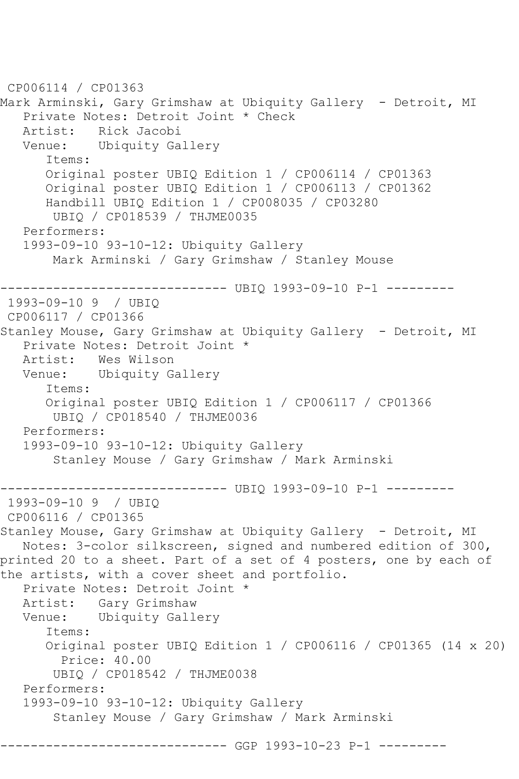```
CP006114 / CP01363
Mark Arminski, Gary Grimshaw at Ubiquity Gallery - Detroit, MI
    Private Notes: Detroit Joint * Check
  Artist: Rick Jacobi<br>Venue: Ubiquity Ga
            Ubiquity Gallery
       Items:
       Original poster UBIQ Edition 1 / CP006114 / CP01363
       Original poster UBIQ Edition 1 / CP006113 / CP01362
       Handbill UBIQ Edition 1 / CP008035 / CP03280
        UBIQ / CP018539 / THJME0035
    Performers:
    1993-09-10 93-10-12: Ubiquity Gallery
        Mark Arminski / Gary Grimshaw / Stanley Mouse
              ------------------------------ UBIQ 1993-09-10 P-1 ---------
1993-09-10 9 / UBIQ 
CP006117 / CP01366
Stanley Mouse, Gary Grimshaw at Ubiquity Gallery - Detroit, MI
    Private Notes: Detroit Joint *
   Artist: Wes Wilson
   Venue: Ubiquity Gallery
       Items:
       Original poster UBIQ Edition 1 / CP006117 / CP01366
        UBIQ / CP018540 / THJME0036
   Performers:
    1993-09-10 93-10-12: Ubiquity Gallery
        Stanley Mouse / Gary Grimshaw / Mark Arminski
------------------------------ UBIQ 1993-09-10 P-1 ---------
1993-09-10 9 / UBIQ 
CP006116 / CP01365
Stanley Mouse, Gary Grimshaw at Ubiquity Gallery - Detroit, MI
   Notes: 3-color silkscreen, signed and numbered edition of 300, 
printed 20 to a sheet. Part of a set of 4 posters, one by each of 
the artists, with a cover sheet and portfolio.
    Private Notes: Detroit Joint *
   Artist: Gary Grimshaw
   Venue: Ubiquity Gallery
       Items:
       Original poster UBIQ Edition 1 / CP006116 / CP01365 (14 x 20)
         Price: 40.00
        UBIQ / CP018542 / THJME0038
   Performers:
    1993-09-10 93-10-12: Ubiquity Gallery
        Stanley Mouse / Gary Grimshaw / Mark Arminski
                      --------- GGP 1993-10-23 P-1 ---------
```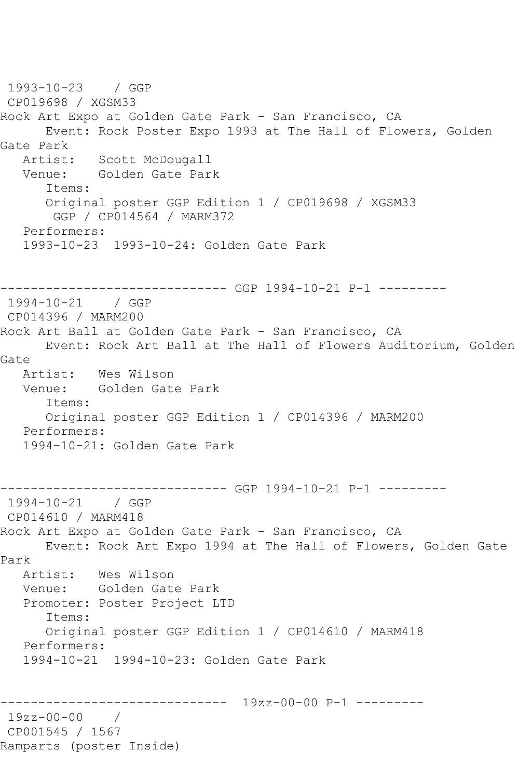1993-10-23 / GGP CP019698 / XGSM33 Rock Art Expo at Golden Gate Park - San Francisco, CA Event: Rock Poster Expo 1993 at The Hall of Flowers, Golden Gate Park<br>:Artist Scott McDougall Venue: Golden Gate Park Items: Original poster GGP Edition 1 / CP019698 / XGSM33 GGP / CP014564 / MARM372 Performers: 1993-10-23 1993-10-24: Golden Gate Park ------------------------------ GGP 1994-10-21 P-1 --------- 1994-10-21 / GGP CP014396 / MARM200 Rock Art Ball at Golden Gate Park - San Francisco, CA Event: Rock Art Ball at The Hall of Flowers Auditorium, Golden Gate Artist: Wes Wilson Venue: Golden Gate Park Items: Original poster GGP Edition 1 / CP014396 / MARM200 Performers: 1994-10-21: Golden Gate Park ------------------------------ GGP 1994-10-21 P-1 --------- 1994-10-21 / GGP CP014610 / MARM418 Rock Art Expo at Golden Gate Park - San Francisco, CA Event: Rock Art Expo 1994 at The Hall of Flowers, Golden Gate Park Artist: Wes Wilson Venue: Golden Gate Park Promoter: Poster Project LTD Items: Original poster GGP Edition 1 / CP014610 / MARM418 Performers: 1994-10-21 1994-10-23: Golden Gate Park ------------------------------ 19zz-00-00 P-1 --------- 19zz-00-00 / CP001545 / 1567 Ramparts (poster Inside)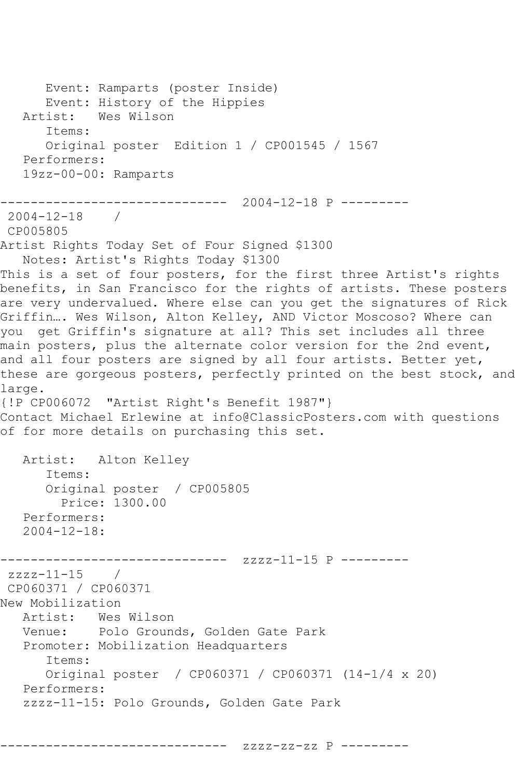Event: Ramparts (poster Inside) Event: History of the Hippies<br>Artist: Wes Wilson Wes Wilson Items: Original poster Edition 1 / CP001545 / 1567 Performers: 19zz-00-00: Ramparts ------------------------------ 2004-12-18 P --------- 2004-12-18 / CP005805 Artist Rights Today Set of Four Signed \$1300 Notes: Artist's Rights Today \$1300 This is a set of four posters, for the first three Artist's rights benefits, in San Francisco for the rights of artists. These posters are very undervalued. Where else can you get the signatures of Rick Griffin…. Wes Wilson, Alton Kelley, AND Victor Moscoso? Where can you get Griffin's signature at all? This set includes all three main posters, plus the alternate color version for the 2nd event, and all four posters are signed by all four artists. Better yet, these are gorgeous posters, perfectly printed on the best stock, and large. {!P CP006072 "Artist Right's Benefit 1987"} Contact Michael Erlewine at info@ClassicPosters.com with questions of for more details on purchasing this set. Artist: Alton Kelley Items: Original poster / CP005805 Price: 1300.00 Performers: 2004-12-18: ------------------------------ zzzz-11-15 P -------- zzzz-11-15 / CP060371 / CP060371 New Mobilization Artist: Wes Wilson<br>Venue: Polo Groun Polo Grounds, Golden Gate Park Promoter: Mobilization Headquarters Items: Original poster / CP060371 / CP060371 (14-1/4 x 20) Performers: zzzz-11-15: Polo Grounds, Golden Gate Park

------------------------------ zzzz-zz-zz P ---------